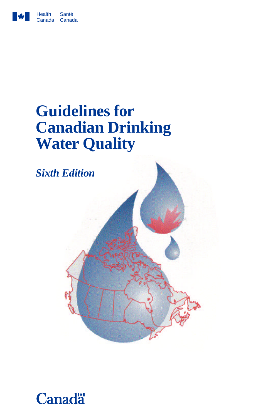

# **Guidelines for Canadian Drinking Water Quality**



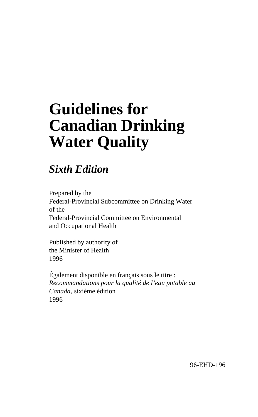# **Guidelines for Canadian Drinking Water Quality**

# *Sixth Edition*

Prepared by the Federal-Provincial Subcommittee on Drinking Water of the Federal-Provincial Committee on Environmental and Occupational Health

Published by authority of the Minister of Health 1996

Également disponible en français sous le titre : *Recommandations pour la qualité de l'eau potable au Canada*, sixième édition 1996

96-EHD-196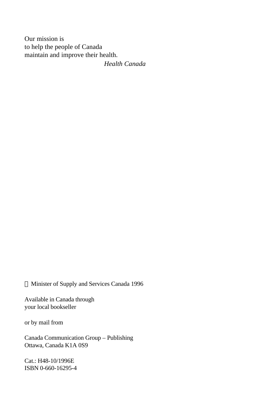Our mission is to help the people of Canada maintain and improve their health.

*Health Canada*

Minister of Supply and Services Canada 1996

Available in Canada through your local bookseller

or by mail from

Canada Communication Group – Publishing Ottawa, Canada K1A 0S9

Cat.: H48-10/1996E ISBN 0-660-16295-4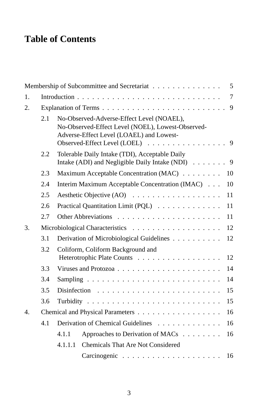# **Table of Contents**

|    |     |                                        | Membership of Subcommittee and Secretariat                                                                                                                                   | 5  |
|----|-----|----------------------------------------|------------------------------------------------------------------------------------------------------------------------------------------------------------------------------|----|
| 1. |     |                                        |                                                                                                                                                                              |    |
| 2. |     |                                        |                                                                                                                                                                              |    |
|    | 2.1 |                                        | No-Observed-Adverse-Effect Level (NOAEL),<br>No-Observed-Effect Level (NOEL), Lowest-Observed-<br>Adverse-Effect Level (LOAEL) and Lowest-<br>Observed-Effect Level (LOEL) 9 |    |
|    | 2.2 |                                        | Tolerable Daily Intake (TDI), Acceptable Daily<br>Intake (ADI) and Negligible Daily Intake (NDI) 9                                                                           |    |
|    | 2.3 |                                        | Maximum Acceptable Concentration (MAC)                                                                                                                                       | 10 |
|    | 2.4 |                                        | Interim Maximum Acceptable Concentration (IMAC)                                                                                                                              | 10 |
|    | 2.5 |                                        | Aesthetic Objective (AO)                                                                                                                                                     | 11 |
|    | 2.6 |                                        | Practical Quantitation Limit (PQL)                                                                                                                                           | 11 |
|    | 2.7 |                                        |                                                                                                                                                                              | 11 |
| 3. |     |                                        |                                                                                                                                                                              | 12 |
|    | 3.1 |                                        | Derivation of Microbiological Guidelines                                                                                                                                     | 12 |
|    | 3.2 |                                        | Coliform, Coliform Background and<br>Heterotrophic Plate Counts                                                                                                              | 12 |
|    | 3.3 |                                        |                                                                                                                                                                              | 14 |
|    | 3.4 |                                        |                                                                                                                                                                              | 14 |
|    | 3.5 | 15                                     |                                                                                                                                                                              |    |
|    | 3.6 |                                        |                                                                                                                                                                              | 15 |
| 4. |     | Chemical and Physical Parameters<br>16 |                                                                                                                                                                              |    |
|    | 4.1 |                                        | Derivation of Chemical Guidelines                                                                                                                                            | 16 |
|    |     | 4.1.1                                  | Approaches to Derivation of MACs                                                                                                                                             | 16 |
|    |     | 4.1.1.1                                | <b>Chemicals That Are Not Considered</b>                                                                                                                                     |    |
|    |     |                                        |                                                                                                                                                                              | 16 |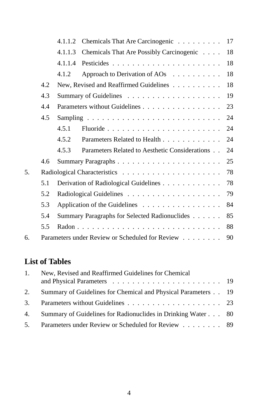|    |               |                                                     | 4.1.1.2 Chemicals That Are Carcinogenic           | 17 |
|----|---------------|-----------------------------------------------------|---------------------------------------------------|----|
|    |               | 4.1.1.3                                             | Chemicals That Are Possibly Carcinogenic          | 18 |
|    |               | 4.1.1.4                                             |                                                   | 18 |
|    |               | 4.1.2                                               | Approach to Derivation of AOs $\dots \dots \dots$ | 18 |
|    | 4.2           |                                                     | New, Revised and Reaffirmed Guidelines            | 18 |
|    | 4.3           |                                                     |                                                   | 19 |
|    | 4.4           |                                                     |                                                   | 23 |
|    | 4.5           |                                                     |                                                   | 24 |
|    |               | 4.5.1                                               |                                                   | 24 |
|    |               | 4.5.2                                               | Parameters Related to Health                      | 24 |
|    |               | 4.5.3                                               | Parameters Related to Aesthetic Considerations    | 24 |
|    | $4.6^{\circ}$ |                                                     |                                                   | 25 |
| 5. |               |                                                     |                                                   | 78 |
|    | 5.1           |                                                     | Derivation of Radiological Guidelines             | 78 |
|    | 5.2           |                                                     |                                                   | 79 |
|    | 5.3           | Application of the Guidelines<br>84                 |                                                   |    |
|    | 5.4           | Summary Paragraphs for Selected Radionuclides<br>85 |                                                   |    |
|    | 5.5           |                                                     |                                                   | 88 |
| б. |               |                                                     | Parameters under Review or Scheduled for Review   | 90 |

# **List of Tables**

| $1_{-}$ | New, Revised and Reaffirmed Guidelines for Chemical           |  |
|---------|---------------------------------------------------------------|--|
|         |                                                               |  |
| 2.      | Summary of Guidelines for Chemical and Physical Parameters 19 |  |
|         |                                                               |  |
| 4.      | Summary of Guidelines for Radionuclides in Drinking Water 80  |  |
|         | 5. Parameters under Review or Scheduled for Review 89         |  |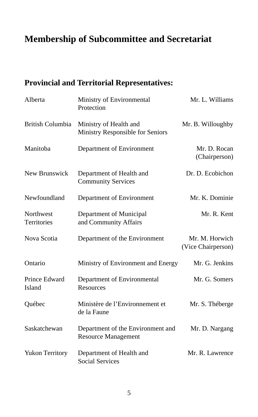# **Membership of Subcommittee and Secretariat**

# **Provincial and Territorial Representatives:**

| Alberta                  | Ministry of Environmental<br>Protection                         | Mr. L. Williams                      |
|--------------------------|-----------------------------------------------------------------|--------------------------------------|
| British Columbia         | Ministry of Health and<br>Ministry Responsible for Seniors      | Mr. B. Willoughby                    |
| Manitoba                 | Department of Environment                                       | Mr. D. Rocan<br>(Chairperson)        |
| New Brunswick            | Department of Health and<br><b>Community Services</b>           | Dr. D. Ecobichon                     |
| Newfoundland             | Department of Environment                                       | Mr. K. Dominie                       |
| Northwest<br>Territories | Department of Municipal<br>and Community Affairs                | Mr. R. Kent                          |
| Nova Scotia              | Department of the Environment                                   | Mr. M. Horwich<br>(Vice Chairperson) |
| Ontario                  | Ministry of Environment and Energy                              | Mr. G. Jenkins                       |
| Prince Edward<br>Island  | Department of Environmental<br>Resources                        | Mr. G. Somers                        |
| Québec                   | Ministère de l'Environnement et<br>de la Faune                  | Mr. S. Théberge                      |
| Saskatchewan             | Department of the Environment and<br><b>Resource Management</b> | Mr. D. Nargang                       |
| <b>Yukon Territory</b>   | Department of Health and<br><b>Social Services</b>              | Mr. R. Lawrence                      |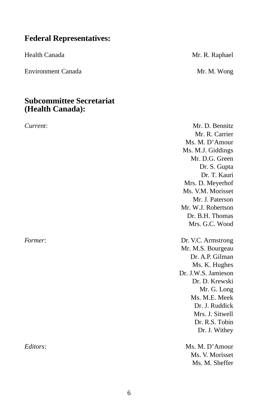# **Federal Representatives:**

Environment Canada Mr. M. Wong

### **Subcommittee Secretariat (Health Canada):**

Health Canada Mr. R. Raphael

*Current*: Mr. D. Bennitz Mr. R. Carrier Ms. M. D'Amour Ms. M.J. Giddings Mr. D.G. Green Dr. S. Gupta Dr. T. Kauri Mrs. D. Meyerhof Ms. V.M. Morisset Mr. J. Paterson Mr. W.J. Robertson Dr. B.H. Thomas Mrs. G.C. Wood *Former*: Dr. V.C. Armstrong Mr. M.S. Bourgeau Dr. A.P. Gilman Ms. K. Hughes Dr. J.W.S. Jamieson Dr. D. Krewski Mr. G. Long Ms. M.E. Meek Dr. J. Ruddick Mrs. J. Sitwell Dr. R.S. Tobin Dr. J. Withey *Editors*: Ms. M. D'Amour Ms. V. Morisset

Ms. M. Sheffer

6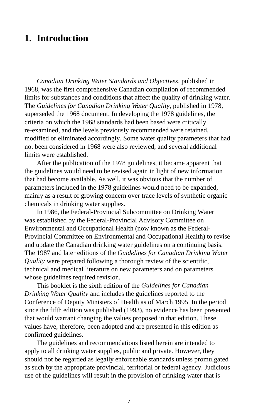# **1. Introduction**

*Canadian Drinking Water Standards and Objectives*, published in 1968, was the first comprehensive Canadian compilation of recommended limits for substances and conditions that affect the quality of drinking water. The *Guidelines for Canadian Drinking Water Quality*, published in 1978, superseded the 1968 document. In developing the 1978 guidelines, the criteria on which the 1968 standards had been based were critically re-examined, and the levels previously recommended were retained, modified or eliminated accordingly. Some water quality parameters that had not been considered in 1968 were also reviewed, and several additional limits were established.

After the publication of the 1978 guidelines, it became apparent that the guidelines would need to be revised again in light of new information that had become available. As well, it was obvious that the number of parameters included in the 1978 guidelines would need to be expanded, mainly as a result of growing concern over trace levels of synthetic organic chemicals in drinking water supplies.

In 1986, the Federal-Provincial Subcommittee on Drinking Water was established by the Federal-Provincial Advisory Committee on Environmental and Occupational Health (now known as the Federal-Provincial Committee on Environmental and Occupational Health) to revise and update the Canadian drinking water guidelines on a continuing basis. The 1987 and later editions of the *Guidelines for Canadian Drinking Water Quality* were prepared following a thorough review of the scientific, technical and medical literature on new parameters and on parameters whose guidelines required revision.

This booklet is the sixth edition of the *Guidelines for Canadian Drinking Water Quality* and includes the guidelines reported to the Conference of Deputy Ministers of Health as of March 1995. In the period since the fifth edition was published (1993), no evidence has been presented that would warrant changing the values proposed in that edition. These values have, therefore, been adopted and are presented in this edition as confirmed guidelines.

The guidelines and recommendations listed herein are intended to apply to all drinking water supplies, public and private. However, they should not be regarded as legally enforceable standards unless promulgated as such by the appropriate provincial, territorial or federal agency. Judicious use of the guidelines will result in the provision of drinking water that is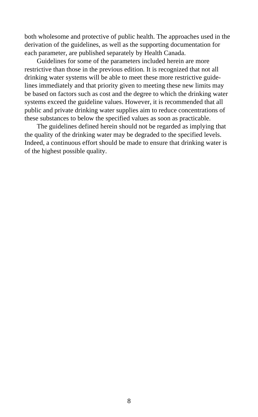both wholesome and protective of public health. The approaches used in the derivation of the guidelines, as well as the supporting documentation for each parameter, are published separately by Health Canada.

Guidelines for some of the parameters included herein are more restrictive than those in the previous edition. It is recognized that not all drinking water systems will be able to meet these more restrictive guidelines immediately and that priority given to meeting these new limits may be based on factors such as cost and the degree to which the drinking water systems exceed the guideline values. However, it is recommended that all public and private drinking water supplies aim to reduce concentrations of these substances to below the specified values as soon as practicable.

The guidelines defined herein should not be regarded as implying that the quality of the drinking water may be degraded to the specified levels. Indeed, a continuous effort should be made to ensure that drinking water is of the highest possible quality.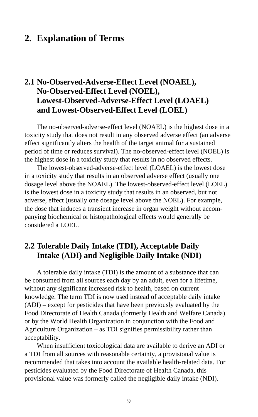# **2. Explanation of Terms**

# **2.1 No-Observed-Adverse-Effect Level (NOAEL), No-Observed-Effect Level (NOEL), Lowest-Observed-Adverse-Effect Level (LOAEL) and Lowest-Observed-Effect Level (LOEL)**

The no-observed-adverse-effect level (NOAEL) is the highest dose in a toxicity study that does not result in any observed adverse effect (an adverse effect significantly alters the health of the target animal for a sustained period of time or reduces survival). The no-observed-effect level (NOEL) is the highest dose in a toxicity study that results in no observed effects.

The lowest-observed-adverse-effect level (LOAEL) is the lowest dose in a toxicity study that results in an observed adverse effect (usually one dosage level above the NOAEL). The lowest-observed-effect level (LOEL) is the lowest dose in a toxicity study that results in an observed, but not adverse, effect (usually one dosage level above the NOEL). For example, the dose that induces a transient increase in organ weight without accompanying biochemical or histopathological effects would generally be considered a LOEL.

# **2.2 Tolerable Daily Intake (TDI), Acceptable Daily Intake (ADI) and Negligible Daily Intake (NDI)**

A tolerable daily intake (TDI) is the amount of a substance that can be consumed from all sources each day by an adult, even for a lifetime, without any significant increased risk to health, based on current knowledge. The term TDI is now used instead of acceptable daily intake (ADI) – except for pesticides that have been previously evaluated by the Food Directorate of Health Canada (formerly Health and Welfare Canada) or by the World Health Organization in conjunction with the Food and Agriculture Organization – as TDI signifies permissibility rather than acceptability.

When insufficient toxicological data are available to derive an ADI or a TDI from all sources with reasonable certainty, a provisional value is recommended that takes into account the available health-related data. For pesticides evaluated by the Food Directorate of Health Canada, this provisional value was formerly called the negligible daily intake (NDI).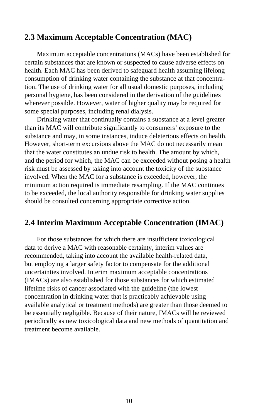# **2.3 Maximum Acceptable Concentration (MAC)**

Maximum acceptable concentrations (MACs) have been established for certain substances that are known or suspected to cause adverse effects on health. Each MAC has been derived to safeguard health assuming lifelong consumption of drinking water containing the substance at that concentration. The use of drinking water for all usual domestic purposes, including personal hygiene, has been considered in the derivation of the guidelines wherever possible. However, water of higher quality may be required for some special purposes, including renal dialysis.

Drinking water that continually contains a substance at a level greater than its MAC will contribute significantly to consumers' exposure to the substance and may, in some instances, induce deleterious effects on health. However, short-term excursions above the MAC do not necessarily mean that the water constitutes an undue risk to health. The amount by which, and the period for which, the MAC can be exceeded without posing a health risk must be assessed by taking into account the toxicity of the substance involved. When the MAC for a substance is exceeded, however, the minimum action required is immediate resampling. If the MAC continues to be exceeded, the local authority responsible for drinking water supplies should be consulted concerning appropriate corrective action.

# **2.4 Interim Maximum Acceptable Concentration (IMAC)**

For those substances for which there are insufficient toxicological data to derive a MAC with reasonable certainty, interim values are recommended, taking into account the available health-related data, but employing a larger safety factor to compensate for the additional uncertainties involved. Interim maximum acceptable concentrations (IMACs) are also established for those substances for which estimated lifetime risks of cancer associated with the guideline (the lowest concentration in drinking water that is practicably achievable using available analytical or treatment methods) are greater than those deemed to be essentially negligible. Because of their nature, IMACs will be reviewed periodically as new toxicological data and new methods of quantitation and treatment become available.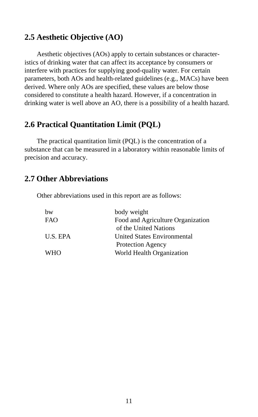# **2.5 Aesthetic Objective (AO)**

Aesthetic objectives (AOs) apply to certain substances or characteristics of drinking water that can affect its acceptance by consumers or interfere with practices for supplying good-quality water. For certain parameters, both AOs and health-related guidelines (e.g., MACs) have been derived. Where only AOs are specified, these values are below those considered to constitute a health hazard. However, if a concentration in drinking water is well above an AO, there is a possibility of a health hazard.

# **2.6 Practical Quantitation Limit (PQL)**

The practical quantitation limit (PQL) is the concentration of a substance that can be measured in a laboratory within reasonable limits of precision and accuracy.

# **2.7 Other Abbreviations**

Other abbreviations used in this report are as follows:

| bw         | body weight                       |
|------------|-----------------------------------|
| <b>FAO</b> | Food and Agriculture Organization |
|            | of the United Nations             |
| U.S. EPA   | United States Environmental       |
|            | Protection Agency                 |
| <b>WHO</b> | World Health Organization         |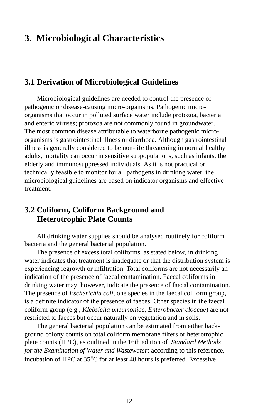# **3. Microbiological Characteristics**

# **3.1 Derivation of Microbiological Guidelines**

Microbiological guidelines are needed to control the presence of pathogenic or disease-causing micro-organisms. Pathogenic microorganisms that occur in polluted surface water include protozoa, bacteria and enteric viruses; protozoa are not commonly found in groundwater. The most common disease attributable to waterborne pathogenic microorganisms is gastrointestinal illness or diarrhoea. Although gastrointestinal illness is generally considered to be non-life threatening in normal healthy adults, mortality can occur in sensitive subpopulations, such as infants, the elderly and immunosuppressed individuals. As it is not practical or technically feasible to monitor for all pathogens in drinking water, the microbiological guidelines are based on indicator organisms and effective treatment.

# **3.2 Coliform, Coliform Background and Heterotrophic Plate Counts**

All drinking water supplies should be analysed routinely for coliform bacteria and the general bacterial population.

The presence of excess total coliforms, as stated below, in drinking water indicates that treatment is inadequate or that the distribution system is experiencing regrowth or infiltration. Total coliforms are not necessarily an indication of the presence of faecal contamination. Faecal coliforms in drinking water may, however, indicate the presence of faecal contamination. The presence of *Escherichia coli*, one species in the faecal coliform group, is a definite indicator of the presence of faeces. Other species in the faecal coliform group (e.g., *Klebsiella pneumoniae*, *Enterobacter cloacae*) are not restricted to faeces but occur naturally on vegetation and in soils.

The general bacterial population can be estimated from either background colony counts on total coliform membrane filters or heterotrophic plate counts (HPC), as outlined in the 16th edition of *Standard Methods for the Examination of Water and Wastewater*; according to this reference, incubation of HPC at 35°C for at least 48 hours is preferred. Excessive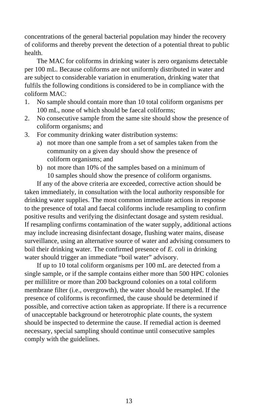concentrations of the general bacterial population may hinder the recovery of coliforms and thereby prevent the detection of a potential threat to public health.

The MAC for coliforms in drinking water is zero organisms detectable per 100 mL. Because coliforms are not uniformly distributed in water and are subject to considerable variation in enumeration, drinking water that fulfils the following conditions is considered to be in compliance with the coliform MAC:

- 1. No sample should contain more than 10 total coliform organisms per 100 mL, none of which should be faecal coliforms;
- 2. No consecutive sample from the same site should show the presence of coliform organisms; and
- 3. For community drinking water distribution systems:
	- a) not more than one sample from a set of samples taken from the community on a given day should show the presence of coliform organisms; and
	- b) not more than 10% of the samples based on a minimum of 10 samples should show the presence of coliform organisms.

If any of the above criteria are exceeded, corrective action should be taken immediately, in consultation with the local authority responsible for drinking water supplies. The most common immediate actions in response to the presence of total and faecal coliforms include resampling to confirm positive results and verifying the disinfectant dosage and system residual. If resampling confirms contamination of the water supply, additional actions may include increasing disinfectant dosage, flushing water mains, disease surveillance, using an alternative source of water and advising consumers to boil their drinking water. The confirmed presence of *E. coli* in drinking water should trigger an immediate "boil water" advisory.

If up to 10 total coliform organisms per 100 mL are detected from a single sample, or if the sample contains either more than 500 HPC colonies per millilitre or more than 200 background colonies on a total coliform membrane filter (i.e., overgrowth), the water should be resampled. If the presence of coliforms is reconfirmed, the cause should be determined if possible, and corrective action taken as appropriate. If there is a recurrence of unacceptable background or heterotrophic plate counts, the system should be inspected to determine the cause. If remedial action is deemed necessary, special sampling should continue until consecutive samples comply with the guidelines.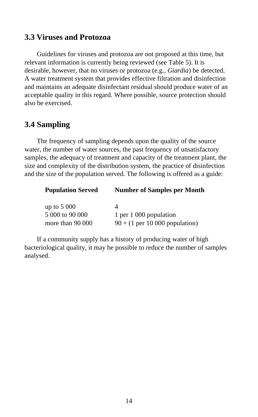# **3.3 Viruses and Protozoa**

Guidelines for viruses and protozoa are not proposed at this time, but relevant information is currently being reviewed (see Table 5). It is desirable, however, that no viruses or protozoa (e.g., *Giardia*) be detected. A water treatment system that provides effective filtration and disinfection and maintains an adequate disinfectant residual should produce water of an acceptable quality in this regard. Where possible, source protection should also be exercised.

# **3.4 Sampling**

The frequency of sampling depends upon the quality of the source water, the number of water sources, the past frequency of unsatisfactory samples, the adequacy of treatment and capacity of the treatment plant, the size and complexity of the distribution system, the practice of disinfection and the size of the population served. The following is offered as a guide:

| <b>Population Served</b> | <b>Number of Samples per Month</b>                 |
|--------------------------|----------------------------------------------------|
| up to $5000$             | 4                                                  |
| 5 000 to 90 000          | 1 per 1 000 population                             |
| more than 90 000         | $90 + (1 \text{ per } 10\,000 \text{ population})$ |

If a community supply has a history of producing water of high bacteriological quality, it may be possible to reduce the number of samples analysed.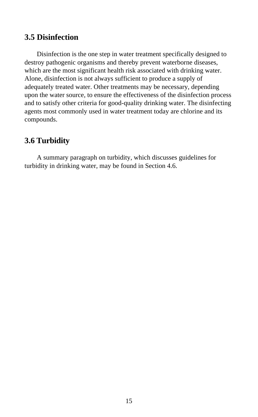# **3.5 Disinfection**

Disinfection is the one step in water treatment specifically designed to destroy pathogenic organisms and thereby prevent waterborne diseases, which are the most significant health risk associated with drinking water. Alone, disinfection is not always sufficient to produce a supply of adequately treated water. Other treatments may be necessary, depending upon the water source, to ensure the effectiveness of the disinfection process and to satisfy other criteria for good-quality drinking water. The disinfecting agents most commonly used in water treatment today are chlorine and its compounds.

# **3.6 Turbidity**

A summary paragraph on turbidity, which discusses guidelines for turbidity in drinking water, may be found in Section 4.6.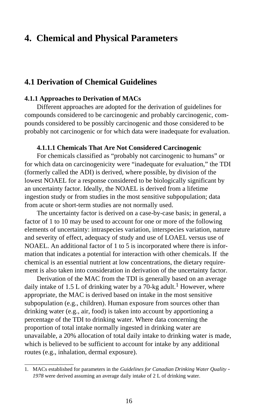# **4. Chemical and Physical Parameters**

# **4.1 Derivation of Chemical Guidelines**

### **4.1.1 Approaches to Derivation of MACs**

Different approaches are adopted for the derivation of guidelines for compounds considered to be carcinogenic and probably carcinogenic, compounds considered to be possibly carcinogenic and those considered to be probably not carcinogenic or for which data were inadequate for evaluation.

### **4.1.1.1 Chemicals That Are Not Considered Carcinogenic**

For chemicals classified as "probably not carcinogenic to humans" or for which data on carcinogenicity were "inadequate for evaluation," the TDI (formerly called the ADI) is derived, where possible, by division of the lowest NOAEL for a response considered to be biologically significant by an uncertainty factor. Ideally, the NOAEL is derived from a lifetime ingestion study or from studies in the most sensitive subpopulation; data from acute or short-term studies are not normally used.

The uncertainty factor is derived on a case-by-case basis; in general, a factor of 1 to 10 may be used to account for one or more of the following elements of uncertainty: intraspecies variation, interspecies variation, nature and severity of effect, adequacy of study and use of LOAEL versus use of NOAEL. An additional factor of 1 to 5 is incorporated where there is information that indicates a potential for interaction with other chemicals. If the chemical is an essential nutrient at low concentrations, the dietary requirement is also taken into consideration in derivation of the uncertainty factor.

Derivation of the MAC from the TDI is generally based on an average daily intake of 1.5 L of drinking water by a 70-kg adult.<sup>1</sup> However, where appropriate, the MAC is derived based on intake in the most sensitive subpopulation (e.g., children). Human exposure from sources other than drinking water (e.g., air, food) is taken into account by apportioning a percentage of the TDI to drinking water. Where data concerning the proportion of total intake normally ingested in drinking water are unavailable, a 20% allocation of total daily intake to drinking water is made, which is believed to be sufficient to account for intake by any additional routes (e.g., inhalation, dermal exposure).

<sup>1.</sup> MACs established for parameters in the *Guidelines for Canadian Drinking Water Quality* – *1978* were derived assuming an average daily intake of 2 L of drinking water.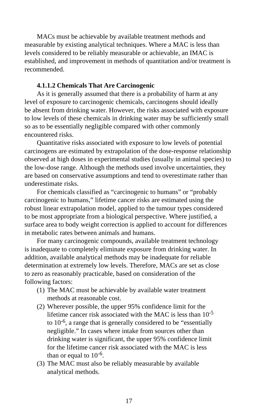MACs must be achievable by available treatment methods and measurable by existing analytical techniques. Where a MAC is less than levels considered to be reliably measurable or achievable, an IMAC is established, and improvement in methods of quantitation and/or treatment is recommended.

### **4.1.1.2 Chemicals That Are Carcinogenic**

As it is generally assumed that there is a probability of harm at any level of exposure to carcinogenic chemicals, carcinogens should ideally be absent from drinking water. However, the risks associated with exposure to low levels of these chemicals in drinking water may be sufficiently small so as to be essentially negligible compared with other commonly encountered risks.

Quantitative risks associated with exposure to low levels of potential carcinogens are estimated by extrapolation of the dose-response relationship observed at high doses in experimental studies (usually in animal species) to the low-dose range. Although the methods used involve uncertainties, they are based on conservative assumptions and tend to overestimate rather than underestimate risks.

For chemicals classified as "carcinogenic to humans" or "probably carcinogenic to humans," lifetime cancer risks are estimated using the robust linear extrapolation model, applied to the tumour types considered to be most appropriate from a biological perspective. Where justified, a surface area to body weight correction is applied to account for differences in metabolic rates between animals and humans.

For many carcinogenic compounds, available treatment technology is inadequate to completely eliminate exposure from drinking water. In addition, available analytical methods may be inadequate for reliable determination at extremely low levels. Therefore, MACs are set as close to zero as reasonably practicable, based on consideration of the following factors:

- (1) The MAC must be achievable by available water treatment methods at reasonable cost.
- (2) Wherever possible, the upper 95% confidence limit for the lifetime cancer risk associated with the MAC is less than  $10^{-5}$ to  $10^{-6}$ , a range that is generally considered to be "essentially negligible." In cases where intake from sources other than drinking water is significant, the upper 95% confidence limit for the lifetime cancer risk associated with the MAC is less than or equal to  $10^{-6}$ .
- (3) The MAC must also be reliably measurable by available analytical methods.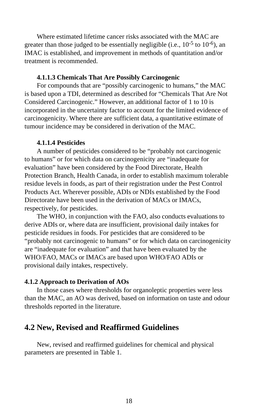Where estimated lifetime cancer risks associated with the MAC are greater than those judged to be essentially negligible (i.e.,  $10^{-5}$  to  $10^{-6}$ ), an IMAC is established, and improvement in methods of quantitation and/or treatment is recommended.

### **4.1.1.3 Chemicals That Are Possibly Carcinogenic**

For compounds that are "possibly carcinogenic to humans," the MAC is based upon a TDI, determined as described for "Chemicals That Are Not Considered Carcinogenic." However, an additional factor of 1 to 10 is incorporated in the uncertainty factor to account for the limited evidence of carcinogenicity. Where there are sufficient data, a quantitative estimate of tumour incidence may be considered in derivation of the MAC.

#### **4.1.1.4 Pesticides**

A number of pesticides considered to be "probably not carcinogenic to humans" or for which data on carcinogenicity are "inadequate for evaluation" have been considered by the Food Directorate, Health Protection Branch, Health Canada, in order to establish maximum tolerable residue levels in foods, as part of their registration under the Pest Control Products Act. Wherever possible, ADIs or NDIs established by the Food Directorate have been used in the derivation of MACs or IMACs, respectively, for pesticides.

The WHO, in conjunction with the FAO, also conducts evaluations to derive ADIs or, where data are insufficient, provisional daily intakes for pesticide residues in foods. For pesticides that are considered to be "probably not carcinogenic to humans" or for which data on carcinogenicity are "inadequate for evaluation" and that have been evaluated by the WHO/FAO, MACs or IMACs are based upon WHO/FAO ADIs or provisional daily intakes, respectively.

### **4.1.2 Approach to Derivation of AOs**

In those cases where thresholds for organoleptic properties were less than the MAC, an AO was derived, based on information on taste and odour thresholds reported in the literature.

# **4.2 New, Revised and Reaffirmed Guidelines**

New, revised and reaffirmed guidelines for chemical and physical parameters are presented in Table 1.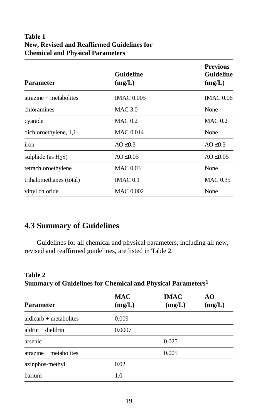# **Table 1 New, Revised and Reaffirmed Guidelines for Chemical and Physical Parameters**

| <b>Parameter</b>                | <b>Guideline</b><br>(mg/L) | <b>Previous</b><br>Guideline<br>(mg/L) |
|---------------------------------|----------------------------|----------------------------------------|
| $\araxine + \text{metabolites}$ | <b>IMAC 0.005</b>          | <b>IMAC 0.06</b>                       |
| chloramines                     | <b>MAC 3.0</b>             | None                                   |
| cyanide                         | MAC 0.2                    | MAC 0.2                                |
| dichloroethylene, 1,1-          | <b>MAC 0.014</b>           | None                                   |
| iron                            | AO $\leq 0.3$              | $AO \leq 0.3$                          |
| sulphide (as $H_2S$ )           | AO $\leq 0.05$             | AO $\leq 0.05$                         |
| tetrachloroethylene             | <b>MAC 0.03</b>            | None                                   |
| trihalomethanes (total)         | IMAC $0.1$                 | <b>MAC 0.35</b>                        |
| vinyl chloride                  | <b>MAC 0.002</b>           | None                                   |

# **4.3 Summary of Guidelines**

Guidelines for all chemical and physical parameters, including all new, revised and reaffirmed guidelines, are listed in Table 2.

| Summary of Guidelines for Chemical and Physical Parameters <sup>1</sup>                                                                                                                                                                                                                                             |                      |                       |              |
|---------------------------------------------------------------------------------------------------------------------------------------------------------------------------------------------------------------------------------------------------------------------------------------------------------------------|----------------------|-----------------------|--------------|
| <b>Parameter</b>                                                                                                                                                                                                                                                                                                    | <b>MAC</b><br>(mg/L) | <b>IMAC</b><br>(mg/L) | AO<br>(mg/L) |
| $aldicarb + metabolites$                                                                                                                                                                                                                                                                                            | 0.009                |                       |              |
| $aldrin + dieldrin$                                                                                                                                                                                                                                                                                                 | 0.0007               |                       |              |
| arsenic                                                                                                                                                                                                                                                                                                             |                      | 0.025                 |              |
| $\arctan x$ = $\arctan x$ = $\arctan x$ = $\arctan x$ = $\arctan x$ = $\arctan x$ = $\arctan x$ = $\arctan x$ = $\arctan x$ = $\arctan x$ = $\arctan x$ = $\arctan x$ = $\arctan x$ = $\arctan x$ = $\arctan x$ = $\arctan x$ = $\arctan x$ = $\arctan x$ = $\arctan x$ = $\arctan x$ = $\arctan x$ = $\arctan x$ = |                      | 0.005                 |              |
| azinphos-methyl                                                                                                                                                                                                                                                                                                     | 0.02                 |                       |              |
| barium                                                                                                                                                                                                                                                                                                              | 1.0                  |                       |              |

### **Table 2 Summary of Guidelines for Chemical and Physical Parameters1**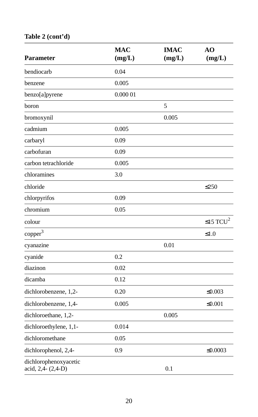# **Table 2 (cont'd)**

| <b>Parameter</b>                            | <b>MAC</b><br>(mg/L) | <b>IMAC</b><br>(mg/L) | AO<br>(mg/L)         |
|---------------------------------------------|----------------------|-----------------------|----------------------|
| bendiocarb                                  | 0.04                 |                       |                      |
| benzene                                     | 0.005                |                       |                      |
| benzo[a]pyrene                              | 0.000 01             |                       |                      |
| boron                                       |                      | 5                     |                      |
| bromoxynil                                  |                      | 0.005                 |                      |
| cadmium                                     | 0.005                |                       |                      |
| carbaryl                                    | 0.09                 |                       |                      |
| carbofuran                                  | 0.09                 |                       |                      |
| carbon tetrachloride                        | 0.005                |                       |                      |
| chloramines                                 | 3.0                  |                       |                      |
| chloride                                    |                      |                       | $\leq$ 250           |
| chlorpyrifos                                | 0.09                 |                       |                      |
| chromium                                    | 0.05                 |                       |                      |
| colour                                      |                      |                       | ≤15 TCU <sup>2</sup> |
| copper <sup>3</sup>                         |                      |                       | $\leq 1.0$           |
| cyanazine                                   |                      | 0.01                  |                      |
| cyanide                                     | 0.2                  |                       |                      |
| diazinon                                    | 0.02                 |                       |                      |
| dicamba                                     | 0.12                 |                       |                      |
| dichlorobenzene, 1,2-                       | 0.20                 |                       | $\leq 0.003$         |
| dichlorobenzene, 1,4-                       | 0.005                |                       | $\leq 0.001$         |
| dichloroethane, 1,2-                        |                      | 0.005                 |                      |
| dichloroethylene, 1,1-                      | 0.014                |                       |                      |
| dichloromethane                             | 0.05                 |                       |                      |
| dichlorophenol, 2,4-                        | 0.9                  |                       | $\leq 0.0003$        |
| dichlorophenoxyacetic<br>acid, 2,4- (2,4-D) |                      | 0.1                   |                      |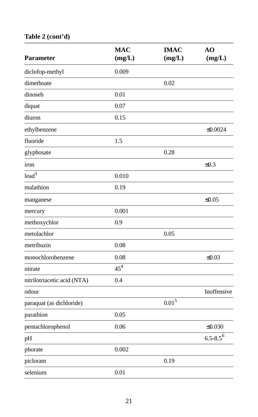# **Table 2 (cont'd)**

| Parameter                   | <b>MAC</b><br>(mg/L) | <b>IMAC</b><br>(mg/L) | AO<br>(mg/L)             |
|-----------------------------|----------------------|-----------------------|--------------------------|
| diclofop-methyl             | 0.009                |                       |                          |
| dimethoate                  |                      | 0.02                  |                          |
| dinoseb                     | 0.01                 |                       |                          |
| diquat                      | 0.07                 |                       |                          |
| diuron                      | 0.15                 |                       |                          |
| ethylbenzene                |                      |                       | $\leq 0.0024$            |
| fluoride                    | 1.5                  |                       |                          |
| glyphosate                  |                      | 0.28                  |                          |
| iron                        |                      |                       | $\leq 0.3$               |
| lead <sup>3</sup>           | 0.010                |                       |                          |
| malathion                   | 0.19                 |                       |                          |
| manganese                   |                      |                       | $\leq 0.05$              |
| mercury                     | 0.001                |                       |                          |
| methoxychlor                | 0.9                  |                       |                          |
| metolachlor                 |                      | 0.05                  |                          |
| metribuzin                  | 0.08                 |                       |                          |
| monochlorobenzene           | 0.08                 |                       | $\leq 0.03$              |
| nitrate                     | $45^{4}$             |                       |                          |
| nitrilotriacetic acid (NTA) | 0.4                  |                       |                          |
| odour                       |                      |                       | Inoffensive              |
| paraquat (as dichloride)    |                      | $0.01^{5}$            |                          |
| parathion                   | 0.05                 |                       |                          |
| pentachlorophenol           | 0.06                 |                       | $\leq 0.030$             |
| pH                          |                      |                       | $6.5 - 8.5$ <sup>6</sup> |
| phorate                     | 0.002                |                       |                          |
| picloram                    |                      | 0.19                  |                          |
| selenium                    | 0.01                 |                       |                          |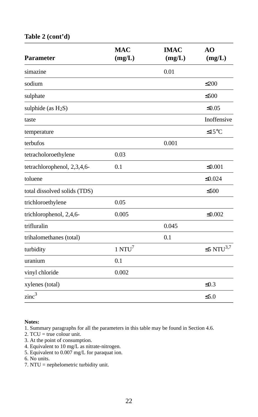### **Table 2 (cont'd)**

| <b>Parameter</b>             | <b>MAC</b><br>(mg/L) | <b>IMAC</b><br>(mg/L) | A <sub>O</sub><br>(mg/L) |
|------------------------------|----------------------|-----------------------|--------------------------|
| simazine                     |                      | 0.01                  |                          |
| sodium                       |                      |                       | $\leq$ 200               |
| sulphate                     |                      |                       | $\leq 500$               |
| sulphide (as $H_2S$ )        |                      |                       | $\leq 0.05$              |
| taste                        |                      |                       | Inoffensive              |
| temperature                  |                      |                       | $\leq 15^{\circ}$ C      |
| terbufos                     |                      | 0.001                 |                          |
| tetracholoroethylene         | 0.03                 |                       |                          |
| tetrachlorophenol, 2,3,4,6-  | 0.1                  |                       | $≤0.001$                 |
| toluene                      |                      |                       | $\leq 0.024$             |
| total dissolved solids (TDS) |                      |                       | $\leq 500$               |
| trichloroethylene            | 0.05                 |                       |                          |
| trichlorophenol, 2,4,6-      | 0.005                |                       | $\leq 0.002$             |
| trifluralin                  |                      | 0.045                 |                          |
| trihalomethanes (total)      |                      | 0.1                   |                          |
| turbidity                    | $1 N T U^7$          |                       | $\leq$ 5 NTU $^{3,7}$    |
| uranium                      | 0.1                  |                       |                          |
| vinyl chloride               | 0.002                |                       |                          |
| xylenes (total)              |                      |                       | $\leq 0.3$               |
| zinc <sup>3</sup>            |                      |                       | $\leq 5.0$               |

#### **Notes:**

1. Summary paragraphs for all the parameters in this table may be found in Section 4.6.

- $2. TCU = true colour unit.$
- 3. At the point of consumption.
- 4. Equivalent to 10 mg/L as nitrate-nitrogen.
- 5. Equivalent to 0.007 mg/L for paraquat ion.
- 6. No units.
- 7. NTU = nephelometric turbidity unit.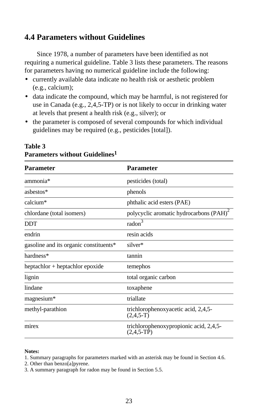# **4.4 Parameters without Guidelines**

Since 1978, a number of parameters have been identified as not requiring a numerical guideline. Table 3 lists these parameters. The reasons for parameters having no numerical guideline include the following:

- currently available data indicate no health risk or aesthetic problem (e.g., calcium);
- data indicate the compound, which may be harmful, is not registered for use in Canada (e.g., 2,4,5-TP) or is not likely to occur in drinking water at levels that present a health risk (e.g., silver); or
- the parameter is composed of several compounds for which individual guidelines may be required (e.g., pesticides [total]).

| Parameter                              | Parameter                                              |
|----------------------------------------|--------------------------------------------------------|
| ammonia*                               | pesticides (total)                                     |
| ashestos*                              | phenols                                                |
| calcium*                               | phthalic acid esters (PAE)                             |
| chlordane (total isomers)              | polycyclic aromatic hydrocarbons (PAH) <sup>2</sup>    |
| <b>DDT</b>                             | radon <sup>3</sup>                                     |
| endrin                                 | resin acids                                            |
| gasoline and its organic constituents* | silver*                                                |
| hardness*                              | tannin                                                 |
| heptachlor + heptachlor epoxide        | temephos                                               |
| lignin                                 | total organic carbon                                   |
| lindane                                | toxaphene                                              |
| magnesium*                             | triallate                                              |
| methyl-parathion                       | trichlorophenoxyacetic acid, 2,4,5-<br>$(2,4,5-T)$     |
| mirex                                  | trichlorophenoxypropionic acid, 2,4,5-<br>$(2,4,5-TP)$ |

### **Table 3 Parameters without Guidelines1**

#### **Notes:**

- 1. Summary paragraphs for parameters marked with an asterisk may be found in Section 4.6.
- 2. Other than benzo[a]pyrene.
- 3. A summary paragraph for radon may be found in Section 5.5.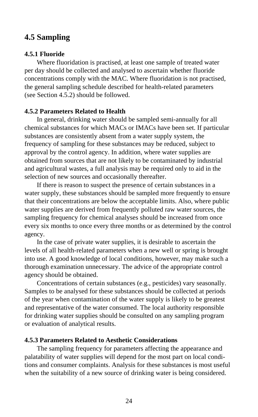# **4.5 Sampling**

### **4.5.1 Fluoride**

Where fluoridation is practised, at least one sample of treated water per day should be collected and analysed to ascertain whether fluoride concentrations comply with the MAC. Where fluoridation is not practised, the general sampling schedule described for health-related parameters (see Section 4.5.2) should be followed.

### **4.5.2 Parameters Related to Health**

In general, drinking water should be sampled semi-annually for all chemical substances for which MACs or IMACs have been set. If particular substances are consistently absent from a water supply system, the frequency of sampling for these substances may be reduced, subject to approval by the control agency. In addition, where water supplies are obtained from sources that are not likely to be contaminated by industrial and agricultural wastes, a full analysis may be required only to aid in the selection of new sources and occasionally thereafter.

If there is reason to suspect the presence of certain substances in a water supply, these substances should be sampled more frequently to ensure that their concentrations are below the acceptable limits. Also, where public water supplies are derived from frequently polluted raw water sources, the sampling frequency for chemical analyses should be increased from once every six months to once every three months or as determined by the control agency.

In the case of private water supplies, it is desirable to ascertain the levels of all health-related parameters when a new well or spring is brought into use. A good knowledge of local conditions, however, may make such a thorough examination unnecessary. The advice of the appropriate control agency should be obtained.

Concentrations of certain substances (e.g., pesticides) vary seasonally. Samples to be analysed for these substances should be collected at periods of the year when contamination of the water supply is likely to be greatest and representative of the water consumed. The local authority responsible for drinking water supplies should be consulted on any sampling program or evaluation of analytical results.

### **4.5.3 Parameters Related to Aesthetic Considerations**

The sampling frequency for parameters affecting the appearance and palatability of water supplies will depend for the most part on local conditions and consumer complaints. Analysis for these substances is most useful when the suitability of a new source of drinking water is being considered.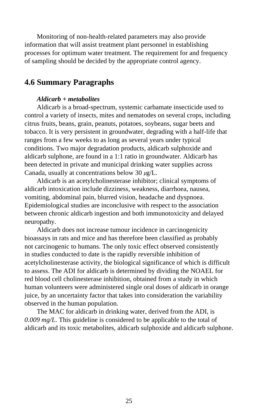Monitoring of non-health-related parameters may also provide information that will assist treatment plant personnel in establishing processes for optimum water treatment. The requirement for and frequency of sampling should be decided by the appropriate control agency.

# **4.6 Summary Paragraphs**

### *Aldicarb + metabolites*

Aldicarb is a broad-spectrum, systemic carbamate insecticide used to control a variety of insects, mites and nematodes on several crops, including citrus fruits, beans, grain, peanuts, potatoes, soybeans, sugar beets and tobacco. It is very persistent in groundwater, degrading with a half-life that ranges from a few weeks to as long as several years under typical conditions. Two major degradation products, aldicarb sulphoxide and aldicarb sulphone, are found in a 1:1 ratio in groundwater. Aldicarb has been detected in private and municipal drinking water supplies across Canada, usually at concentrations below 30 *µ*g/L.

Aldicarb is an acetylcholinesterase inhibitor; clinical symptoms of aldicarb intoxication include dizziness, weakness, diarrhoea, nausea, vomiting, abdominal pain, blurred vision, headache and dyspnoea. Epidemiological studies are inconclusive with respect to the association between chronic aldicarb ingestion and both immunotoxicity and delayed neuropathy.

Aldicarb does not increase tumour incidence in carcinogenicity bioassays in rats and mice and has therefore been classified as probably not carcinogenic to humans. The only toxic effect observed consistently in studies conducted to date is the rapidly reversible inhibition of acetylcholinesterase activity, the biological significance of which is difficult to assess. The ADI for aldicarb is determined by dividing the NOAEL for red blood cell cholinesterase inhibition, obtained from a study in which human volunteers were administered single oral doses of aldicarb in orange juice, by an uncertainty factor that takes into consideration the variability observed in the human population.

The MAC for aldicarb in drinking water, derived from the ADI, is *0.009 mg/L*. This guideline is considered to be applicable to the total of aldicarb and its toxic metabolites, aldicarb sulphoxide and aldicarb sulphone.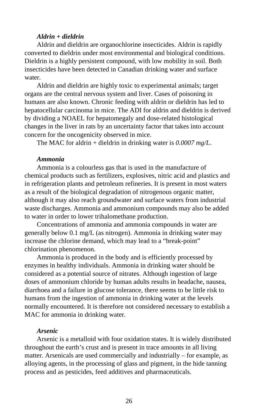### *Aldrin + dieldrin*

Aldrin and dieldrin are organochlorine insecticides. Aldrin is rapidly converted to dieldrin under most environmental and biological conditions. Dieldrin is a highly persistent compound, with low mobility in soil. Both insecticides have been detected in Canadian drinking water and surface water.

Aldrin and dieldrin are highly toxic to experimental animals; target organs are the central nervous system and liver. Cases of poisoning in humans are also known. Chronic feeding with aldrin or dieldrin has led to hepatocellular carcinoma in mice. The ADI for aldrin and dieldrin is derived by dividing a NOAEL for hepatomegaly and dose-related histological changes in the liver in rats by an uncertainty factor that takes into account concern for the oncogenicity observed in mice.

The MAC for aldrin + dieldrin in drinking water is *0.0007 mg/L*.

### *Ammonia*

Ammonia is a colourless gas that is used in the manufacture of chemical products such as fertilizers, explosives, nitric acid and plastics and in refrigeration plants and petroleum refineries. It is present in most waters as a result of the biological degradation of nitrogenous organic matter, although it may also reach groundwater and surface waters from industrial waste discharges. Ammonia and ammonium compounds may also be added to water in order to lower trihalomethane production.

Concentrations of ammonia and ammonia compounds in water are generally below 0.1 mg/L (as nitrogen). Ammonia in drinking water may increase the chlorine demand, which may lead to a "break-point" chlorination phenomenon.

Ammonia is produced in the body and is efficiently processed by enzymes in healthy individuals. Ammonia in drinking water should be considered as a potential source of nitrates. Although ingestion of large doses of ammonium chloride by human adults results in headache, nausea, diarrhoea and a failure in glucose tolerance, there seems to be little risk to humans from the ingestion of ammonia in drinking water at the levels normally encountered. It is therefore not considered necessary to establish a MAC for ammonia in drinking water.

### *Arsenic*

Arsenic is a metalloid with four oxidation states. It is widely distributed throughout the earth's crust and is present in trace amounts in all living matter. Arsenicals are used commercially and industrially – for example, as alloying agents, in the processing of glass and pigment, in the hide tanning process and as pesticides, feed additives and pharmaceuticals.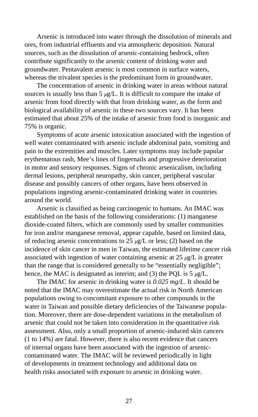Arsenic is introduced into water through the dissolution of minerals and ores, from industrial effluents and via atmospheric deposition. Natural sources, such as the dissolution of arsenic-containing bedrock, often contribute significantly to the arsenic content of drinking water and groundwater. Pentavalent arsenic is most common in surface waters, whereas the trivalent species is the predominant form in groundwater.

The concentration of arsenic in drinking water in areas without natural sources is usually less than  $5 \mu g/L$ . It is difficult to compare the intake of arsenic from food directly with that from drinking water, as the form and biological availability of arsenic in these two sources vary. It has been estimated that about 25% of the intake of arsenic from food is inorganic and 75% is organic.

Symptoms of acute arsenic intoxication associated with the ingestion of well water contaminated with arsenic include abdominal pain, vomiting and pain to the extremities and muscles. Later symptoms may include papular erythematous rash, Mee's lines of fingernails and progressive deterioration in motor and sensory responses. Signs of chronic arsenicalism, including dermal lesions, peripheral neuropathy, skin cancer, peripheral vascular disease and possibly cancers of other organs, have been observed in populations ingesting arsenic-contaminated drinking water in countries around the world.

Arsenic is classified as being carcinogenic to humans. An IMAC was established on the basis of the following considerations: (1) manganese dioxide-coated filters, which are commonly used by smaller communities for iron and/or manganese removal, appear capable, based on limited data, of reducing arsenic concentrations to 25 *µ*g/L or less; (2) based on the incidence of skin cancer in men in Taiwan, the estimated lifetime cancer risk associated with ingestion of water containing arsenic at  $25 \mu g/L$  is greater than the range that is considered generally to be "essentially negligible"; hence, the MAC is designated as interim; and (3) the PQL is 5 *µ*g/L.

The IMAC for arsenic in drinking water is *0.025 mg/L*. It should be noted that the IMAC may overestimate the actual risk in North American populations owing to concomitant exposure to other compounds in the water in Taiwan and possible dietary deficiencies of the Taiwanese population. Moreover, there are dose-dependent variations in the metabolism of arsenic that could not be taken into consideration in the quantitative risk assessment. Also, only a small proportion of arsenic-induced skin cancers (1 to 14%) are fatal. However, there is also recent evidence that cancers of internal organs have been associated with the ingestion of arseniccontaminated water. The IMAC will be reviewed periodically in light of developments in treatment technology and additional data on health risks associated with exposure to arsenic in drinking water.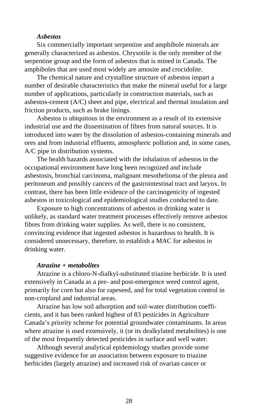### *Asbestos*

Six commercially important serpentine and amphibole minerals are generally characterized as asbestos. Chrysotile is the only member of the serpentine group and the form of asbestos that is mined in Canada. The amphiboles that are used most widely are amosite and crocidolite.

The chemical nature and crystalline structure of asbestos impart a number of desirable characteristics that make the mineral useful for a large number of applications, particularly in construction materials, such as asbestos-cement (A/C) sheet and pipe, electrical and thermal insulation and friction products, such as brake linings.

Asbestos is ubiquitous in the environment as a result of its extensive industrial use and the dissemination of fibres from natural sources. It is introduced into water by the dissolution of asbestos-containing minerals and ores and from industrial effluents, atmospheric pollution and, in some cases, A/C pipe in distribution systems.

The health hazards associated with the inhalation of asbestos in the occupational environment have long been recognized and include asbestosis, bronchial carcinoma, malignant mesothelioma of the pleura and peritoneum and possibly cancers of the gastrointestinal tract and larynx. In contrast, there has been little evidence of the carcinogenicity of ingested asbestos in toxicological and epidemiological studies conducted to date.

Exposure to high concentrations of asbestos in drinking water is unlikely, as standard water treatment processes effectively remove asbestos fibres from drinking water supplies. As well, there is no consistent, convincing evidence that ingested asbestos is hazardous to health. It is considered unnecessary, therefore, to establish a MAC for asbestos in drinking water.

### *Atrazine + metabolites*

Atrazine is a chloro-N-dialkyl-substituted triazine herbicide. It is used extensively in Canada as a pre- and post-emergence weed control agent, primarily for corn but also for rapeseed, and for total vegetation control in non-cropland and industrial areas.

Atrazine has low soil adsorption and soil-water distribution coefficients, and it has been ranked highest of 83 pesticides in Agriculture Canada's priority scheme for potential groundwater contaminants. In areas where atrazine is used extensively, it (or its dealkylated metabolites) is one of the most frequently detected pesticides in surface and well water.

Although several analytical epidemiology studies provide some suggestive evidence for an association between exposure to triazine herbicides (largely atrazine) and increased risk of ovarian cancer or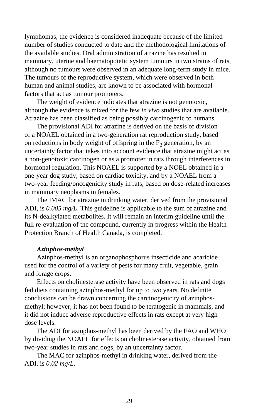lymphomas, the evidence is considered inadequate because of the limited number of studies conducted to date and the methodological limitations of the available studies. Oral administration of atrazine has resulted in mammary, uterine and haematopoietic system tumours in two strains of rats, although no tumours were observed in an adequate long-term study in mice. The tumours of the reproductive system, which were observed in both human and animal studies, are known to be associated with hormonal factors that act as tumour promoters.

The weight of evidence indicates that atrazine is not genotoxic, although the evidence is mixed for the few *in vivo* studies that are available. Atrazine has been classified as being possibly carcinogenic to humans.

The provisional ADI for atrazine is derived on the basis of division of a NOAEL obtained in a two-generation rat reproduction study, based on reductions in body weight of offspring in the  $F_2$  generation, by an uncertainty factor that takes into account evidence that atrazine might act as a non-genotoxic carcinogen or as a promoter in rats through interferences in hormonal regulation. This NOAEL is supported by a NOEL obtained in a one-year dog study, based on cardiac toxicity, and by a NOAEL from a two-year feeding/oncogenicity study in rats, based on dose-related increases in mammary neoplasms in females.

The IMAC for atrazine in drinking water, derived from the provisional ADI, is *0.005 mg/L*. This guideline is applicable to the sum of atrazine and its N-dealkylated metabolites. It will remain an interim guideline until the full re-evaluation of the compound, currently in progress within the Health Protection Branch of Health Canada, is completed.

### *Azinphos-methyl*

Azinphos-methyl is an organophosphorus insecticide and acaricide used for the control of a variety of pests for many fruit, vegetable, grain and forage crops.

Effects on cholinesterase activity have been observed in rats and dogs fed diets containing azinphos-methyl for up to two years. No definite conclusions can be drawn concerning the carcinogenicity of azinphosmethyl; however, it has not been found to be teratogenic in mammals, and it did not induce adverse reproductive effects in rats except at very high dose levels.

The ADI for azinphos-methyl has been derived by the FAO and WHO by dividing the NOAEL for effects on cholinesterase activity, obtained from two-year studies in rats and dogs, by an uncertainty factor.

The MAC for azinphos-methyl in drinking water, derived from the ADI, is *0.02 mg/L*.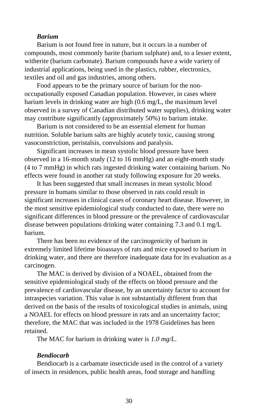### *Barium*

Barium is not found free in nature, but it occurs in a number of compounds, most commonly barite (barium sulphate) and, to a lesser extent, witherite (barium carbonate). Barium compounds have a wide variety of industrial applications, being used in the plastics, rubber, electronics, textiles and oil and gas industries, among others.

Food appears to be the primary source of barium for the nonoccupationally exposed Canadian population. However, in cases where barium levels in drinking water are high (0.6 mg/L, the maximum level observed in a survey of Canadian distributed water supplies), drinking water may contribute significantly (approximately 50%) to barium intake.

Barium is not considered to be an essential element for human nutrition. Soluble barium salts are highly acutely toxic, causing strong vasoconstriction, peristalsis, convulsions and paralysis.

Significant increases in mean systolic blood pressure have been observed in a 16-month study (12 to 16 mmHg) and an eight-month study (4 to 7 mmHg) in which rats ingested drinking water containing barium. No effects were found in another rat study following exposure for 20 weeks.

It has been suggested that small increases in mean systolic blood pressure in humans similar to those observed in rats could result in significant increases in clinical cases of coronary heart disease. However, in the most sensitive epidemiological study conducted to date, there were no significant differences in blood pressure or the prevalence of cardiovascular disease between populations drinking water containing 7.3 and 0.1 mg/L barium.

There has been no evidence of the carcinogenicity of barium in extremely limited lifetime bioassays of rats and mice exposed to barium in drinking water, and there are therefore inadequate data for its evaluation as a carcinogen.

The MAC is derived by division of a NOAEL, obtained from the sensitive epidemiological study of the effects on blood pressure and the prevalence of cardiovascular disease, by an uncertainty factor to account for intraspecies variation. This value is not substantially different from that derived on the basis of the results of toxicological studies in animals, using a NOAEL for effects on blood pressure in rats and an uncertainty factor; therefore, the MAC that was included in the 1978 Guidelines has been retained.

The MAC for barium in drinking water is *1.0 mg/L*.

### *Bendiocarb*

Bendiocarb is a carbamate insecticide used in the control of a variety of insects in residences, public health areas, food storage and handling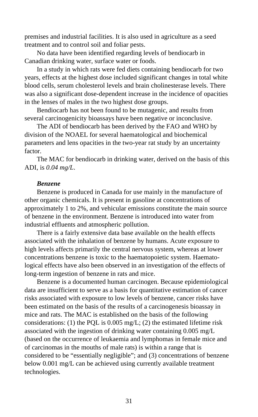premises and industrial facilities. It is also used in agriculture as a seed treatment and to control soil and foliar pests.

No data have been identified regarding levels of bendiocarb in Canadian drinking water, surface water or foods.

In a study in which rats were fed diets containing bendiocarb for two years, effects at the highest dose included significant changes in total white blood cells, serum cholesterol levels and brain cholinesterase levels. There was also a significant dose-dependent increase in the incidence of opacities in the lenses of males in the two highest dose groups.

Bendiocarb has not been found to be mutagenic, and results from several carcinogenicity bioassays have been negative or inconclusive.

The ADI of bendiocarb has been derived by the FAO and WHO by division of the NOAEL for several haematological and biochemical parameters and lens opacities in the two-year rat study by an uncertainty factor.

The MAC for bendiocarb in drinking water, derived on the basis of this ADI, is *0.04 mg/L*.

### *Benzene*

Benzene is produced in Canada for use mainly in the manufacture of other organic chemicals. It is present in gasoline at concentrations of approximately 1 to 2%, and vehicular emissions constitute the main source of benzene in the environment. Benzene is introduced into water from industrial effluents and atmospheric pollution.

There is a fairly extensive data base available on the health effects associated with the inhalation of benzene by humans. Acute exposure to high levels affects primarily the central nervous system, whereas at lower concentrations benzene is toxic to the haematopoietic system. Haematological effects have also been observed in an investigation of the effects of long-term ingestion of benzene in rats and mice.

Benzene is a documented human carcinogen. Because epidemiological data are insufficient to serve as a basis for quantitative estimation of cancer risks associated with exposure to low levels of benzene, cancer risks have been estimated on the basis of the results of a carcinogenesis bioassay in mice and rats. The MAC is established on the basis of the following considerations: (1) the PQL is  $0.005$  mg/L; (2) the estimated lifetime risk associated with the ingestion of drinking water containing 0.005 mg/L (based on the occurrence of leukaemia and lymphomas in female mice and of carcinomas in the mouths of male rats) is within a range that is considered to be "essentially negligible"; and (3) concentrations of benzene below 0.001 mg/L can be achieved using currently available treatment technologies.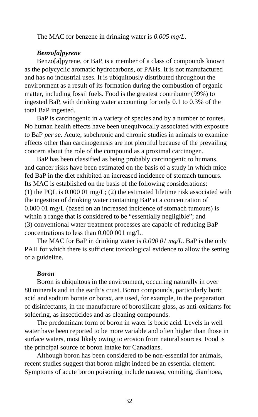The MAC for benzene in drinking water is *0.005 mg/L*.

### *Benzo[a]pyrene*

Benzo[a]pyrene, or BaP, is a member of a class of compounds known as the polycyclic aromatic hydrocarbons, or PAHs. It is not manufactured and has no industrial uses. It is ubiquitously distributed throughout the environment as a result of its formation during the combustion of organic matter, including fossil fuels. Food is the greatest contributor (99%) to ingested BaP, with drinking water accounting for only 0.1 to 0.3% of the total BaP ingested.

BaP is carcinogenic in a variety of species and by a number of routes. No human health effects have been unequivocally associated with exposure to BaP *per se*. Acute, subchronic and chronic studies in animals to examine effects other than carcinogenesis are not plentiful because of the prevailing concern about the role of the compound as a proximal carcinogen.

BaP has been classified as being probably carcinogenic to humans, and cancer risks have been estimated on the basis of a study in which mice fed BaP in the diet exhibited an increased incidence of stomach tumours. Its MAC is established on the basis of the following considerations: (1) the PQL is 0.000 01 mg/L; (2) the estimated lifetime risk associated with the ingestion of drinking water containing BaP at a concentration of 0.000 01 mg/L (based on an increased incidence of stomach tumours) is within a range that is considered to be "essentially negligible"; and (3) conventional water treatment processes are capable of reducing BaP concentrations to less than 0.000 001 mg/L.

The MAC for BaP in drinking water is *0.000 01 mg/L*. BaP is the only PAH for which there is sufficient toxicological evidence to allow the setting of a guideline.

### *Boron*

Boron is ubiquitous in the environment, occurring naturally in over 80 minerals and in the earth's crust. Boron compounds, particularly boric acid and sodium borate or borax, are used, for example, in the preparation of disinfectants, in the manufacture of borosilicate glass, as anti-oxidants for soldering, as insecticides and as cleaning compounds.

The predominant form of boron in water is boric acid. Levels in well water have been reported to be more variable and often higher than those in surface waters, most likely owing to erosion from natural sources. Food is the principal source of boron intake for Canadians.

Although boron has been considered to be non-essential for animals, recent studies suggest that boron might indeed be an essential element. Symptoms of acute boron poisoning include nausea, vomiting, diarrhoea,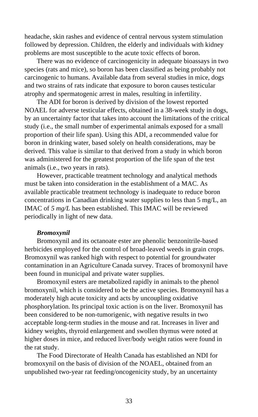headache, skin rashes and evidence of central nervous system stimulation followed by depression. Children, the elderly and individuals with kidney problems are most susceptible to the acute toxic effects of boron.

There was no evidence of carcinogenicity in adequate bioassays in two species (rats and mice), so boron has been classified as being probably not carcinogenic to humans. Available data from several studies in mice, dogs and two strains of rats indicate that exposure to boron causes testicular atrophy and spermatogenic arrest in males, resulting in infertility.

The ADI for boron is derived by division of the lowest reported NOAEL for adverse testicular effects, obtained in a 38-week study in dogs, by an uncertainty factor that takes into account the limitations of the critical study (i.e., the small number of experimental animals exposed for a small proportion of their life span). Using this ADI, a recommended value for boron in drinking water, based solely on health considerations, may be derived. This value is similar to that derived from a study in which boron was administered for the greatest proportion of the life span of the test animals (i.e., two years in rats).

However, practicable treatment technology and analytical methods must be taken into consideration in the establishment of a MAC. As available practicable treatment technology is inadequate to reduce boron concentrations in Canadian drinking water supplies to less than 5 mg/L, an IMAC of *5 mg/L* has been established. This IMAC will be reviewed periodically in light of new data.

### *Bromoxynil*

Bromoxynil and its octanoate ester are phenolic benzonitrile-based herbicides employed for the control of broad-leaved weeds in grain crops. Bromoxynil was ranked high with respect to potential for groundwater contamination in an Agriculture Canada survey. Traces of bromoxynil have been found in municipal and private water supplies.

Bromoxynil esters are metabolized rapidly in animals to the phenol bromoxynil, which is considered to be the active species. Bromoxynil has a moderately high acute toxicity and acts by uncoupling oxidative phosphorylation. Its principal toxic action is on the liver. Bromoxynil has been considered to be non-tumorigenic, with negative results in two acceptable long-term studies in the mouse and rat. Increases in liver and kidney weights, thyroid enlargement and swollen thymus were noted at higher doses in mice, and reduced liver/body weight ratios were found in the rat study.

The Food Directorate of Health Canada has established an NDI for bromoxynil on the basis of division of the NOAEL, obtained from an unpublished two-year rat feeding/oncogenicity study, by an uncertainty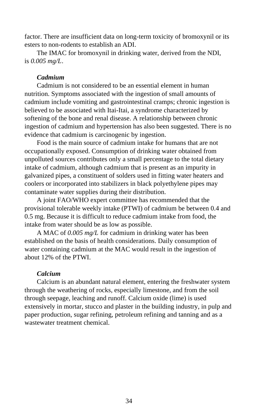factor. There are insufficient data on long-term toxicity of bromoxynil or its esters to non-rodents to establish an ADI.

The IMAC for bromoxynil in drinking water, derived from the NDI, is *0.005 mg/L*.

### *Cadmium*

Cadmium is not considered to be an essential element in human nutrition. Symptoms associated with the ingestion of small amounts of cadmium include vomiting and gastrointestinal cramps; chronic ingestion is believed to be associated with Itai-Itai, a syndrome characterized by softening of the bone and renal disease. A relationship between chronic ingestion of cadmium and hypertension has also been suggested. There is no evidence that cadmium is carcinogenic by ingestion.

Food is the main source of cadmium intake for humans that are not occupationally exposed. Consumption of drinking water obtained from unpolluted sources contributes only a small percentage to the total dietary intake of cadmium, although cadmium that is present as an impurity in galvanized pipes, a constituent of solders used in fitting water heaters and coolers or incorporated into stabilizers in black polyethylene pipes may contaminate water supplies during their distribution.

A joint FAO/WHO expert committee has recommended that the provisional tolerable weekly intake (PTWI) of cadmium be between 0.4 and 0.5 mg. Because it is difficult to reduce cadmium intake from food, the intake from water should be as low as possible.

A MAC of *0.005 mg/L* for cadmium in drinking water has been established on the basis of health considerations. Daily consumption of water containing cadmium at the MAC would result in the ingestion of about 12% of the PTWI.

### *Calcium*

Calcium is an abundant natural element, entering the freshwater system through the weathering of rocks, especially limestone, and from the soil through seepage, leaching and runoff. Calcium oxide (lime) is used extensively in mortar, stucco and plaster in the building industry, in pulp and paper production, sugar refining, petroleum refining and tanning and as a wastewater treatment chemical.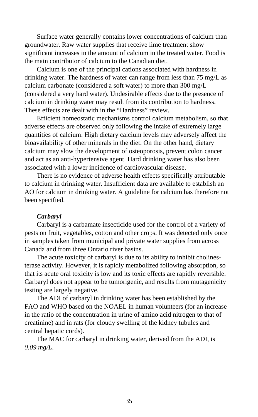Surface water generally contains lower concentrations of calcium than groundwater. Raw water supplies that receive lime treatment show significant increases in the amount of calcium in the treated water. Food is the main contributor of calcium to the Canadian diet.

Calcium is one of the principal cations associated with hardness in drinking water. The hardness of water can range from less than 75 mg/L as calcium carbonate (considered a soft water) to more than 300 mg/L (considered a very hard water). Undesirable effects due to the presence of calcium in drinking water may result from its contribution to hardness. These effects are dealt with in the "Hardness" review.

Efficient homeostatic mechanisms control calcium metabolism, so that adverse effects are observed only following the intake of extremely large quantities of calcium. High dietary calcium levels may adversely affect the bioavailability of other minerals in the diet. On the other hand, dietary calcium may slow the development of osteoporosis, prevent colon cancer and act as an anti-hypertensive agent. Hard drinking water has also been associated with a lower incidence of cardiovascular disease.

There is no evidence of adverse health effects specifically attributable to calcium in drinking water. Insufficient data are available to establish an AO for calcium in drinking water. A guideline for calcium has therefore not been specified.

### *Carbaryl*

Carbaryl is a carbamate insecticide used for the control of a variety of pests on fruit, vegetables, cotton and other crops. It was detected only once in samples taken from municipal and private water supplies from across Canada and from three Ontario river basins.

The acute toxicity of carbaryl is due to its ability to inhibit cholinesterase activity. However, it is rapidly metabolized following absorption, so that its acute oral toxicity is low and its toxic effects are rapidly reversible. Carbaryl does not appear to be tumorigenic, and results from mutagenicity testing are largely negative.

The ADI of carbaryl in drinking water has been established by the FAO and WHO based on the NOAEL in human volunteers (for an increase in the ratio of the concentration in urine of amino acid nitrogen to that of creatinine) and in rats (for cloudy swelling of the kidney tubules and central hepatic cords).

The MAC for carbaryl in drinking water, derived from the ADI, is *0.09 mg/L*.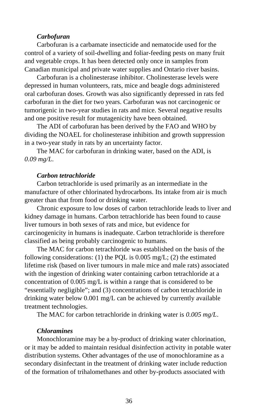## *Carbofuran*

Carbofuran is a carbamate insecticide and nematocide used for the control of a variety of soil-dwelling and foliar-feeding pests on many fruit and vegetable crops. It has been detected only once in samples from Canadian municipal and private water supplies and Ontario river basins.

Carbofuran is a cholinesterase inhibitor. Cholinesterase levels were depressed in human volunteers, rats, mice and beagle dogs administered oral carbofuran doses. Growth was also significantly depressed in rats fed carbofuran in the diet for two years. Carbofuran was not carcinogenic or tumorigenic in two-year studies in rats and mice. Several negative results and one positive result for mutagenicity have been obtained.

The ADI of carbofuran has been derived by the FAO and WHO by dividing the NOAEL for cholinesterase inhibition and growth suppression in a two-year study in rats by an uncertainty factor.

The MAC for carbofuran in drinking water, based on the ADI, is *0.09 mg/L*.

#### *Carbon tetrachloride*

Carbon tetrachloride is used primarily as an intermediate in the manufacture of other chlorinated hydrocarbons. Its intake from air is much greater than that from food or drinking water.

Chronic exposure to low doses of carbon tetrachloride leads to liver and kidney damage in humans. Carbon tetrachloride has been found to cause liver tumours in both sexes of rats and mice, but evidence for carcinogenicity in humans is inadequate. Carbon tetrachloride is therefore classified as being probably carcinogenic to humans.

The MAC for carbon tetrachloride was established on the basis of the following considerations: (1) the PQL is 0.005 mg/L; (2) the estimated lifetime risk (based on liver tumours in male mice and male rats) associated with the ingestion of drinking water containing carbon tetrachloride at a concentration of 0.005 mg/L is within a range that is considered to be "essentially negligible"; and (3) concentrations of carbon tetrachloride in drinking water below 0.001 mg/L can be achieved by currently available treatment technologies.

The MAC for carbon tetrachloride in drinking water is *0.005 mg/L*.

### *Chloramines*

Monochloramine may be a by-product of drinking water chlorination, or it may be added to maintain residual disinfection activity in potable water distribution systems. Other advantages of the use of monochloramine as a secondary disinfectant in the treatment of drinking water include reduction of the formation of trihalomethanes and other by-products associated with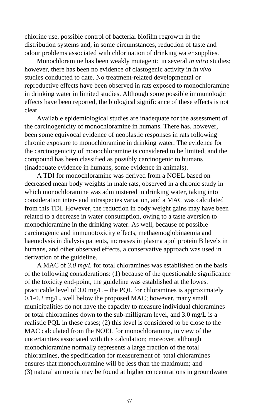chlorine use, possible control of bacterial biofilm regrowth in the distribution systems and, in some circumstances, reduction of taste and odour problems associated with chlorination of drinking water supplies.

Monochloramine has been weakly mutagenic in several *in vitro* studies; however, there has been no evidence of clastogenic activity in *in vivo* studies conducted to date. No treatment-related developmental or reproductive effects have been observed in rats exposed to monochloramine in drinking water in limited studies. Although some possible immunologic effects have been reported, the biological significance of these effects is not clear.

Available epidemiological studies are inadequate for the assessment of the carcinogenicity of monochloramine in humans. There has, however, been some equivocal evidence of neoplastic responses in rats following chronic exposure to monochloramine in drinking water. The evidence for the carcinogenicity of monochloramine is considered to be limited, and the compound has been classified as possibly carcinogenic to humans (inadequate evidence in humans, some evidence in animals).

A TDI for monochloramine was derived from a NOEL based on decreased mean body weights in male rats, observed in a chronic study in which monochloramine was administered in drinking water, taking into consideration inter- and intraspecies variation, and a MAC was calculated from this TDI. However, the reduction in body weight gains may have been related to a decrease in water consumption, owing to a taste aversion to monochloramine in the drinking water. As well, because of possible carcinogenic and immunotoxicity effects, methaemoglobinaemia and haemolysis in dialysis patients, increases in plasma apoliprotein B levels in humans, and other observed effects, a conservative approach was used in derivation of the guideline.

A MAC of *3.0 mg/L* for total chloramines was established on the basis of the following considerations: (1) because of the questionable significance of the toxicity end-point, the guideline was established at the lowest practicable level of  $3.0 \text{ mg/L}$  – the PQL for chloramines is approximately 0.1-0.2 mg/L, well below the proposed MAC; however, many small municipalities do not have the capacity to measure individual chloramines or total chloramines down to the sub-milligram level, and 3.0 mg/L is a realistic PQL in these cases; (2) this level is considered to be close to the MAC calculated from the NOEL for monochloramine, in view of the uncertainties associated with this calculation; moreover, although monochloramine normally represents a large fraction of the total chloramines, the specification for measurement of total chloramines ensures that monochloramine will be less than the maximum; and (3) natural ammonia may be found at higher concentrations in groundwater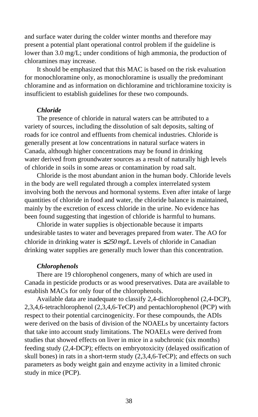and surface water during the colder winter months and therefore may present a potential plant operational control problem if the guideline is lower than 3.0 mg/L; under conditions of high ammonia, the production of chloramines may increase.

It should be emphasized that this MAC is based on the risk evaluation for monochloramine only, as monochloramine is usually the predominant chloramine and as information on dichloramine and trichloramine toxicity is insufficient to establish guidelines for these two compounds.

### *Chloride*

The presence of chloride in natural waters can be attributed to a variety of sources, including the dissolution of salt deposits, salting of roads for ice control and effluents from chemical industries. Chloride is generally present at low concentrations in natural surface waters in Canada, although higher concentrations may be found in drinking water derived from groundwater sources as a result of naturally high levels of chloride in soils in some areas or contamination by road salt.

Chloride is the most abundant anion in the human body. Chloride levels in the body are well regulated through a complex interrelated system involving both the nervous and hormonal systems. Even after intake of large quantities of chloride in food and water, the chloride balance is maintained, mainly by the excretion of excess chloride in the urine. No evidence has been found suggesting that ingestion of chloride is harmful to humans.

Chloride in water supplies is objectionable because it imparts undesirable tastes to water and beverages prepared from water. The AO for chloride in drinking water is ≤ *250 mg/L*. Levels of chloride in Canadian drinking water supplies are generally much lower than this concentration.

### *Chlorophenols*

There are 19 chlorophenol congeners, many of which are used in Canada in pesticide products or as wood preservatives. Data are available to establish MACs for only four of the chlorophenols.

Available data are inadequate to classify 2,4-dichlorophenol (2,4-DCP), 2,3,4,6-tetrachlorophenol (2,3,4,6-TeCP) and pentachlorophenol (PCP) with respect to their potential carcinogenicity. For these compounds, the ADIs were derived on the basis of division of the NOAELs by uncertainty factors that take into account study limitations. The NOAELs were derived from studies that showed effects on liver in mice in a subchronic (six months) feeding study (2,4-DCP); effects on embryotoxicity (delayed ossification of skull bones) in rats in a short-term study (2,3,4,6-TeCP); and effects on such parameters as body weight gain and enzyme activity in a limited chronic study in mice (PCP).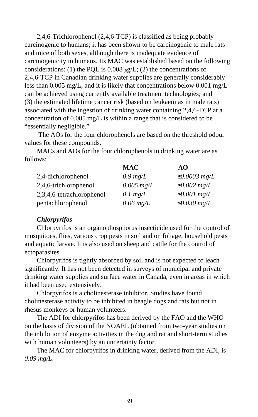2,4,6-Trichlorophenol (2,4,6-TCP) is classified as being probably carcinogenic to humans; it has been shown to be carcinogenic to male rats and mice of both sexes, although there is inadequate evidence of carcinogenicity in humans. Its MAC was established based on the following considerations: (1) the PQL is 0.008 *µ*g/L; (2) the concentrations of 2,4,6-TCP in Canadian drinking water supplies are generally considerably less than 0.005 mg/L, and it is likely that concentrations below 0.001 mg/L can be achieved using currently available treatment technologies; and (3) the estimated lifetime cancer risk (based on leukaemias in male rats) associated with the ingestion of drinking water containing 2,4,6-TCP at a concentration of 0.005 mg/L is within a range that is considered to be "essentially negligible."

 The AOs for the four chlorophenols are based on the threshold odour values for these compounds.

MACs and AOs for the four chlorophenols in drinking water are as follows:

|                           | MAC                 | AO                 |
|---------------------------|---------------------|--------------------|
| 2,4-dichlorophenol        | $0.9 \text{ mg/L}$  | $\leq 0.0003$ mg/L |
| 2,4,6-trichlorophenol     | $0.005$ mg/L        | $\leq 0.002$ mg/L  |
| 2,3,4,6-tetrachlorophenol | $0.1 \text{ mg/L}$  | $\leq 0.001$ mg/L  |
| pentachlorophenol         | $0.06 \text{ mg/L}$ | $\leq 0.030$ mg/L  |

# *Chlorpyrifos*

Chlorpyrifos is an organophosphorus insecticide used for the control of mosquitoes, flies, various crop pests in soil and on foliage, household pests and aquatic larvae. It is also used on sheep and cattle for the control of ectoparasites.

Chlorpyrifos is tightly absorbed by soil and is not expected to leach significantly. It has not been detected in surveys of municipal and private drinking water supplies and surface water in Canada, even in areas in which it had been used extensively.

Chlorpyrifos is a cholinesterase inhibitor. Studies have found cholinesterase activity to be inhibited in beagle dogs and rats but not in rhesus monkeys or human volunteers.

The ADI for chlorpyrifos has been derived by the FAO and the WHO on the basis of division of the NOAEL (obtained from two-year studies on the inhibition of enzyme activities in the dog and rat and short-term studies with human volunteers) by an uncertainty factor.

The MAC for chlorpyrifos in drinking water, derived from the ADI, is *0.09 mg/L*.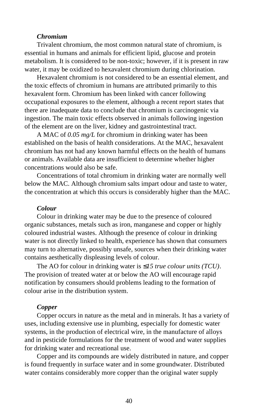## *Chromium*

Trivalent chromium, the most common natural state of chromium, is essential in humans and animals for efficient lipid, glucose and protein metabolism. It is considered to be non-toxic; however, if it is present in raw water, it may be oxidized to hexavalent chromium during chlorination.

Hexavalent chromium is not considered to be an essential element, and the toxic effects of chromium in humans are attributed primarily to this hexavalent form. Chromium has been linked with cancer following occupational exposures to the element, although a recent report states that there are inadequate data to conclude that chromium is carcinogenic via ingestion. The main toxic effects observed in animals following ingestion of the element are on the liver, kidney and gastrointestinal tract.

A MAC of *0.05 mg/L* for chromium in drinking water has been established on the basis of health considerations. At the MAC, hexavalent chromium has not had any known harmful effects on the health of humans or animals. Available data are insufficient to determine whether higher concentrations would also be safe.

Concentrations of total chromium in drinking water are normally well below the MAC. Although chromium salts impart odour and taste to water, the concentration at which this occurs is considerably higher than the MAC.

## *Colour*

Colour in drinking water may be due to the presence of coloured organic substances, metals such as iron, manganese and copper or highly coloured industrial wastes. Although the presence of colour in drinking water is not directly linked to health, experience has shown that consumers may turn to alternative, possibly unsafe, sources when their drinking water contains aesthetically displeasing levels of colour.

The AO for colour in drinking water is ≤*15 true colour units (TCU)*. The provision of treated water at or below the AO will encourage rapid notification by consumers should problems leading to the formation of colour arise in the distribution system.

#### *Copper*

Copper occurs in nature as the metal and in minerals. It has a variety of uses, including extensive use in plumbing, especially for domestic water systems, in the production of electrical wire, in the manufacture of alloys and in pesticide formulations for the treatment of wood and water supplies for drinking water and recreational use.

Copper and its compounds are widely distributed in nature, and copper is found frequently in surface water and in some groundwater. Distributed water contains considerably more copper than the original water supply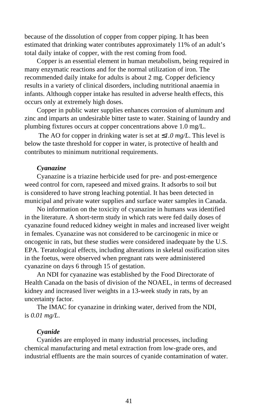because of the dissolution of copper from copper piping. It has been estimated that drinking water contributes approximately 11% of an adult's total daily intake of copper, with the rest coming from food.

Copper is an essential element in human metabolism, being required in many enzymatic reactions and for the normal utilization of iron. The recommended daily intake for adults is about 2 mg. Copper deficiency results in a variety of clinical disorders, including nutritional anaemia in infants. Although copper intake has resulted in adverse health effects, this occurs only at extremely high doses.

Copper in public water supplies enhances corrosion of aluminum and zinc and imparts an undesirable bitter taste to water. Staining of laundry and plumbing fixtures occurs at copper concentrations above 1.0 mg/L.

 The AO for copper in drinking water is set at ≤*1.0 mg/L*. This level is below the taste threshold for copper in water, is protective of health and contributes to minimum nutritional requirements.

# *Cyanazine*

Cyanazine is a triazine herbicide used for pre- and post-emergence weed control for corn, rapeseed and mixed grains. It adsorbs to soil but is considered to have strong leaching potential. It has been detected in municipal and private water supplies and surface water samples in Canada.

No information on the toxicity of cyanazine in humans was identified in the literature. A short-term study in which rats were fed daily doses of cyanazine found reduced kidney weight in males and increased liver weight in females. Cyanazine was not considered to be carcinogenic in mice or oncogenic in rats, but these studies were considered inadequate by the U.S. EPA. Teratological effects, including alterations in skeletal ossification sites in the foetus, were observed when pregnant rats were administered cyanazine on days 6 through 15 of gestation.

An NDI for cyanazine was established by the Food Directorate of Health Canada on the basis of division of the NOAEL, in terms of decreased kidney and increased liver weights in a 13-week study in rats, by an uncertainty factor.

The IMAC for cyanazine in drinking water, derived from the NDI, is *0.01 mg/L*.

### *Cyanide*

Cyanides are employed in many industrial processes, including chemical manufacturing and metal extraction from low-grade ores, and industrial effluents are the main sources of cyanide contamination of water.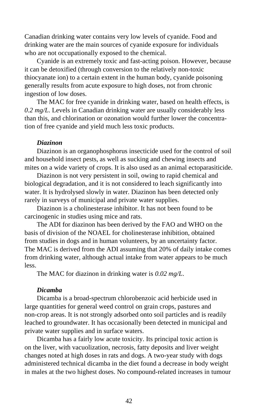Canadian drinking water contains very low levels of cyanide. Food and drinking water are the main sources of cyanide exposure for individuals who are not occupationally exposed to the chemical.

Cyanide is an extremely toxic and fast-acting poison. However, because it can be detoxified (through conversion to the relatively non-toxic thiocyanate ion) to a certain extent in the human body, cyanide poisoning generally results from acute exposure to high doses, not from chronic ingestion of low doses.

The MAC for free cyanide in drinking water, based on health effects, is *0.2 mg/L*. Levels in Canadian drinking water are usually considerably less than this, and chlorination or ozonation would further lower the concentration of free cyanide and yield much less toxic products.

### *Diazinon*

Diazinon is an organophosphorus insecticide used for the control of soil and household insect pests, as well as sucking and chewing insects and mites on a wide variety of crops. It is also used as an animal ectoparasiticide.

Diazinon is not very persistent in soil, owing to rapid chemical and biological degradation, and it is not considered to leach significantly into water. It is hydrolysed slowly in water. Diazinon has been detected only rarely in surveys of municipal and private water supplies.

Diazinon is a cholinesterase inhibitor. It has not been found to be carcinogenic in studies using mice and rats.

The ADI for diazinon has been derived by the FAO and WHO on the basis of division of the NOAEL for cholinesterase inhibition, obtained from studies in dogs and in human volunteers, by an uncertainty factor. The MAC is derived from the ADI assuming that 20% of daily intake comes from drinking water, although actual intake from water appears to be much less.

The MAC for diazinon in drinking water is *0.02 mg/L*.

#### *Dicamba*

Dicamba is a broad-spectrum chlorobenzoic acid herbicide used in large quantities for general weed control on grain crops, pastures and non-crop areas. It is not strongly adsorbed onto soil particles and is readily leached to groundwater. It has occasionally been detected in municipal and private water supplies and in surface waters.

Dicamba has a fairly low acute toxicity. Its principal toxic action is on the liver, with vacuolization, necrosis, fatty deposits and liver weight changes noted at high doses in rats and dogs. A two-year study with dogs administered technical dicamba in the diet found a decrease in body weight in males at the two highest doses. No compound-related increases in tumour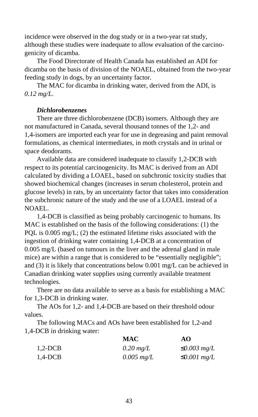incidence were observed in the dog study or in a two-year rat study, although these studies were inadequate to allow evaluation of the carcinogenicity of dicamba.

The Food Directorate of Health Canada has established an ADI for dicamba on the basis of division of the NOAEL, obtained from the two-year feeding study in dogs, by an uncertainty factor.

The MAC for dicamba in drinking water, derived from the ADI, is *0.12 mg/L*.

# *Dichlorobenzenes*

There are three dichlorobenzene (DCB) isomers. Although they are not manufactured in Canada, several thousand tonnes of the 1,2- and 1,4-isomers are imported each year for use in degreasing and paint removal formulations, as chemical intermediates, in moth crystals and in urinal or space deodorants.

Available data are considered inadequate to classify 1,2-DCB with respect to its potential carcinogenicity. Its MAC is derived from an ADI calculated by dividing a LOAEL, based on subchronic toxicity studies that showed biochemical changes (increases in serum cholesterol, protein and glucose levels) in rats, by an uncertainty factor that takes into consideration the subchronic nature of the study and the use of a LOAEL instead of a NOAEL.

1,4-DCB is classified as being probably carcinogenic to humans. Its MAC is established on the basis of the following considerations: (1) the PQL is 0.005 mg/L; (2) the estimated lifetime risks associated with the ingestion of drinking water containing 1,4-DCB at a concentration of 0.005 mg/L (based on tumours in the liver and the adrenal gland in male mice) are within a range that is considered to be "essentially negligible"; and (3) it is likely that concentrations below 0.001 mg/L can be achieved in Canadian drinking water supplies using currently available treatment technologies.

There are no data available to serve as a basis for establishing a MAC for 1,3-DCB in drinking water.

The AOs for 1,2- and 1,4-DCB are based on their threshold odour values.

The following MACs and AOs have been established for 1,2-and 1,4-DCB in drinking water:

|                  | <b>MAC</b>          | AO                |
|------------------|---------------------|-------------------|
| $1.2\text{-DCB}$ | $0.20 \text{ mg/L}$ | $\leq 0.003$ mg/L |
| $1,4$ -DCB       | $0.005$ mg/L        | $\leq 0.001$ mg/L |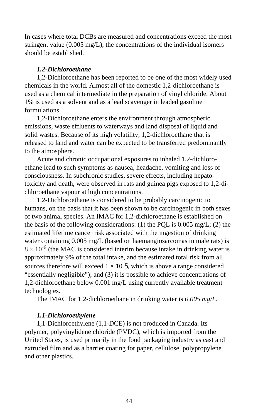In cases where total DCBs are measured and concentrations exceed the most stringent value (0.005 mg/L), the concentrations of the individual isomers should be established.

# *1,2-Dichloroethane*

1,2-Dichloroethane has been reported to be one of the most widely used chemicals in the world. Almost all of the domestic 1,2-dichloroethane is used as a chemical intermediate in the preparation of vinyl chloride. About 1% is used as a solvent and as a lead scavenger in leaded gasoline formulations.

1,2-Dichloroethane enters the environment through atmospheric emissions, waste effluents to waterways and land disposal of liquid and solid wastes. Because of its high volatility, 1,2-dichloroethane that is released to land and water can be expected to be transferred predominantly to the atmosphere.

Acute and chronic occupational exposures to inhaled 1,2-dichloroethane lead to such symptoms as nausea, headache, vomiting and loss of consciousness. In subchronic studies, severe effects, including hepatotoxicity and death, were observed in rats and guinea pigs exposed to 1,2-dichloroethane vapour at high concentrations.

1,2-Dichloroethane is considered to be probably carcinogenic to humans, on the basis that it has been shown to be carcinogenic in both sexes of two animal species. An IMAC for 1,2-dichloroethane is established on the basis of the following considerations: (1) the PQL is  $0.005 \text{ mg/L}$ ; (2) the estimated lifetime cancer risk associated with the ingestion of drinking water containing 0.005 mg/L (based on haemangiosarcomas in male rats) is  $8 \times 10^{-6}$  (the MAC is considered interim because intake in drinking water is approximately 9% of the total intake, and the estimated total risk from all sources therefore will exceed  $1 \times 10^{-5}$ , which is above a range considered "essentially negligible"); and (3) it is possible to achieve concentrations of 1,2-dichloroethane below 0.001 mg/L using currently available treatment technologies.

The IMAC for 1,2-dichloroethane in drinking water is *0.005 mg/L*.

# *1,1-Dichloroethylene*

1,1-Dichloroethylene (1,1-DCE) is not produced in Canada. Its polymer, polyvinylidene chloride (PVDC), which is imported from the United States, is used primarily in the food packaging industry as cast and extruded film and as a barrier coating for paper, cellulose, polypropylene and other plastics.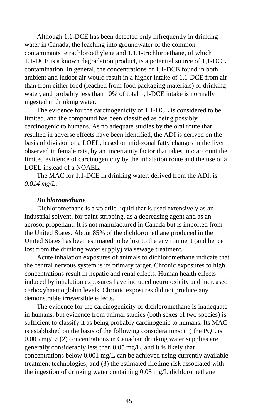Although 1,1-DCE has been detected only infrequently in drinking water in Canada, the leaching into groundwater of the common contaminants tetrachloroethylene and 1,1,1-trichloroethane, of which 1,1-DCE is a known degradation product, is a potential source of 1,1-DCE contamination. In general, the concentrations of 1,1-DCE found in both ambient and indoor air would result in a higher intake of 1,1-DCE from air than from either food (leached from food packaging materials) or drinking water, and probably less than 10% of total 1,1-DCE intake is normally ingested in drinking water.

The evidence for the carcinogenicity of 1,1-DCE is considered to be limited, and the compound has been classified as being possibly carcinogenic to humans. As no adequate studies by the oral route that resulted in adverse effects have been identified, the ADI is derived on the basis of division of a LOEL, based on mid-zonal fatty changes in the liver observed in female rats, by an uncertainty factor that takes into account the limited evidence of carcinogenicity by the inhalation route and the use of a LOEL instead of a NOAEL.

The MAC for 1,1-DCE in drinking water, derived from the ADI, is *0.014 mg/L*.

## *Dichloromethane*

Dichloromethane is a volatile liquid that is used extensively as an industrial solvent, for paint stripping, as a degreasing agent and as an aerosol propellant. It is not manufactured in Canada but is imported from the United States. About 85% of the dichloromethane produced in the United States has been estimated to be lost to the environment (and hence lost from the drinking water supply) via sewage treatment.

Acute inhalation exposures of animals to dichloromethane indicate that the central nervous system is its primary target. Chronic exposures to high concentrations result in hepatic and renal effects. Human health effects induced by inhalation exposures have included neurotoxicity and increased carboxyhaemoglobin levels. Chronic exposures did not produce any demonstrable irreversible effects.

The evidence for the carcinogenicity of dichloromethane is inadequate in humans, but evidence from animal studies (both sexes of two species) is sufficient to classify it as being probably carcinogenic to humans. Its MAC is established on the basis of the following considerations: (1) the PQL is 0.005 mg/L; (2) concentrations in Canadian drinking water supplies are generally considerably less than 0.05 mg/L, and it is likely that concentrations below 0.001 mg/L can be achieved using currently available treatment technologies; and (3) the estimated lifetime risk associated with the ingestion of drinking water containing 0.05 mg/L dichloromethane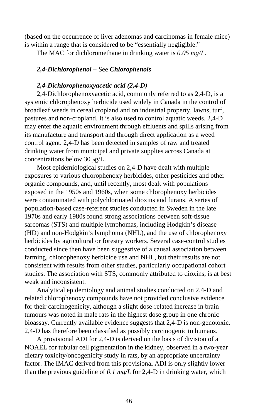(based on the occurrence of liver adenomas and carcinomas in female mice) is within a range that is considered to be "essentially negligible."

The MAC for dichloromethane in drinking water is *0.05 mg/L*.

# *2,4-Dichlorophenol –* See *Chlorophenols*

# *2,4-Dichlorophenoxyacetic acid (2,4-D)*

2,4-Dichlorophenoxyacetic acid, commonly referred to as 2,4-D, is a systemic chlorophenoxy herbicide used widely in Canada in the control of broadleaf weeds in cereal cropland and on industrial property, lawns, turf, pastures and non-cropland. It is also used to control aquatic weeds. 2,4-D may enter the aquatic environment through effluents and spills arising from its manufacture and transport and through direct application as a weed control agent. 2,4-D has been detected in samples of raw and treated drinking water from municipal and private supplies across Canada at concentrations below 30 *µ*g/L.

Most epidemiological studies on 2,4-D have dealt with multiple exposures to various chlorophenoxy herbicides, other pesticides and other organic compounds, and, until recently, most dealt with populations exposed in the 1950s and 1960s, when some chlorophenoxy herbicides were contaminated with polychlorinated dioxins and furans. A series of population-based case-referent studies conducted in Sweden in the late 1970s and early 1980s found strong associations between soft-tissue sarcomas (STS) and multiple lymphomas, including Hodgkin's disease (HD) and non-Hodgkin's lymphoma (NHL), and the use of chlorophenoxy herbicides by agricultural or forestry workers. Several case-control studies conducted since then have been suggestive of a causal association between farming, chlorophenoxy herbicide use and NHL, but their results are not consistent with results from other studies, particularly occupational cohort studies. The association with STS, commonly attributed to dioxins, is at best weak and inconsistent.

Analytical epidemiology and animal studies conducted on 2,4-D and related chlorophenoxy compounds have not provided conclusive evidence for their carcinogenicity, although a slight dose-related increase in brain tumours was noted in male rats in the highest dose group in one chronic bioassay. Currently available evidence suggests that 2,4-D is non-genotoxic. 2,4-D has therefore been classified as possibly carcinogenic to humans.

A provisional ADI for 2,4-D is derived on the basis of division of a NOAEL for tubular cell pigmentation in the kidney, observed in a two-year dietary toxicity/oncogenicity study in rats, by an appropriate uncertainty factor. The IMAC derived from this provisional ADI is only slightly lower than the previous guideline of *0.1 mg/L* for 2,4-D in drinking water, which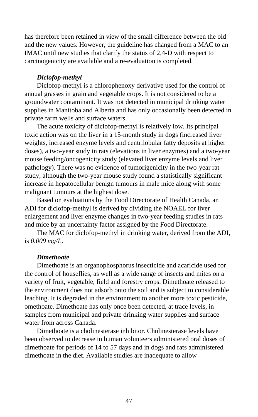has therefore been retained in view of the small difference between the old and the new values. However, the guideline has changed from a MAC to an IMAC until new studies that clarify the status of 2,4-D with respect to carcinogenicity are available and a re-evaluation is completed.

# *Diclofop-methyl*

Diclofop-methyl is a chlorophenoxy derivative used for the control of annual grasses in grain and vegetable crops. It is not considered to be a groundwater contaminant. It was not detected in municipal drinking water supplies in Manitoba and Alberta and has only occasionally been detected in private farm wells and surface waters.

The acute toxicity of diclofop-methyl is relatively low. Its principal toxic action was on the liver in a 15-month study in dogs (increased liver weights, increased enzyme levels and centrilobular fatty deposits at higher doses), a two-year study in rats (elevations in liver enzymes) and a two-year mouse feeding/oncogenicity study (elevated liver enzyme levels and liver pathology). There was no evidence of tumorigenicity in the two-year rat study, although the two-year mouse study found a statistically significant increase in hepatocellular benign tumours in male mice along with some malignant tumours at the highest dose.

Based on evaluations by the Food Directorate of Health Canada, an ADI for diclofop-methyl is derived by dividing the NOAEL for liver enlargement and liver enzyme changes in two-year feeding studies in rats and mice by an uncertainty factor assigned by the Food Directorate.

The MAC for diclofop-methyl in drinking water, derived from the ADI, is *0.009 mg/L*.

# *Dimethoate*

Dimethoate is an organophosphorus insecticide and acaricide used for the control of houseflies, as well as a wide range of insects and mites on a variety of fruit, vegetable, field and forestry crops. Dimethoate released to the environment does not adsorb onto the soil and is subject to considerable leaching. It is degraded in the environment to another more toxic pesticide, omethoate. Dimethoate has only once been detected, at trace levels, in samples from municipal and private drinking water supplies and surface water from across Canada.

Dimethoate is a cholinesterase inhibitor. Cholinesterase levels have been observed to decrease in human volunteers administered oral doses of dimethoate for periods of 14 to 57 days and in dogs and rats administered dimethoate in the diet. Available studies are inadequate to allow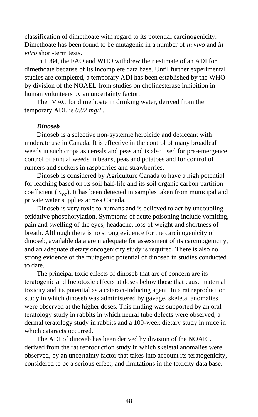classification of dimethoate with regard to its potential carcinogenicity. Dimethoate has been found to be mutagenic in a number of *in vivo* and *in vitro* short-term tests.

In 1984, the FAO and WHO withdrew their estimate of an ADI for dimethoate because of its incomplete data base. Until further experimental studies are completed, a temporary ADI has been established by the WHO by division of the NOAEL from studies on cholinesterase inhibition in human volunteers by an uncertainty factor.

The IMAC for dimethoate in drinking water, derived from the temporary ADI, is *0.02 mg/L*.

### *Dinoseb*

Dinoseb is a selective non-systemic herbicide and desiccant with moderate use in Canada. It is effective in the control of many broadleaf weeds in such crops as cereals and peas and is also used for pre-emergence control of annual weeds in beans, peas and potatoes and for control of runners and suckers in raspberries and strawberries.

Dinoseb is considered by Agriculture Canada to have a high potential for leaching based on its soil half-life and its soil organic carbon partition coefficient  $(K<sub>oc</sub>)$ . It has been detected in samples taken from municipal and private water supplies across Canada.

Dinoseb is very toxic to humans and is believed to act by uncoupling oxidative phosphorylation. Symptoms of acute poisoning include vomiting, pain and swelling of the eyes, headache, loss of weight and shortness of breath. Although there is no strong evidence for the carcinogenicity of dinoseb, available data are inadequate for assessment of its carcinogenicity, and an adequate dietary oncogenicity study is required. There is also no strong evidence of the mutagenic potential of dinoseb in studies conducted to date.

The principal toxic effects of dinoseb that are of concern are its teratogenic and foetotoxic effects at doses below those that cause maternal toxicity and its potential as a cataract-inducing agent. In a rat reproduction study in which dinoseb was administered by gavage, skeletal anomalies were observed at the higher doses. This finding was supported by an oral teratology study in rabbits in which neural tube defects were observed, a dermal teratology study in rabbits and a 100-week dietary study in mice in which cataracts occurred.

The ADI of dinoseb has been derived by division of the NOAEL, derived from the rat reproduction study in which skeletal anomalies were observed, by an uncertainty factor that takes into account its teratogenicity, considered to be a serious effect, and limitations in the toxicity data base.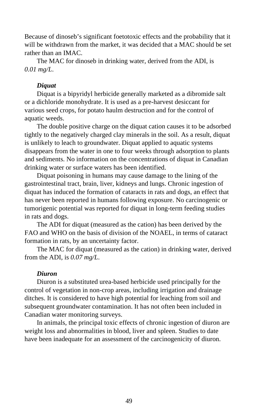Because of dinoseb's significant foetotoxic effects and the probability that it will be withdrawn from the market, it was decided that a MAC should be set rather than an IMAC.

The MAC for dinoseb in drinking water, derived from the ADI, is *0.01 mg/L*.

# *Diquat*

Diquat is a bipyridyl herbicide generally marketed as a dibromide salt or a dichloride monohydrate. It is used as a pre-harvest desiccant for various seed crops, for potato haulm destruction and for the control of aquatic weeds.

The double positive charge on the diquat cation causes it to be adsorbed tightly to the negatively charged clay minerals in the soil. As a result, diquat is unlikely to leach to groundwater. Diquat applied to aquatic systems disappears from the water in one to four weeks through adsorption to plants and sediments. No information on the concentrations of diquat in Canadian drinking water or surface waters has been identified.

Diquat poisoning in humans may cause damage to the lining of the gastrointestinal tract, brain, liver, kidneys and lungs. Chronic ingestion of diquat has induced the formation of cataracts in rats and dogs, an effect that has never been reported in humans following exposure. No carcinogenic or tumorigenic potential was reported for diquat in long-term feeding studies in rats and dogs.

The ADI for diquat (measured as the cation) has been derived by the FAO and WHO on the basis of division of the NOAEL, in terms of cataract formation in rats, by an uncertainty factor.

The MAC for diquat (measured as the cation) in drinking water, derived from the ADI, is *0.07 mg/L*.

### *Diuron*

Diuron is a substituted urea-based herbicide used principally for the control of vegetation in non-crop areas, including irrigation and drainage ditches. It is considered to have high potential for leaching from soil and subsequent groundwater contamination. It has not often been included in Canadian water monitoring surveys.

In animals, the principal toxic effects of chronic ingestion of diuron are weight loss and abnormalities in blood, liver and spleen. Studies to date have been inadequate for an assessment of the carcinogenicity of diuron.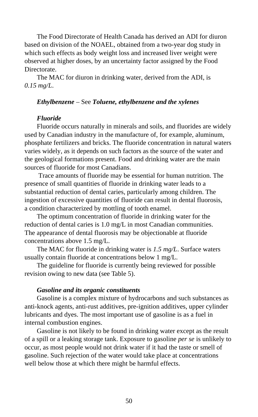The Food Directorate of Health Canada has derived an ADI for diuron based on division of the NOAEL, obtained from a two-year dog study in which such effects as body weight loss and increased liver weight were observed at higher doses, by an uncertainty factor assigned by the Food Directorate.

The MAC for diuron in drinking water, derived from the ADI, is *0.15 mg/L*.

# *Ethylbenzene* – See *Toluene, ethylbenzene and the xylenes*

## *Fluoride*

Fluoride occurs naturally in minerals and soils, and fluorides are widely used by Canadian industry in the manufacture of, for example, aluminum, phosphate fertilizers and bricks. The fluoride concentration in natural waters varies widely, as it depends on such factors as the source of the water and the geological formations present. Food and drinking water are the main sources of fluoride for most Canadians.

 Trace amounts of fluoride may be essential for human nutrition. The presence of small quantities of fluoride in drinking water leads to a substantial reduction of dental caries, particularly among children. The ingestion of excessive quantities of fluoride can result in dental fluorosis, a condition characterized by mottling of tooth enamel.

The optimum concentration of fluoride in drinking water for the reduction of dental caries is 1.0 mg/L in most Canadian communities. The appearance of dental fluorosis may be objectionable at fluoride concentrations above 1.5 mg/L.

The MAC for fluoride in drinking water is *1.5 mg/L*. Surface waters usually contain fluoride at concentrations below 1 mg/L.

The guideline for fluoride is currently being reviewed for possible revision owing to new data (see Table 5).

#### *Gasoline and its organic constituents*

Gasoline is a complex mixture of hydrocarbons and such substances as anti-knock agents, anti-rust additives, pre-ignition additives, upper cylinder lubricants and dyes. The most important use of gasoline is as a fuel in internal combustion engines.

Gasoline is not likely to be found in drinking water except as the result of a spill or a leaking storage tank. Exposure to gasoline *per se* is unlikely to occur, as most people would not drink water if it had the taste or smell of gasoline. Such rejection of the water would take place at concentrations well below those at which there might be harmful effects.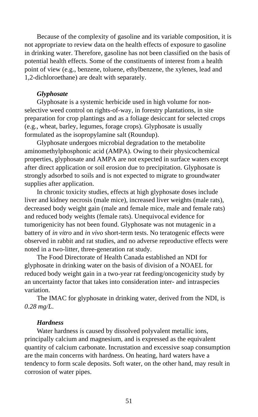Because of the complexity of gasoline and its variable composition, it is not appropriate to review data on the health effects of exposure to gasoline in drinking water. Therefore, gasoline has not been classified on the basis of potential health effects. Some of the constituents of interest from a health point of view (e.g., benzene, toluene, ethylbenzene, the xylenes, lead and 1,2-dichloroethane) are dealt with separately.

#### *Glyphosate*

Glyphosate is a systemic herbicide used in high volume for nonselective weed control on rights-of-way, in forestry plantations, in site preparation for crop plantings and as a foliage desiccant for selected crops (e.g., wheat, barley, legumes, forage crops). Glyphosate is usually formulated as the isopropylamine salt (Roundup).

Glyphosate undergoes microbial degradation to the metabolite aminomethylphosphonic acid (AMPA). Owing to their physicochemical properties, glyphosate and AMPA are not expected in surface waters except after direct application or soil erosion due to precipitation. Glyphosate is strongly adsorbed to soils and is not expected to migrate to groundwater supplies after application.

In chronic toxicity studies, effects at high glyphosate doses include liver and kidney necrosis (male mice), increased liver weights (male rats), decreased body weight gain (male and female mice, male and female rats) and reduced body weights (female rats). Unequivocal evidence for tumorigenicity has not been found. Glyphosate was not mutagenic in a battery of *in vitro* and *in vivo* short-term tests. No teratogenic effects were observed in rabbit and rat studies, and no adverse reproductive effects were noted in a two-litter, three-generation rat study.

The Food Directorate of Health Canada established an NDI for glyphosate in drinking water on the basis of division of a NOAEL for reduced body weight gain in a two-year rat feeding/oncogenicity study by an uncertainty factor that takes into consideration inter- and intraspecies variation.

The IMAC for glyphosate in drinking water, derived from the NDI, is *0.28 mg/L*.

## *Hardness*

Water hardness is caused by dissolved polyvalent metallic ions, principally calcium and magnesium, and is expressed as the equivalent quantity of calcium carbonate. Incrustation and excessive soap consumption are the main concerns with hardness. On heating, hard waters have a tendency to form scale deposits. Soft water, on the other hand, may result in corrosion of water pipes.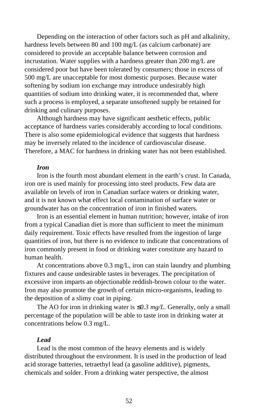Depending on the interaction of other factors such as pH and alkalinity, hardness levels between 80 and 100 mg/L (as calcium carbonate) are considered to provide an acceptable balance between corrosion and incrustation. Water supplies with a hardness greater than 200 mg/L are considered poor but have been tolerated by consumers; those in excess of 500 mg/L are unacceptable for most domestic purposes. Because water softening by sodium ion exchange may introduce undesirably high quantities of sodium into drinking water, it is recommended that, where such a process is employed, a separate unsoftened supply be retained for drinking and culinary purposes.

Although hardness may have significant aesthetic effects, public acceptance of hardness varies considerably according to local conditions. There is also some epidemiological evidence that suggests that hardness may be inversely related to the incidence of cardiovascular disease. Therefore, a MAC for hardness in drinking water has not been established.

#### *Iron*

Iron is the fourth most abundant element in the earth's crust. In Canada, iron ore is used mainly for processing into steel products. Few data are available on levels of iron in Canadian surface waters or drinking water, and it is not known what effect local contamination of surface water or groundwater has on the concentration of iron in finished waters.

Iron is an essential element in human nutrition; however, intake of iron from a typical Canadian diet is more than sufficient to meet the minimum daily requirement. Toxic effects have resulted from the ingestion of large quantities of iron, but there is no evidence to indicate that concentrations of iron commonly present in food or drinking water constitute any hazard to human health.

At concentrations above 0.3 mg/L, iron can stain laundry and plumbing fixtures and cause undesirable tastes in beverages. The precipitation of excessive iron imparts an objectionable reddish-brown colour to the water. Iron may also promote the growth of certain micro-organisms, leading to the deposition of a slimy coat in piping.

The AO for iron in drinking water is ≤*0.3 mg/L*. Generally, only a small percentage of the population will be able to taste iron in drinking water at concentrations below 0.3 mg/L.

# *Lead*

Lead is the most common of the heavy elements and is widely distributed throughout the environment. It is used in the production of lead acid storage batteries, tetraethyl lead (a gasoline additive), pigments, chemicals and solder. From a drinking water perspective, the almost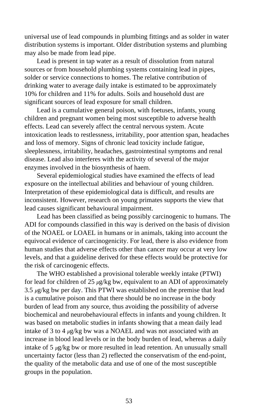universal use of lead compounds in plumbing fittings and as solder in water distribution systems is important. Older distribution systems and plumbing may also be made from lead pipe.

Lead is present in tap water as a result of dissolution from natural sources or from household plumbing systems containing lead in pipes, solder or service connections to homes. The relative contribution of drinking water to average daily intake is estimated to be approximately 10% for children and 11% for adults. Soils and household dust are significant sources of lead exposure for small children.

Lead is a cumulative general poison, with foetuses, infants, young children and pregnant women being most susceptible to adverse health effects. Lead can severely affect the central nervous system. Acute intoxication leads to restlessness, irritability, poor attention span, headaches and loss of memory. Signs of chronic lead toxicity include fatigue, sleeplessness, irritability, headaches, gastrointestinal symptoms and renal disease. Lead also interferes with the activity of several of the major enzymes involved in the biosynthesis of haem.

Several epidemiological studies have examined the effects of lead exposure on the intellectual abilities and behaviour of young children. Interpretation of these epidemiological data is difficult, and results are inconsistent. However, research on young primates supports the view that lead causes significant behavioural impairment.

Lead has been classified as being possibly carcinogenic to humans. The ADI for compounds classified in this way is derived on the basis of division of the NOAEL or LOAEL in humans or in animals, taking into account the equivocal evidence of carcinogenicity. For lead, there is also evidence from human studies that adverse effects other than cancer may occur at very low levels, and that a guideline derived for these effects would be protective for the risk of carcinogenic effects.

The WHO established a provisional tolerable weekly intake (PTWI) for lead for children of 25 *µ*g/kg bw, equivalent to an ADI of approximately 3.5 *µ*g/kg bw per day. This PTWI was established on the premise that lead is a cumulative poison and that there should be no increase in the body burden of lead from any source, thus avoiding the possibility of adverse biochemical and neurobehavioural effects in infants and young children. It was based on metabolic studies in infants showing that a mean daily lead intake of 3 to 4 *µ*g/kg bw was a NOAEL and was not associated with an increase in blood lead levels or in the body burden of lead, whereas a daily intake of 5 *µ*g/kg bw or more resulted in lead retention. An unusually small uncertainty factor (less than 2) reflected the conservatism of the end-point, the quality of the metabolic data and use of one of the most susceptible groups in the population.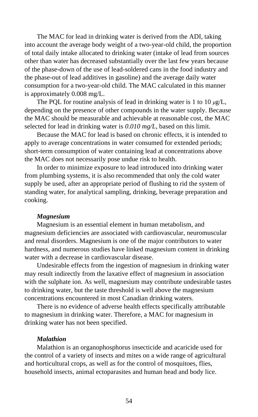The MAC for lead in drinking water is derived from the ADI, taking into account the average body weight of a two-year-old child, the proportion of total daily intake allocated to drinking water (intake of lead from sources other than water has decreased substantially over the last few years because of the phase-down of the use of lead-soldered cans in the food industry and the phase-out of lead additives in gasoline) and the average daily water consumption for a two-year-old child. The MAC calculated in this manner is approximately 0.008 mg/L.

The PQL for routine analysis of lead in drinking water is 1 to  $10 \mu g/L$ , depending on the presence of other compounds in the water supply. Because the MAC should be measurable and achievable at reasonable cost, the MAC selected for lead in drinking water is *0.010 mg/L*, based on this limit.

Because the MAC for lead is based on chronic effects, it is intended to apply to average concentrations in water consumed for extended periods; short-term consumption of water containing lead at concentrations above the MAC does not necessarily pose undue risk to health.

In order to minimize exposure to lead introduced into drinking water from plumbing systems, it is also recommended that only the cold water supply be used, after an appropriate period of flushing to rid the system of standing water, for analytical sampling, drinking, beverage preparation and cooking.

### *Magnesium*

Magnesium is an essential element in human metabolism, and magnesium deficiencies are associated with cardiovascular, neuromuscular and renal disorders. Magnesium is one of the major contributors to water hardness, and numerous studies have linked magnesium content in drinking water with a decrease in cardiovascular disease.

Undesirable effects from the ingestion of magnesium in drinking water may result indirectly from the laxative effect of magnesium in association with the sulphate ion. As well, magnesium may contribute undesirable tastes to drinking water, but the taste threshold is well above the magnesium concentrations encountered in most Canadian drinking waters.

There is no evidence of adverse health effects specifically attributable to magnesium in drinking water. Therefore, a MAC for magnesium in drinking water has not been specified.

# *Malathion*

Malathion is an organophosphorus insecticide and acaricide used for the control of a variety of insects and mites on a wide range of agricultural and horticultural crops, as well as for the control of mosquitoes, flies, household insects, animal ectoparasites and human head and body lice.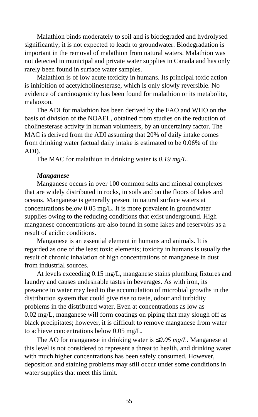Malathion binds moderately to soil and is biodegraded and hydrolysed significantly; it is not expected to leach to groundwater. Biodegradation is important in the removal of malathion from natural waters. Malathion was not detected in municipal and private water supplies in Canada and has only rarely been found in surface water samples.

Malathion is of low acute toxicity in humans. Its principal toxic action is inhibition of acetylcholinesterase, which is only slowly reversible. No evidence of carcinogenicity has been found for malathion or its metabolite, malaoxon.

The ADI for malathion has been derived by the FAO and WHO on the basis of division of the NOAEL, obtained from studies on the reduction of cholinesterase activity in human volunteers, by an uncertainty factor. The MAC is derived from the ADI assuming that 20% of daily intake comes from drinking water (actual daily intake is estimated to be 0.06% of the ADI).

The MAC for malathion in drinking water is *0.19 mg/L*.

#### *Manganese*

Manganese occurs in over 100 common salts and mineral complexes that are widely distributed in rocks, in soils and on the floors of lakes and oceans. Manganese is generally present in natural surface waters at concentrations below 0.05 mg/L. It is more prevalent in groundwater supplies owing to the reducing conditions that exist underground. High manganese concentrations are also found in some lakes and reservoirs as a result of acidic conditions.

Manganese is an essential element in humans and animals. It is regarded as one of the least toxic elements; toxicity in humans is usually the result of chronic inhalation of high concentrations of manganese in dust from industrial sources.

At levels exceeding 0.15 mg/L, manganese stains plumbing fixtures and laundry and causes undesirable tastes in beverages. As with iron, its presence in water may lead to the accumulation of microbial growths in the distribution system that could give rise to taste, odour and turbidity problems in the distributed water. Even at concentrations as low as 0.02 mg/L, manganese will form coatings on piping that may slough off as black precipitates; however, it is difficult to remove manganese from water to achieve concentrations below 0.05 mg/L.

The AO for manganese in drinking water is ≤*0.05 mg/L*. Manganese at this level is not considered to represent a threat to health, and drinking water with much higher concentrations has been safely consumed. However, deposition and staining problems may still occur under some conditions in water supplies that meet this limit.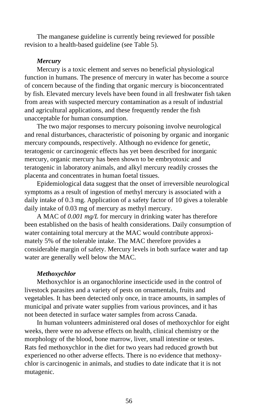The manganese guideline is currently being reviewed for possible revision to a health-based guideline (see Table 5).

# *Mercury*

Mercury is a toxic element and serves no beneficial physiological function in humans. The presence of mercury in water has become a source of concern because of the finding that organic mercury is bioconcentrated by fish. Elevated mercury levels have been found in all freshwater fish taken from areas with suspected mercury contamination as a result of industrial and agricultural applications, and these frequently render the fish unacceptable for human consumption.

The two major responses to mercury poisoning involve neurological and renal disturbances, characteristic of poisoning by organic and inorganic mercury compounds, respectively. Although no evidence for genetic, teratogenic or carcinogenic effects has yet been described for inorganic mercury, organic mercury has been shown to be embryotoxic and teratogenic in laboratory animals, and alkyl mercury readily crosses the placenta and concentrates in human foetal tissues.

Epidemiological data suggest that the onset of irreversible neurological symptoms as a result of ingestion of methyl mercury is associated with a daily intake of 0.3 mg. Application of a safety factor of 10 gives a tolerable daily intake of 0.03 mg of mercury as methyl mercury.

A MAC of *0.001 mg/L* for mercury in drinking water has therefore been established on the basis of health considerations. Daily consumption of water containing total mercury at the MAC would contribute approximately 5% of the tolerable intake. The MAC therefore provides a considerable margin of safety. Mercury levels in both surface water and tap water are generally well below the MAC.

### *Methoxychlor*

Methoxychlor is an organochlorine insecticide used in the control of livestock parasites and a variety of pests on ornamentals, fruits and vegetables. It has been detected only once, in trace amounts, in samples of municipal and private water supplies from various provinces, and it has not been detected in surface water samples from across Canada.

In human volunteers administered oral doses of methoxychlor for eight weeks, there were no adverse effects on health, clinical chemistry or the morphology of the blood, bone marrow, liver, small intestine or testes. Rats fed methoxychlor in the diet for two years had reduced growth but experienced no other adverse effects. There is no evidence that methoxychlor is carcinogenic in animals, and studies to date indicate that it is not mutagenic.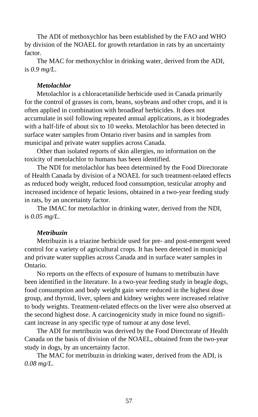The ADI of methoxychlor has been established by the FAO and WHO by division of the NOAEL for growth retardation in rats by an uncertainty factor.

The MAC for methoxychlor in drinking water, derived from the ADI, is *0.9 mg/L*.

# *Metolachlor*

Metolachlor is a chloracetanilide herbicide used in Canada primarily for the control of grasses in corn, beans, soybeans and other crops, and it is often applied in combination with broadleaf herbicides. It does not accumulate in soil following repeated annual applications, as it biodegrades with a half-life of about six to 10 weeks. Metolachlor has been detected in surface water samples from Ontario river basins and in samples from municipal and private water supplies across Canada.

Other than isolated reports of skin allergies, no information on the toxicity of metolachlor to humans has been identified.

The NDI for metolachlor has been determined by the Food Directorate of Health Canada by division of a NOAEL for such treatment-related effects as reduced body weight, reduced food consumption, testicular atrophy and increased incidence of hepatic lesions, obtained in a two-year feeding study in rats, by an uncertainty factor.

The IMAC for metolachlor in drinking water, derived from the NDI, is *0.05 mg/L*.

# *Metribuzin*

Metribuzin is a triazine herbicide used for pre- and post-emergent weed control for a variety of agricultural crops. It has been detected in municipal and private water supplies across Canada and in surface water samples in Ontario.

No reports on the effects of exposure of humans to metribuzin have been identified in the literature. In a two-year feeding study in beagle dogs, food consumption and body weight gain were reduced in the highest dose group, and thyroid, liver, spleen and kidney weights were increased relative to body weights. Treatment-related effects on the liver were also observed at the second highest dose. A carcinogenicity study in mice found no significant increase in any specific type of tumour at any dose level.

The ADI for metribuzin was derived by the Food Directorate of Health Canada on the basis of division of the NOAEL, obtained from the two-year study in dogs, by an uncertainty factor.

The MAC for metribuzin in drinking water, derived from the ADI, is *0.08 mg/L*.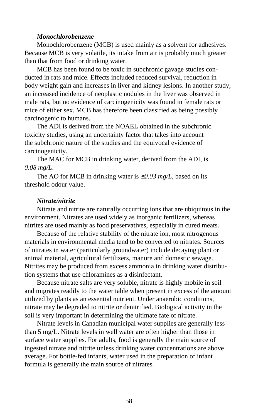## *Monochlorobenzene*

Monochlorobenzene (MCB) is used mainly as a solvent for adhesives. Because MCB is very volatile, its intake from air is probably much greater than that from food or drinking water.

MCB has been found to be toxic in subchronic gavage studies conducted in rats and mice. Effects included reduced survival, reduction in body weight gain and increases in liver and kidney lesions. In another study, an increased incidence of neoplastic nodules in the liver was observed in male rats, but no evidence of carcinogenicity was found in female rats or mice of either sex. MCB has therefore been classified as being possibly carcinogenic to humans.

The ADI is derived from the NOAEL obtained in the subchronic toxicity studies, using an uncertainty factor that takes into account the subchronic nature of the studies and the equivocal evidence of carcinogenicity.

The MAC for MCB in drinking water, derived from the ADI, is *0.08 mg/L*.

The AO for MCB in drinking water is ≤*0.03 mg/L*, based on its threshold odour value.

# *Nitrate/nitrite*

Nitrate and nitrite are naturally occurring ions that are ubiquitous in the environment. Nitrates are used widely as inorganic fertilizers, whereas nitrites are used mainly as food preservatives, especially in cured meats.

Because of the relative stability of the nitrate ion, most nitrogenous materials in environmental media tend to be converted to nitrates. Sources of nitrates in water (particularly groundwater) include decaying plant or animal material, agricultural fertilizers, manure and domestic sewage. Nitrites may be produced from excess ammonia in drinking water distribution systems that use chloramines as a disinfectant.

Because nitrate salts are very soluble, nitrate is highly mobile in soil and migrates readily to the water table when present in excess of the amount utilized by plants as an essential nutrient. Under anaerobic conditions, nitrate may be degraded to nitrite or denitrified. Biological activity in the soil is very important in determining the ultimate fate of nitrate.

Nitrate levels in Canadian municipal water supplies are generally less than 5 mg/L. Nitrate levels in well water are often higher than those in surface water supplies. For adults, food is generally the main source of ingested nitrate and nitrite unless drinking water concentrations are above average. For bottle-fed infants, water used in the preparation of infant formula is generally the main source of nitrates.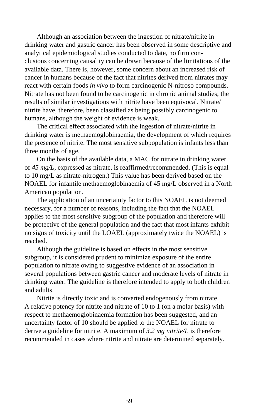Although an association between the ingestion of nitrate/nitrite in drinking water and gastric cancer has been observed in some descriptive and analytical epidemiological studies conducted to date, no firm conclusions concerning causality can be drawn because of the limitations of the available data. There is, however, some concern about an increased risk of cancer in humans because of the fact that nitrites derived from nitrates may react with certain foods *in vivo* to form carcinogenic N-nitroso compounds. Nitrate has not been found to be carcinogenic in chronic animal studies; the results of similar investigations with nitrite have been equivocal. Nitrate/ nitrite have, therefore, been classified as being possibly carcinogenic to humans, although the weight of evidence is weak.

The critical effect associated with the ingestion of nitrate/nitrite in drinking water is methaemoglobinaemia, the development of which requires the presence of nitrite. The most sensitive subpopulation is infants less than three months of age.

On the basis of the available data, a MAC for nitrate in drinking water of *45 mg/L*, expressed as nitrate, is reaffirmed/recommended. (This is equal to 10 mg/L as nitrate-nitrogen.) This value has been derived based on the NOAEL for infantile methaemoglobinaemia of 45 mg/L observed in a North American population.

The application of an uncertainty factor to this NOAEL is not deemed necessary, for a number of reasons, including the fact that the NOAEL applies to the most sensitive subgroup of the population and therefore will be protective of the general population and the fact that most infants exhibit no signs of toxicity until the LOAEL (approximately twice the NOAEL) is reached.

Although the guideline is based on effects in the most sensitive subgroup, it is considered prudent to minimize exposure of the entire population to nitrate owing to suggestive evidence of an association in several populations between gastric cancer and moderate levels of nitrate in drinking water. The guideline is therefore intended to apply to both children and adults.

Nitrite is directly toxic and is converted endogenously from nitrate. A relative potency for nitrite and nitrate of 10 to 1 (on a molar basis) with respect to methaemoglobinaemia formation has been suggested, and an uncertainty factor of 10 should be applied to the NOAEL for nitrate to derive a guideline for nitrite. A maximum of *3.2 mg nitrite/L* is therefore recommended in cases where nitrite and nitrate are determined separately.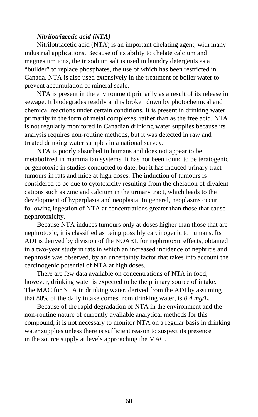## *Nitrilotriacetic acid (NTA)*

Nitrilotriacetic acid (NTA) is an important chelating agent, with many industrial applications. Because of its ability to chelate calcium and magnesium ions, the trisodium salt is used in laundry detergents as a "builder" to replace phosphates, the use of which has been restricted in Canada. NTA is also used extensively in the treatment of boiler water to prevent accumulation of mineral scale.

NTA is present in the environment primarily as a result of its release in sewage. It biodegrades readily and is broken down by photochemical and chemical reactions under certain conditions. It is present in drinking water primarily in the form of metal complexes, rather than as the free acid. NTA is not regularly monitored in Canadian drinking water supplies because its analysis requires non-routine methods, but it was detected in raw and treated drinking water samples in a national survey.

NTA is poorly absorbed in humans and does not appear to be metabolized in mammalian systems. It has not been found to be teratogenic or genotoxic in studies conducted to date, but it has induced urinary tract tumours in rats and mice at high doses. The induction of tumours is considered to be due to cytotoxicity resulting from the chelation of divalent cations such as zinc and calcium in the urinary tract, which leads to the development of hyperplasia and neoplasia. In general, neoplasms occur following ingestion of NTA at concentrations greater than those that cause nephrotoxicity.

Because NTA induces tumours only at doses higher than those that are nephrotoxic, it is classified as being possibly carcinogenic to humans. Its ADI is derived by division of the NOAEL for nephrotoxic effects, obtained in a two-year study in rats in which an increased incidence of nephritis and nephrosis was observed, by an uncertainty factor that takes into account the carcinogenic potential of NTA at high doses.

There are few data available on concentrations of NTA in food; however, drinking water is expected to be the primary source of intake. The MAC for NTA in drinking water, derived from the ADI by assuming that 80% of the daily intake comes from drinking water, is *0.4 mg/L*.

Because of the rapid degradation of NTA in the environment and the non-routine nature of currently available analytical methods for this compound, it is not necessary to monitor NTA on a regular basis in drinking water supplies unless there is sufficient reason to suspect its presence in the source supply at levels approaching the MAC.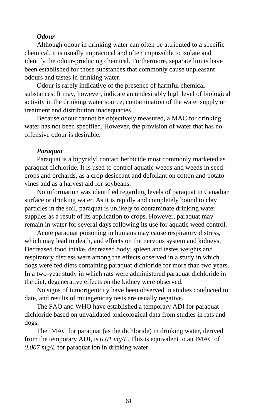## *Odour*

Although odour in drinking water can often be attributed to a specific chemical, it is usually impractical and often impossible to isolate and identify the odour-producing chemical. Furthermore, separate limits have been established for those substances that commonly cause unpleasant odours and tastes in drinking water.

Odour is rarely indicative of the presence of harmful chemical substances. It may, however, indicate an undesirably high level of biological activity in the drinking water source, contamination of the water supply or treatment and distribution inadequacies.

Because odour cannot be objectively measured, a MAC for drinking water has not been specified. However, the provision of water that has no offensive odour is desirable.

#### *Paraquat*

Paraquat is a bipyridyl contact herbicide most commonly marketed as paraquat dichloride. It is used to control aquatic weeds and weeds in seed crops and orchards, as a crop desiccant and defoliant on cotton and potato vines and as a harvest aid for soybeans.

No information was identified regarding levels of paraquat in Canadian surface or drinking water. As it is rapidly and completely bound to clay particles in the soil, paraquat is unlikely to contaminate drinking water supplies as a result of its application to crops. However, paraquat may remain in water for several days following its use for aquatic weed control.

Acute paraquat poisoning in humans may cause respiratory distress, which may lead to death, and effects on the nervous system and kidneys. Decreased food intake, decreased body, spleen and testes weights and respiratory distress were among the effects observed in a study in which dogs were fed diets containing paraquat dichloride for more than two years. In a two-year study in which rats were administered paraquat dichloride in the diet, degenerative effects on the kidney were observed.

No signs of tumorigenicity have been observed in studies conducted to date, and results of mutagenicity tests are usually negative.

The FAO and WHO have established a temporary ADI for paraquat dichloride based on unvalidated toxicological data from studies in rats and dogs.

The IMAC for paraquat (as the dichloride) in drinking water, derived from the temporary ADI, is *0.01 mg/L*. This is equivalent to an IMAC of *0.007 mg/L* for paraquat ion in drinking water.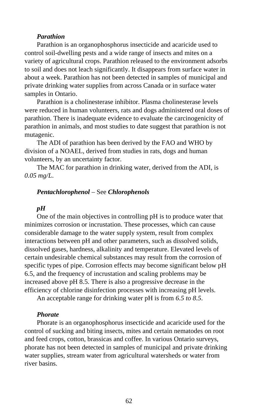## *Parathion*

Parathion is an organophosphorus insecticide and acaricide used to control soil-dwelling pests and a wide range of insects and mites on a variety of agricultural crops. Parathion released to the environment adsorbs to soil and does not leach significantly. It disappears from surface water in about a week. Parathion has not been detected in samples of municipal and private drinking water supplies from across Canada or in surface water samples in Ontario.

Parathion is a cholinesterase inhibitor. Plasma cholinesterase levels were reduced in human volunteers, rats and dogs administered oral doses of parathion. There is inadequate evidence to evaluate the carcinogenicity of parathion in animals, and most studies to date suggest that parathion is not mutagenic.

The ADI of parathion has been derived by the FAO and WHO by division of a NOAEL, derived from studies in rats, dogs and human volunteers, by an uncertainty factor.

The MAC for parathion in drinking water, derived from the ADI, is *0.05 mg/L*.

#### *Pentachlorophenol* – See *Chlorophenols*

### *pH*

One of the main objectives in controlling pH is to produce water that minimizes corrosion or incrustation. These processes, which can cause considerable damage to the water supply system, result from complex interactions between pH and other parameters, such as dissolved solids, dissolved gases, hardness, alkalinity and temperature. Elevated levels of certain undesirable chemical substances may result from the corrosion of specific types of pipe. Corrosion effects may become significant below pH 6.5, and the frequency of incrustation and scaling problems may be increased above pH 8.5. There is also a progressive decrease in the efficiency of chlorine disinfection processes with increasing pH levels.

An acceptable range for drinking water pH is from *6.5 to 8.5*.

#### *Phorate*

Phorate is an organophosphorus insecticide and acaricide used for the control of sucking and biting insects, mites and certain nematodes on root and feed crops, cotton, brassicas and coffee. In various Ontario surveys, phorate has not been detected in samples of municipal and private drinking water supplies, stream water from agricultural watersheds or water from river basins.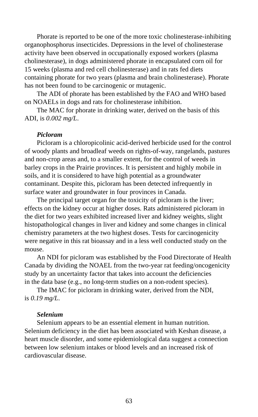Phorate is reported to be one of the more toxic cholinesterase-inhibiting organophosphorus insecticides. Depressions in the level of cholinesterase activity have been observed in occupationally exposed workers (plasma cholinesterase), in dogs administered phorate in encapsulated corn oil for 15 weeks (plasma and red cell cholinesterase) and in rats fed diets containing phorate for two years (plasma and brain cholinesterase). Phorate has not been found to be carcinogenic or mutagenic.

The ADI of phorate has been established by the FAO and WHO based on NOAELs in dogs and rats for cholinesterase inhibition.

The MAC for phorate in drinking water, derived on the basis of this ADI, is *0.002 mg/L*.

#### *Picloram*

Picloram is a chloropicolinic acid-derived herbicide used for the control of woody plants and broadleaf weeds on rights-of-way, rangelands, pastures and non-crop areas and, to a smaller extent, for the control of weeds in barley crops in the Prairie provinces. It is persistent and highly mobile in soils, and it is considered to have high potential as a groundwater contaminant. Despite this, picloram has been detected infrequently in surface water and groundwater in four provinces in Canada.

The principal target organ for the toxicity of picloram is the liver; effects on the kidney occur at higher doses. Rats administered picloram in the diet for two years exhibited increased liver and kidney weights, slight histopathological changes in liver and kidney and some changes in clinical chemistry parameters at the two highest doses. Tests for carcinogenicity were negative in this rat bioassay and in a less well conducted study on the mouse.

An NDI for picloram was established by the Food Directorate of Health Canada by dividing the NOAEL from the two-year rat feeding/oncogenicity study by an uncertainty factor that takes into account the deficiencies in the data base (e.g., no long-term studies on a non-rodent species).

The IMAC for picloram in drinking water, derived from the NDI, is *0.19 mg/L*.

## *Selenium*

Selenium appears to be an essential element in human nutrition. Selenium deficiency in the diet has been associated with Keshan disease, a heart muscle disorder, and some epidemiological data suggest a connection between low selenium intakes or blood levels and an increased risk of cardiovascular disease.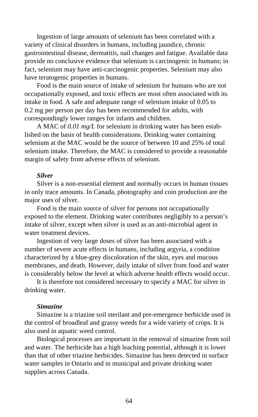Ingestion of large amounts of selenium has been correlated with a variety of clinical disorders in humans, including jaundice, chronic gastrointestinal disease, dermatitis, nail changes and fatigue. Available data provide no conclusive evidence that selenium is carcinogenic in humans; in fact, selenium may have anti-carcinogenic properties. Selenium may also have teratogenic properties in humans.

Food is the main source of intake of selenium for humans who are not occupationally exposed, and toxic effects are most often associated with its intake in food. A safe and adequate range of selenium intake of 0.05 to 0.2 mg per person per day has been recommended for adults, with correspondingly lower ranges for infants and children.

A MAC of *0.01 mg/L* for selenium in drinking water has been established on the basis of health considerations. Drinking water containing selenium at the MAC would be the source of between 10 and 25% of total selenium intake. Therefore, the MAC is considered to provide a reasonable margin of safety from adverse effects of selenium.

# *Silver*

Silver is a non-essential element and normally occurs in human tissues in only trace amounts. In Canada, photography and coin production are the major uses of silver.

Food is the main source of silver for persons not occupationally exposed to the element. Drinking water contributes negligibly to a person's intake of silver, except when silver is used as an anti-microbial agent in water treatment devices.

Ingestion of very large doses of silver has been associated with a number of severe acute effects in humans, including argyria, a condition characterized by a blue-grey discoloration of the skin, eyes and mucous membranes, and death. However, daily intake of silver from food and water is considerably below the level at which adverse health effects would occur.

It is therefore not considered necessary to specify a MAC for silver in drinking water.

## *Simazine*

Simazine is a triazine soil sterilant and pre-emergence herbicide used in the control of broadleaf and grassy weeds for a wide variety of crops. It is also used in aquatic weed control.

Biological processes are important in the removal of simazine from soil and water. The herbicide has a high leaching potential, although it is lower than that of other triazine herbicides. Simazine has been detected in surface water samples in Ontario and in municipal and private drinking water supplies across Canada.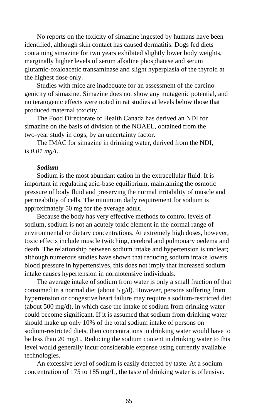No reports on the toxicity of simazine ingested by humans have been identified, although skin contact has caused dermatitis. Dogs fed diets containing simazine for two years exhibited slightly lower body weights, marginally higher levels of serum alkaline phosphatase and serum glutamic-oxaloacetic transaminase and slight hyperplasia of the thyroid at the highest dose only.

Studies with mice are inadequate for an assessment of the carcinogenicity of simazine. Simazine does not show any mutagenic potential, and no teratogenic effects were noted in rat studies at levels below those that produced maternal toxicity.

The Food Directorate of Health Canada has derived an NDI for simazine on the basis of division of the NOAEL, obtained from the two-year study in dogs, by an uncertainty factor.

The IMAC for simazine in drinking water, derived from the NDI, is *0.01 mg/L*.

#### *Sodium*

Sodium is the most abundant cation in the extracellular fluid. It is important in regulating acid-base equilibrium, maintaining the osmotic pressure of body fluid and preserving the normal irritability of muscle and permeability of cells. The minimum daily requirement for sodium is approximately 50 mg for the average adult.

Because the body has very effective methods to control levels of sodium, sodium is not an acutely toxic element in the normal range of environmental or dietary concentrations. At extremely high doses, however, toxic effects include muscle twitching, cerebral and pulmonary oedema and death. The relationship between sodium intake and hypertension is unclear; although numerous studies have shown that reducing sodium intake lowers blood pressure in hypertensives, this does not imply that increased sodium intake causes hypertension in normotensive individuals.

The average intake of sodium from water is only a small fraction of that consumed in a normal diet (about 5 g/d). However, persons suffering from hypertension or congestive heart failure may require a sodium-restricted diet (about 500 mg/d), in which case the intake of sodium from drinking water could become significant. If it is assumed that sodium from drinking water should make up only 10% of the total sodium intake of persons on sodium-restricted diets, then concentrations in drinking water would have to be less than 20 mg/L. Reducing the sodium content in drinking water to this level would generally incur considerable expense using currently available technologies.

An excessive level of sodium is easily detected by taste. At a sodium concentration of 175 to 185 mg/L, the taste of drinking water is offensive.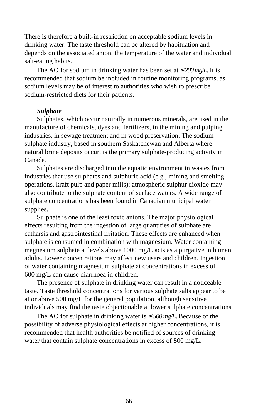There is therefore a built-in restriction on acceptable sodium levels in drinking water. The taste threshold can be altered by habituation and depends on the associated anion, the temperature of the water and individual salt-eating habits.

The AO for sodium in drinking water has been set at ≤ *200 mg/L*. It is recommended that sodium be included in routine monitoring programs, as sodium levels may be of interest to authorities who wish to prescribe sodium-restricted diets for their patients.

### *Sulphate*

Sulphates, which occur naturally in numerous minerals, are used in the manufacture of chemicals, dyes and fertilizers, in the mining and pulping industries, in sewage treatment and in wood preservation. The sodium sulphate industry, based in southern Saskatchewan and Alberta where natural brine deposits occur, is the primary sulphate-producing activity in Canada.

Sulphates are discharged into the aquatic environment in wastes from industries that use sulphates and sulphuric acid (e.g., mining and smelting operations, kraft pulp and paper mills); atmospheric sulphur dioxide may also contribute to the sulphate content of surface waters. A wide range of sulphate concentrations has been found in Canadian municipal water supplies.

Sulphate is one of the least toxic anions. The major physiological effects resulting from the ingestion of large quantities of sulphate are catharsis and gastrointestinal irritation. These effects are enhanced when sulphate is consumed in combination with magnesium. Water containing magnesium sulphate at levels above 1000 mg/L acts as a purgative in human adults. Lower concentrations may affect new users and children. Ingestion of water containing magnesium sulphate at concentrations in excess of 600 mg/L can cause diarrhoea in children.

The presence of sulphate in drinking water can result in a noticeable taste. Taste threshold concentrations for various sulphate salts appear to be at or above 500 mg/L for the general population, although sensitive individuals may find the taste objectionable at lower sulphate concentrations.

The AO for sulphate in drinking water is ≤ *500 mg/L*. Because of the possibility of adverse physiological effects at higher concentrations, it is recommended that health authorities be notified of sources of drinking water that contain sulphate concentrations in excess of 500 mg/L.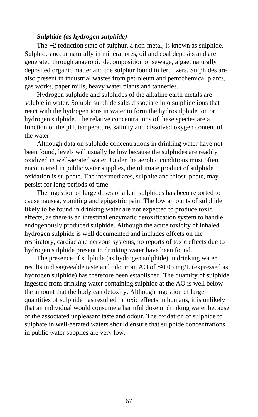# *Sulphide (as hydrogen sulphide)*

The −2 reduction state of sulphur, a non-metal, is known as sulphide. Sulphides occur naturally in mineral ores, oil and coal deposits and are generated through anaerobic decomposition of sewage, algae, naturally deposited organic matter and the sulphur found in fertilizers. Sulphides are also present in industrial wastes from petroleum and petrochemical plants, gas works, paper mills, heavy water plants and tanneries.

Hydrogen sulphide and sulphides of the alkaline earth metals are soluble in water. Soluble sulphide salts dissociate into sulphide ions that react with the hydrogen ions in water to form the hydrosulphide ion or hydrogen sulphide. The relative concentrations of these species are a function of the pH, temperature, salinity and dissolved oxygen content of the water.

Although data on sulphide concentrations in drinking water have not been found, levels will usually be low because the sulphides are readily oxidized in well-aerated water. Under the aerobic conditions most often encountered in public water supplies, the ultimate product of sulphide oxidation is sulphate. The intermediates, sulphite and thiosulphate, may persist for long periods of time.

The ingestion of large doses of alkali sulphides has been reported to cause nausea, vomiting and epigastric pain. The low amounts of sulphide likely to be found in drinking water are not expected to produce toxic effects, as there is an intestinal enzymatic detoxification system to handle endogenously produced sulphide. Although the acute toxicity of inhaled hydrogen sulphide is well documented and includes effects on the respiratory, cardiac and nervous systems, no reports of toxic effects due to hydrogen sulphide present in drinking water have been found.

The presence of sulphide (as hydrogen sulphide) in drinking water results in disagreeable taste and odour; an AO of ≤0.05 mg/L (expressed as hydrogen sulphide) has therefore been established. The quantity of sulphide ingested from drinking water containing sulphide at the AO is well below the amount that the body can detoxify. Although ingestion of large quantities of sulphide has resulted in toxic effects in humans, it is unlikely that an individual would consume a harmful dose in drinking water because of the associated unpleasant taste and odour. The oxidation of sulphide to sulphate in well-aerated waters should ensure that sulphide concentrations in public water supplies are very low.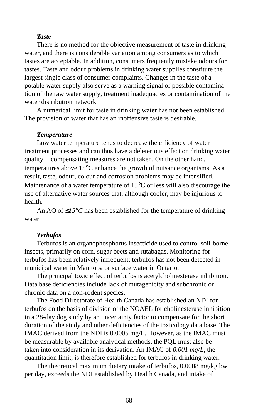# *Taste*

There is no method for the objective measurement of taste in drinking water, and there is considerable variation among consumers as to which tastes are acceptable. In addition, consumers frequently mistake odours for tastes. Taste and odour problems in drinking water supplies constitute the largest single class of consumer complaints. Changes in the taste of a potable water supply also serve as a warning signal of possible contamination of the raw water supply, treatment inadequacies or contamination of the water distribution network.

A numerical limit for taste in drinking water has not been established. The provision of water that has an inoffensive taste is desirable.

#### *Temperature*

Low water temperature tends to decrease the efficiency of water treatment processes and can thus have a deleterious effect on drinking water quality if compensating measures are not taken. On the other hand, temperatures above 15°C enhance the growth of nuisance organisms. As a result, taste, odour, colour and corrosion problems may be intensified. Maintenance of a water temperature of 15°C or less will also discourage the use of alternative water sources that, although cooler, may be injurious to health.

An AO of ≤*15*°*C* has been established for the temperature of drinking water.

### *Terbufos*

Terbufos is an organophosphorus insecticide used to control soil-borne insects, primarily on corn, sugar beets and rutabagas. Monitoring for terbufos has been relatively infrequent; terbufos has not been detected in municipal water in Manitoba or surface water in Ontario.

The principal toxic effect of terbufos is acetylcholinesterase inhibition. Data base deficiencies include lack of mutagenicity and subchronic or chronic data on a non-rodent species.

The Food Directorate of Health Canada has established an NDI for terbufos on the basis of division of the NOAEL for cholinesterase inhibition in a 28-day dog study by an uncertainty factor to compensate for the short duration of the study and other deficiencies of the toxicology data base. The IMAC derived from the NDI is 0.0005 mg/L. However, as the IMAC must be measurable by available analytical methods, the PQL must also be taken into consideration in its derivation. An IMAC of *0.001 mg/L*, the quantitation limit, is therefore established for terbufos in drinking water.

The theoretical maximum dietary intake of terbufos, 0.0008 mg/kg bw per day, exceeds the NDI established by Health Canada, and intake of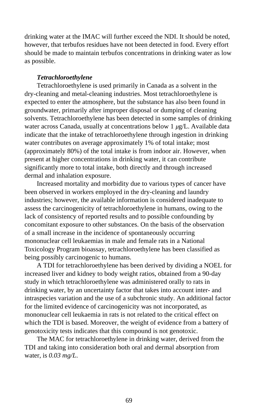drinking water at the IMAC will further exceed the NDI. It should be noted, however, that terbufos residues have not been detected in food. Every effort should be made to maintain terbufos concentrations in drinking water as low as possible.

# *Tetrachloroethylene*

Tetrachloroethylene is used primarily in Canada as a solvent in the dry-cleaning and metal-cleaning industries. Most tetrachloroethylene is expected to enter the atmosphere, but the substance has also been found in groundwater, primarily after improper disposal or dumping of cleaning solvents. Tetrachloroethylene has been detected in some samples of drinking water across Canada, usually at concentrations below 1 *µ*g/L. Available data indicate that the intake of tetrachloroethylene through ingestion in drinking water contributes on average approximately 1% of total intake; most (approximately 80%) of the total intake is from indoor air. However, when present at higher concentrations in drinking water, it can contribute significantly more to total intake, both directly and through increased dermal and inhalation exposure.

Increased mortality and morbidity due to various types of cancer have been observed in workers employed in the dry-cleaning and laundry industries; however, the available information is considered inadequate to assess the carcinogenicity of tetrachloroethylene in humans, owing to the lack of consistency of reported results and to possible confounding by concomitant exposure to other substances. On the basis of the observation of a small increase in the incidence of spontaneously occurring mononuclear cell leukaemias in male and female rats in a National Toxicology Program bioassay, tetrachloroethylene has been classified as being possibly carcinogenic to humans.

A TDI for tetrachloroethylene has been derived by dividing a NOEL for increased liver and kidney to body weight ratios, obtained from a 90-day study in which tetrachloroethylene was administered orally to rats in drinking water, by an uncertainty factor that takes into account inter- and intraspecies variation and the use of a subchronic study. An additional factor for the limited evidence of carcinogenicity was not incorporated, as mononuclear cell leukaemia in rats is not related to the critical effect on which the TDI is based. Moreover, the weight of evidence from a battery of genotoxicity tests indicates that this compound is not genotoxic.

The MAC for tetrachloroethylene in drinking water, derived from the TDI and taking into consideration both oral and dermal absorption from water, is *0.03 mg/L*.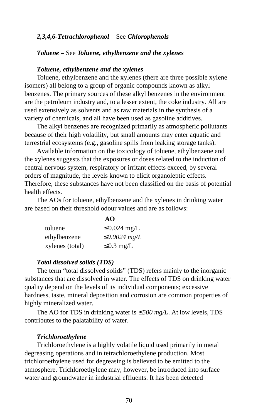# *2,3,4,6-Tetrachlorophenol* – See *Chlorophenols*

# *Toluene* – See *Toluene, ethylbenzene and the xylenes*

## *Toluene, ethylbenzene and the xylenes*

Toluene, ethylbenzene and the xylenes (there are three possible xylene isomers) all belong to a group of organic compounds known as alkyl benzenes. The primary sources of these alkyl benzenes in the environment are the petroleum industry and, to a lesser extent, the coke industry. All are used extensively as solvents and as raw materials in the synthesis of a variety of chemicals, and all have been used as gasoline additives.

The alkyl benzenes are recognized primarily as atmospheric pollutants because of their high volatility, but small amounts may enter aquatic and terrestrial ecosystems (e.g., gasoline spills from leaking storage tanks).

Available information on the toxicology of toluene, ethylbenzene and the xylenes suggests that the exposures or doses related to the induction of central nervous system, respiratory or irritant effects exceed, by several orders of magnitude, the levels known to elicit organoleptic effects. Therefore, these substances have not been classified on the basis of potential health effects.

The AOs for toluene, ethylbenzene and the xylenes in drinking water are based on their threshold odour values and are as follows:

**AO**

|                 | AU                 |
|-----------------|--------------------|
| toluene         | $\leq$ 0.024 mg/L  |
| ethylbenzene    | $\leq 0.0024$ mg/L |
| xylenes (total) | $\leq$ 0.3 mg/L    |

#### *Total dissolved solids (TDS)*

The term "total dissolved solids" (TDS) refers mainly to the inorganic substances that are dissolved in water. The effects of TDS on drinking water quality depend on the levels of its individual components; excessive hardness, taste, mineral deposition and corrosion are common properties of highly mineralized water.

The AO for TDS in drinking water is ≤*500 mg/L*. At low levels, TDS contributes to the palatability of water.

#### *Trichloroethylene*

Trichloroethylene is a highly volatile liquid used primarily in metal degreasing operations and in tetrachloroethylene production. Most trichloroethylene used for degreasing is believed to be emitted to the atmosphere. Trichloroethylene may, however, be introduced into surface water and groundwater in industrial effluents. It has been detected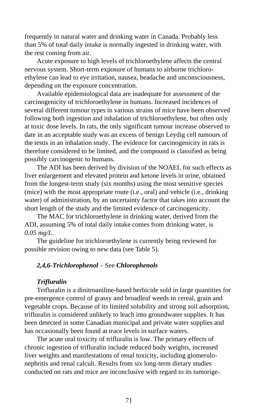frequently in natural water and drinking water in Canada. Probably less than 5% of total daily intake is normally ingested in drinking water, with the rest coming from air.

Acute exposure to high levels of trichloroethylene affects the central nervous system. Short-term exposure of humans to airborne trichloroethylene can lead to eye irritation, nausea, headache and unconsciousness, depending on the exposure concentration.

Available epidemiological data are inadequate for assessment of the carcinogenicity of trichloroethylene in humans. Increased incidences of several different tumour types in various strains of mice have been observed following both ingestion and inhalation of trichloroethylene, but often only at toxic dose levels. In rats, the only significant tumour increase observed to date in an acceptable study was an excess of benign Leydig cell tumours of the testis in an inhalation study. The evidence for carcinogenicity in rats is therefore considered to be limited, and the compound is classified as being possibly carcinogenic to humans.

The ADI has been derived by division of the NOAEL for such effects as liver enlargement and elevated protein and ketone levels in urine, obtained from the longest-term study (six months) using the most sensitive species (mice) with the most appropriate route (i.e., oral) and vehicle (i.e., drinking water) of administration, by an uncertainty factor that takes into account the short length of the study and the limited evidence of carcinogenicity.

The MAC for trichloroethylene in drinking water, derived from the ADI, assuming 5% of total daily intake comes from drinking water, is *0.05 mg/L*.

The guideline for trichloroethylene is currently being reviewed for possible revision owing to new data (see Table 5).

# *2,4,6-Trichlorophenol* – See *Chlorophenols*

### *Trifluralin*

Trifluralin is a dinitroaniline-based herbicide sold in large quantities for pre-emergence control of grassy and broadleaf weeds in cereal, grain and vegetable crops. Because of its limited solubility and strong soil adsorption, trifluralin is considered unlikely to leach into groundwater supplies. It has been detected in some Canadian municipal and private water supplies and has occasionally been found at trace levels in surface waters.

The acute oral toxicity of trifluralin is low. The primary effects of chronic ingestion of trifluralin include reduced body weights, increased liver weights and manifestations of renal toxicity, including glomerulonephritis and renal calculi. Results from six long-term dietary studies conducted on rats and mice are inconclusive with regard to its tumorige-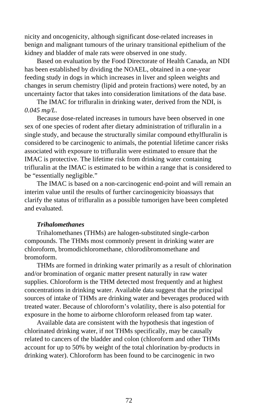nicity and oncogenicity, although significant dose-related increases in benign and malignant tumours of the urinary transitional epithelium of the kidney and bladder of male rats were observed in one study.

Based on evaluation by the Food Directorate of Health Canada, an NDI has been established by dividing the NOAEL, obtained in a one-year feeding study in dogs in which increases in liver and spleen weights and changes in serum chemistry (lipid and protein fractions) were noted, by an uncertainty factor that takes into consideration limitations of the data base.

The IMAC for trifluralin in drinking water, derived from the NDI, is *0.045 mg/L*.

Because dose-related increases in tumours have been observed in one sex of one species of rodent after dietary administration of trifluralin in a single study, and because the structurally similar compound ethylfluralin is considered to be carcinogenic to animals, the potential lifetime cancer risks associated with exposure to trifluralin were estimated to ensure that the IMAC is protective. The lifetime risk from drinking water containing trifluralin at the IMAC is estimated to be within a range that is considered to be "essentially negligible."

The IMAC is based on a non-carcinogenic end-point and will remain an interim value until the results of further carcinogenicity bioassays that clarify the status of trifluralin as a possible tumorigen have been completed and evaluated.

#### *Trihalomethanes*

Trihalomethanes (THMs) are halogen-substituted single-carbon compounds. The THMs most commonly present in drinking water are chloroform, bromodichloromethane, chlorodibromomethane and bromoform.

THMs are formed in drinking water primarily as a result of chlorination and/or bromination of organic matter present naturally in raw water supplies. Chloroform is the THM detected most frequently and at highest concentrations in drinking water. Available data suggest that the principal sources of intake of THMs are drinking water and beverages produced with treated water. Because of chloroform's volatility, there is also potential for exposure in the home to airborne chloroform released from tap water.

Available data are consistent with the hypothesis that ingestion of chlorinated drinking water, if not THMs specifically, may be causally related to cancers of the bladder and colon (chloroform and other THMs account for up to 50% by weight of the total chlorination by-products in drinking water). Chloroform has been found to be carcinogenic in two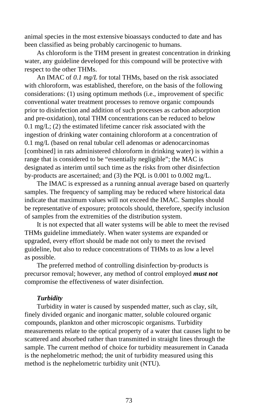animal species in the most extensive bioassays conducted to date and has been classified as being probably carcinogenic to humans.

As chloroform is the THM present in greatest concentration in drinking water, any guideline developed for this compound will be protective with respect to the other THMs.

An IMAC of *0.1 mg/L* for total THMs, based on the risk associated with chloroform, was established, therefore, on the basis of the following considerations: (1) using optimum methods (i.e., improvement of specific conventional water treatment processes to remove organic compounds prior to disinfection and addition of such processes as carbon adsorption and pre-oxidation), total THM concentrations can be reduced to below 0.1 mg/L; (2) the estimated lifetime cancer risk associated with the ingestion of drinking water containing chloroform at a concentration of 0.1 mg/L (based on renal tubular cell adenomas or adenocarcinomas [combined] in rats administered chloroform in drinking water) is within a range that is considered to be "essentially negligible"; the MAC is designated as interim until such time as the risks from other disinfection by-products are ascertained; and (3) the PQL is 0.001 to 0.002 mg/L.

The IMAC is expressed as a running annual average based on quarterly samples. The frequency of sampling may be reduced where historical data indicate that maximum values will not exceed the IMAC. Samples should be representative of exposure; protocols should, therefore, specify inclusion of samples from the extremities of the distribution system.

It is not expected that all water systems will be able to meet the revised THMs guideline immediately. When water systems are expanded or upgraded, every effort should be made not only to meet the revised guideline, but also to reduce concentrations of THMs to as low a level as possible.

The preferred method of controlling disinfection by-products is precursor removal; however, any method of control employed *must not* compromise the effectiveness of water disinfection.

#### *Turbidity*

Turbidity in water is caused by suspended matter, such as clay, silt, finely divided organic and inorganic matter, soluble coloured organic compounds, plankton and other microscopic organisms. Turbidity measurements relate to the optical property of a water that causes light to be scattered and absorbed rather than transmitted in straight lines through the sample. The current method of choice for turbidity measurement in Canada is the nephelometric method; the unit of turbidity measured using this method is the nephelometric turbidity unit (NTU).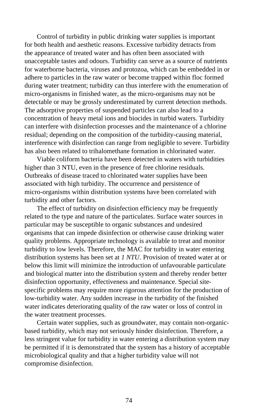Control of turbidity in public drinking water supplies is important for both health and aesthetic reasons. Excessive turbidity detracts from the appearance of treated water and has often been associated with unacceptable tastes and odours. Turbidity can serve as a source of nutrients for waterborne bacteria, viruses and protozoa, which can be embedded in or adhere to particles in the raw water or become trapped within floc formed during water treatment; turbidity can thus interfere with the enumeration of micro-organisms in finished water, as the micro-organisms may not be detectable or may be grossly underestimated by current detection methods. The adsorptive properties of suspended particles can also lead to a concentration of heavy metal ions and biocides in turbid waters. Turbidity can interfere with disinfection processes and the maintenance of a chlorine residual; depending on the composition of the turbidity-causing material, interference with disinfection can range from negligible to severe. Turbidity has also been related to trihalomethane formation in chlorinated water.

Viable coliform bacteria have been detected in waters with turbidities higher than 3 NTU, even in the presence of free chlorine residuals. Outbreaks of disease traced to chlorinated water supplies have been associated with high turbidity. The occurrence and persistence of micro-organisms within distribution systems have been correlated with turbidity and other factors.

The effect of turbidity on disinfection efficiency may be frequently related to the type and nature of the particulates. Surface water sources in particular may be susceptible to organic substances and undesired organisms that can impede disinfection or otherwise cause drinking water quality problems. Appropriate technology is available to treat and monitor turbidity to low levels. Therefore, the MAC for turbidity in water entering distribution systems has been set at *1 NTU*. Provision of treated water at or below this limit will minimize the introduction of unfavourable particulate and biological matter into the distribution system and thereby render better disinfection opportunity, effectiveness and maintenance. Special sitespecific problems may require more rigorous attention for the production of low-turbidity water. Any sudden increase in the turbidity of the finished water indicates deteriorating quality of the raw water or loss of control in the water treatment processes.

Certain water supplies, such as groundwater, may contain non-organicbased turbidity, which may not seriously hinder disinfection. Therefore, a less stringent value for turbidity in water entering a distribution system may be permitted if it is demonstrated that the system has a history of acceptable microbiological quality and that a higher turbidity value will not compromise disinfection.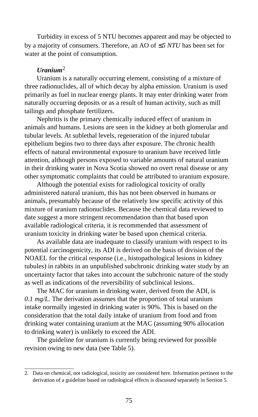Turbidity in excess of 5 NTU becomes apparent and may be objected to by a majority of consumers. Therefore, an AO of ≤ *5 NTU* has been set for water at the point of consumption.

## *Uranium*<sup>2</sup>

Uranium is a naturally occurring element, consisting of a mixture of three radionuclides, all of which decay by alpha emission. Uranium is used primarily as fuel in nuclear energy plants. It may enter drinking water from naturally occurring deposits or as a result of human activity, such as mill tailings and phosphate fertilizers.

Nephritis is the primary chemically induced effect of uranium in animals and humans. Lesions are seen in the kidney at both glomerular and tubular levels. At sublethal levels, regeneration of the injured tubular epithelium begins two to three days after exposure. The chronic health effects of natural environmental exposure to uranium have received little attention, although persons exposed to variable amounts of natural uranium in their drinking water in Nova Scotia showed no overt renal disease or any other symptomatic complaints that could be attributed to uranium exposure.

Although the potential exists for radiological toxicity of orally administered natural uranium, this has not been observed in humans or animals, presumably because of the relatively low specific activity of this mixture of uranium radionuclides. Because the chemical data reviewed to date suggest a more stringent recommendation than that based upon available radiological criteria, it is recommended that assessment of uranium toxicity in drinking water be based upon chemical criteria.

As available data are inadequate to classify uranium with respect to its potential carcinogenicity, its ADI is derived on the basis of division of the NOAEL for the critical response (i.e., histopathological lesions in kidney tubules) in rabbits in an unpublished subchronic drinking water study by an uncertainty factor that takes into account the subchronic nature of the study as well as indications of the reversibility of subclinical lesions.

The MAC for uranium in drinking water, derived from the ADI, is *0.1 mg/L*. The derivation assumes that the proportion of total uranium intake normally ingested in drinking water is 90%. This is based on the consideration that the total daily intake of uranium from food and from drinking water containing uranium at the MAC (assuming 90% allocation to drinking water) is unlikely to exceed the ADI.

The guideline for uranium is currently being reviewed for possible revision owing to new data (see Table 5).

<sup>2.</sup> Data on chemical, not radiological, toxicity are considered here. Information pertinent to the derivation of a guideline based on radiological effects is discussed separately in Section 5.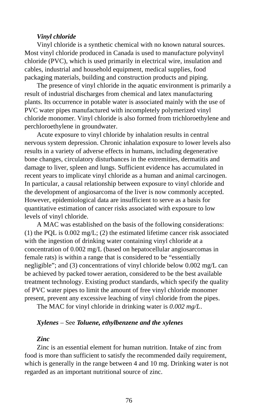#### *Vinyl chloride*

Vinyl chloride is a synthetic chemical with no known natural sources. Most vinyl chloride produced in Canada is used to manufacture polyvinyl chloride (PVC), which is used primarily in electrical wire, insulation and cables, industrial and household equipment, medical supplies, food packaging materials, building and construction products and piping.

The presence of vinyl chloride in the aquatic environment is primarily a result of industrial discharges from chemical and latex manufacturing plants. Its occurrence in potable water is associated mainly with the use of PVC water pipes manufactured with incompletely polymerized vinyl chloride monomer. Vinyl chloride is also formed from trichloroethylene and perchloroethylene in groundwater.

Acute exposure to vinyl chloride by inhalation results in central nervous system depression. Chronic inhalation exposure to lower levels also results in a variety of adverse effects in humans, including degenerative bone changes, circulatory disturbances in the extremities, dermatitis and damage to liver, spleen and lungs. Sufficient evidence has accumulated in recent years to implicate vinyl chloride as a human and animal carcinogen. In particular, a causal relationship between exposure to vinyl chloride and the development of angiosarcoma of the liver is now commonly accepted. However, epidemiological data are insufficient to serve as a basis for quantitative estimation of cancer risks associated with exposure to low levels of vinyl chloride.

A MAC was established on the basis of the following considerations: (1) the PQL is 0.002 mg/L; (2) the estimated lifetime cancer risk associated with the ingestion of drinking water containing vinyl chloride at a concentration of 0.002 mg/L (based on hepatocellular angiosarcomas in female rats) is within a range that is considered to be "essentially negligible"; and (3) concentrations of vinyl chloride below 0.002 mg/L can be achieved by packed tower aeration, considered to be the best available treatment technology. Existing product standards, which specify the quality of PVC water pipes to limit the amount of free vinyl chloride monomer present, prevent any excessive leaching of vinyl chloride from the pipes.

The MAC for vinyl chloride in drinking water is *0.002 mg/L*.

#### *Xylenes* – See *Toluene, ethylbenzene and the xylenes*

#### *Zinc*

Zinc is an essential element for human nutrition. Intake of zinc from food is more than sufficient to satisfy the recommended daily requirement, which is generally in the range between 4 and 10 mg. Drinking water is not regarded as an important nutritional source of zinc.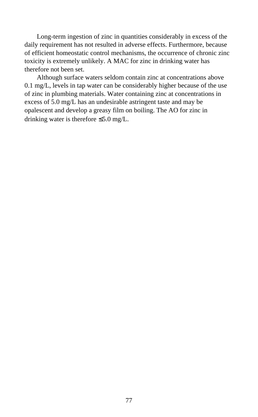Long-term ingestion of zinc in quantities considerably in excess of the daily requirement has not resulted in adverse effects. Furthermore, because of efficient homeostatic control mechanisms, the occurrence of chronic zinc toxicity is extremely unlikely. A MAC for zinc in drinking water has therefore not been set.

Although surface waters seldom contain zinc at concentrations above 0.1 mg/L, levels in tap water can be considerably higher because of the use of zinc in plumbing materials. Water containing zinc at concentrations in excess of 5.0 mg/L has an undesirable astringent taste and may be opalescent and develop a greasy film on boiling. The AO for zinc in drinking water is therefore ≤5.0 mg/L.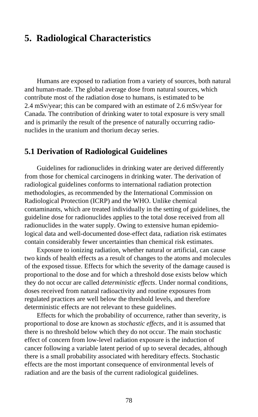## **5. Radiological Characteristics**

Humans are exposed to radiation from a variety of sources, both natural and human-made. The global average dose from natural sources, which contribute most of the radiation dose to humans, is estimated to be 2.4 mSv/year; this can be compared with an estimate of 2.6 mSv/year for Canada. The contribution of drinking water to total exposure is very small and is primarily the result of the presence of naturally occurring radionuclides in the uranium and thorium decay series.

## **5.1 Derivation of Radiological Guidelines**

Guidelines for radionuclides in drinking water are derived differently from those for chemical carcinogens in drinking water. The derivation of radiological guidelines conforms to international radiation protection methodologies, as recommended by the International Commission on Radiological Protection (ICRP) and the WHO. Unlike chemical contaminants, which are treated individually in the setting of guidelines, the guideline dose for radionuclides applies to the total dose received from all radionuclides in the water supply. Owing to extensive human epidemiological data and well-documented dose-effect data, radiation risk estimates contain considerably fewer uncertainties than chemical risk estimates.

Exposure to ionizing radiation, whether natural or artificial, can cause two kinds of health effects as a result of changes to the atoms and molecules of the exposed tissue. Effects for which the severity of the damage caused is proportional to the dose and for which a threshold dose exists below which they do not occur are called *deterministic effects*. Under normal conditions, doses received from natural radioactivity and routine exposures from regulated practices are well below the threshold levels, and therefore deterministic effects are not relevant to these guidelines.

Effects for which the probability of occurrence, rather than severity, is proportional to dose are known as *stochastic effects*, and it is assumed that there is no threshold below which they do not occur. The main stochastic effect of concern from low-level radiation exposure is the induction of cancer following a variable latent period of up to several decades, although there is a small probability associated with hereditary effects. Stochastic effects are the most important consequence of environmental levels of radiation and are the basis of the current radiological guidelines.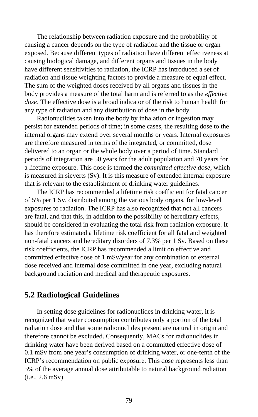The relationship between radiation exposure and the probability of causing a cancer depends on the type of radiation and the tissue or organ exposed. Because different types of radiation have different effectiveness at causing biological damage, and different organs and tissues in the body have different sensitivities to radiation, the ICRP has introduced a set of radiation and tissue weighting factors to provide a measure of equal effect. The sum of the weighted doses received by all organs and tissues in the body provides a measure of the total harm and is referred to as the *effective dose*. The effective dose is a broad indicator of the risk to human health for any type of radiation and any distribution of dose in the body.

Radionuclides taken into the body by inhalation or ingestion may persist for extended periods of time; in some cases, the resulting dose to the internal organs may extend over several months or years. Internal exposures are therefore measured in terms of the integrated, or committed, dose delivered to an organ or the whole body over a period of time. Standard periods of integration are 50 years for the adult population and 70 years for a lifetime exposure. This dose is termed the *committed effective dose*, which is measured in sieverts (Sv). It is this measure of extended internal exposure that is relevant to the establishment of drinking water guidelines.

The ICRP has recommended a lifetime risk coefficient for fatal cancer of 5% per 1 Sv, distributed among the various body organs, for low-level exposures to radiation. The ICRP has also recognized that not all cancers are fatal, and that this, in addition to the possibility of hereditary effects, should be considered in evaluating the total risk from radiation exposure. It has therefore estimated a lifetime risk coefficient for all fatal and weighted non-fatal cancers and hereditary disorders of 7.3% per 1 Sv. Based on these risk coefficients, the ICRP has recommended a limit on effective and committed effective dose of 1 mSv/year for any combination of external dose received and internal dose committed in one year, excluding natural background radiation and medical and therapeutic exposures.

## **5.2 Radiological Guidelines**

In setting dose guidelines for radionuclides in drinking water, it is recognized that water consumption contributes only a portion of the total radiation dose and that some radionuclides present are natural in origin and therefore cannot be excluded. Consequently, MACs for radionuclides in drinking water have been derived based on a committed effective dose of 0.1 mSv from one year's consumption of drinking water, or one-tenth of the ICRP's recommendation on public exposure. This dose represents less than 5% of the average annual dose attributable to natural background radiation (i.e., 2.6 mSv).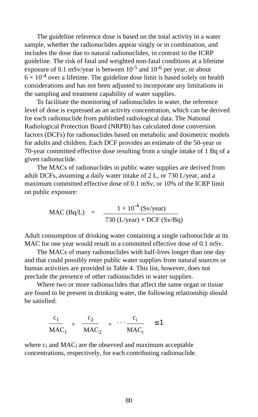The guideline reference dose is based on the total activity in a water sample, whether the radionuclides appear singly or in combination, and includes the dose due to natural radionuclides, in contrast to the ICRP guideline. The risk of fatal and weighted non-fatal conditions at a lifetime exposure of 0.1 mSv/year is between  $10^{-5}$  and  $10^{-6}$  per year, or about  $6 \times 10^{-4}$  over a lifetime. The guideline dose limit is based solely on health considerations and has not been adjusted to incorporate any limitations in the sampling and treatment capability of water supplies.

To facilitate the monitoring of radionuclides in water, the reference level of dose is expressed as an activity concentration, which can be derived for each radionuclide from published radiological data. The National Radiological Protection Board (NRPB) has calculated dose conversion factors (DCFs) for radionuclides based on metabolic and dosimetric models for adults and children. Each DCF provides an estimate of the 50-year or 70-year committed effective dose resulting from a single intake of 1 Bq of a given radionuclide.

The MACs of radionuclides in public water supplies are derived from adult DCFs, assuming a daily water intake of 2 L, or 730 L/year, and a maximum committed effective dose of 0.1 mSv, or 10% of the ICRP limit on public exposure:

$$
\text{MAC (Bq/L)} = \frac{1 \times 10^{-4} \text{ (Sv/year)}}{730 \text{ (L/year)} \times \text{DCF (Sv/Bq)}}
$$

Adult consumption of drinking water containing a single radionuclide at its MAC for one year would result in a committed effective dose of 0.1 mSv.

The MACs of many radionuclides with half-lives longer than one day and that could possibly enter public water supplies from natural sources or human activities are provided in Table 4. This list, however, does not preclude the presence of other radionuclides in water supplies.

Where two or more radionuclides that affect the same organ or tissue are found to be present in drinking water, the following relationship should be satisfied:

$$
\frac{c_1}{MAC_1} + \frac{c_2}{MAC_2} + \cdots + \frac{c_i}{MAC_i} \le 1
$$

where c<sub>i</sub> and MAC<sub>i</sub> are the observed and maximum acceptable concentrations, respectively, for each contributing radionuclide.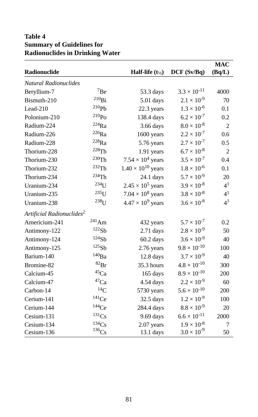## **Table 4 Summary of Guidelines for Radionuclides in Drinking Water**

|                                       |                     |                                      |                           | <b>MAC</b>     |
|---------------------------------------|---------------------|--------------------------------------|---------------------------|----------------|
| Radionuclide                          |                     | <b>Half-life</b> $(t_{\frac{1}{2}})$ | DCF(Sv/Bq)                | (Bq/L)         |
| Natural Radionuclides                 |                     |                                      |                           |                |
| Beryllium-7                           | ${\rm ^7Be}$        | 53.3 days                            | $3.3 \times 10^{-11}$     | 4000           |
| Bismuth-210                           | $^{210}$ Bi         | 5.01 days                            | $2.1 \times 10^{-9}$      | 70             |
| Lead- $210$                           | $^{210}Pb$          | 22.3 years                           | $1.3 \times 10^{-6}$      | 0.1            |
| Polonium-210                          | $^{210}\mathrm{Po}$ | 138.4 days                           | $6.2 \times 10^{-7}$      | 0.2            |
| Radium-224                            | $^{224}\mathrm{Ra}$ | 3.66 days                            | $8.0 \times 10^{-8}$      | $\overline{2}$ |
| Radium-226                            | $^{226}\mathrm{Ra}$ | 1600 years                           | $2.2 \times 10^{-7}$      | 0.6            |
| Radium-228                            | $^{228}\mathrm{Ra}$ | 5.76 years                           | $2.7 \times 10^{-7}$      | 0.5            |
| Thorium-228                           | 228Th               | 1.91 years                           | $6.7 \times 10^{-8}$      | $\overline{2}$ |
| Thorium-230                           | $^{230}\mathrm{Th}$ | $7.54 \times 10^4$ years             | $3.5 \times 10^{-7}$      | 0.4            |
| Thorium-232                           | $^{232}\mathrm{Th}$ | $1.40 \times 10^{10}$ years          | $1.8 \times 10^{-6}$      | 0.1            |
| Thorium-234                           | $234$ Th            | $24.1$ days                          | $5.7 \times 10^{-9}$      | 20             |
| Uranium-234                           | $234$ U             | $2.45 \times 10^5$ years             | $3.9 \times 10^{-8}$      | 4 <sup>1</sup> |
| Uranium-235                           | $235$ U             | $7.04 \times 10^8$ years             | $3.8\times10^{\text{-}8}$ | 4 <sup>1</sup> |
| Uranium-238                           | $238$ U             | $4.47 \times 10^9$ years             | $3.6 \times 10^{-8}$      | 4 <sup>1</sup> |
| Artificial Radionuclides <sup>2</sup> |                     |                                      |                           |                |
| Americium-241                         | $^{241}\mathrm{Am}$ | 432 years                            | $5.7 \times 10^{-7}$      | 0.2            |
| Antimony-122                          | 122Sb               | $2.71$ days                          | $2.8 \times 10^{-9}$      | 50             |
| Antimony-124                          | 124Sb               | 60.2 days                            | $3.6 \times 10^{-9}$      | 40             |
| Antimony-125                          | $^{125}\mathrm{Sb}$ | 2.76 years                           | $9.8 \times 10^{-10}$     | 100            |
| Barium-140                            | $^{140}\text{Ba}$   | $12.8$ days                          | $3.7 \times 10^{-9}$      | 40             |
| Bromine-82                            | $^{82}\rm{Br}$      | 35.3 hours                           | $4.8 \times 10^{-10}$     | 300            |
| Calcium-45                            | $^{45}\mathrm{Ca}$  | 165 days                             | $8.9 \times 10^{-10}$     | 200            |
| Calcium-47                            | $\rm ^{47}Ca$       | 4.54 days                            | $2.2 \times 10^{-9}$      | 60             |
| Carbon-14                             | $^{14}C$            | 5730 years                           | $5.6 \times 10^{-10}$     | 200            |
| Cerium-141                            | $141$ Ce            | $32.5$ days                          | $1.2 \times 10^{-9}$      | 100            |
| Cerium-144                            | $144$ Ce            | 284.4 days                           | $8.8 \times 10^{-9}$      | 20             |
| Cesium-131                            | $^{131}Cs$          | 9.69 days                            | $6.6 \times 10^{-11}$     | 2000           |
| Cesium-134                            | 134Cs               | 2.07 years                           | $1.9 \times 10^{-8}$      | 7              |
| Cesium-136                            | $^{136}\mathrm{Cs}$ | $13.1$ days                          | $3.0 \times 10^{-9}$      | 50             |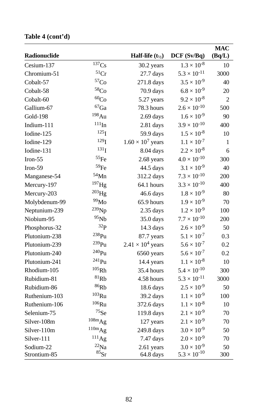## **Table 4 (cont'd)**

|                 |                      |                          |                       | <b>MAC</b> |
|-----------------|----------------------|--------------------------|-----------------------|------------|
| Radionuclide    |                      | Half-life $(t_{1/2})$    | DCF (Sv/Bq)           | (Bq/L)     |
| Cesium-137      | 137Cs                | 30.2 years               | $1.3 \times 10^{-8}$  | 10         |
| Chromium-51     | $\rm ^{51}Cr$        | $27.7$ days              | $5.3 \times 10^{-11}$ | 3000       |
| Cobalt-57       | ${}^{57}\mathrm{Co}$ | 271.8 days               | $3.5 \times 10^{-9}$  | 40         |
| Cobalt-58       | ${}^{58}\mathrm{Co}$ | 70.9 days                | $6.8 \times 10^{-9}$  | 20         |
| Cobalt-60       | ${}^{60}\mathrm{Co}$ | 5.27 years               | $9.2 \times 10^{-8}$  | 2          |
| Gallium-67      | $\rm ^{67}Ga$        | 78.3 hours               | $2.6 \times 10^{-10}$ | 500        |
| <b>Gold-198</b> | 198Au                | $2.69$ days              | $1.6 \times 10^{-9}$  | 90         |
| Indium-111      | $^{111}$ In          | $2.81$ days              | $3.9 \times 10^{-10}$ | 400        |
| Iodine-125      | 125 <sub>I</sub>     | 59.9 days                | $1.5 \times 10^{-8}$  | 10         |
| Iodine-129      | 129 <sub>I</sub>     | $1.60 \times 10^7$ years | $1.1 \times 10^{-7}$  | 1          |
| Iodine-131      | $^{131}I$            | 8.04 days                | $2.2 \times 10^{-8}$  | 6          |
| Iron-55         | $^{55}\!$ Fe         | 2.68 years               | $4.0 \times 10^{-10}$ | 300        |
| $Iron-59$       | 59Fe                 | 44.5 days                | $3.1 \times 10^{-9}$  | 40         |
| Manganese-54    | $54$ Mn              | 312.2 days               | $7.3 \times 10^{-10}$ | 200        |
| Mercury-197     | $^{197}$ Hg          | 64.1 hours               | $3.3 \times 10^{-10}$ | 400        |
| Mercury-203     | $^{203}$ Hg          | 46.6 days                | $1.8 \times 10^{-9}$  | 80         |
| Molybdenum-99   | $^{99}\rm{Mo}$       | 65.9 hours               | $1.9 \times 10^{-9}$  | 70         |
| Neptunium-239   | <sup>239</sup> Np    | $2.35$ days              | $1.2 \times 10^{-9}$  | 100        |
| Niobium-95      | 95Nb                 | $35.0$ days              | $7.7 \times 10^{-10}$ | 200        |
| Phosphorus-32   | 32 <sub>P</sub>      | 14.3 days                | $2.6 \times 10^{-9}$  | 50         |
| Plutonium-238   | 238 <sub>Pu</sub>    | 87.7 years               | $5.1 \times 10^{-7}$  | 0.3        |
| Plutonium-239   | $239$ Pu             | $2.41 \times 10^4$ years | $5.6 \times 10^{-7}$  | 0.2        |
| Plutonium-240   | $^{240}Pu$           | 6560 years               | $5.6 \times 10^{-7}$  | 0.2        |
| Plutonium-241   | $^{241}\rm{Pu}$      | 14.4 years               | $1.1 \times 10^{-8}$  | 10         |
| Rhodium-105     | $^{105}\mbox{Rh}$    | 35.4 hours               | $5.4 \times 10^{-10}$ | 300        |
| Rubidium-81     | ${}^{81}\mathrm{Rb}$ | 4.58 hours               | $5.3 \times 10^{-11}$ | 3000       |
| Rubidium-86     | $^{86}\mathrm{Rb}$   | 18.6 days                | $2.5 \times 10^{-9}$  | 50         |
| Ruthenium-103   | $103$ Ru             | 39.2 days                | $1.1 \times 10^{-9}$  | 100        |
| Ruthenium-106   | $106$ Ru             | 372.6 days               | $1.1 \times 10^{-8}$  | 10         |
| Selenium-75     | $^{75}\mathrm{Se}$   | 119.8 days               | $2.1 \times 10^{-9}$  | 70         |
| Silver-108m     | 108mAg               | 127 years                | $2.1 \times 10^{-9}$  | 70         |
| Silver-110m     | $^{110m}Ag$          | 249.8 days               | $3.0 \times 10^{-9}$  | 50         |
| Silver-111      | $^{111}$ Ag          | 7.47 days                | $2.0 \times 10^{-9}$  | 70         |
| Sodium-22       | $^{22}$ Na           | 2.61 years               | $3.0 \times 10^{-9}$  | 50         |
| Strontium-85    | $^{85}\rm{Sr}$       | 64.8 days                | $5.3 \times 10^{-10}$ | 300        |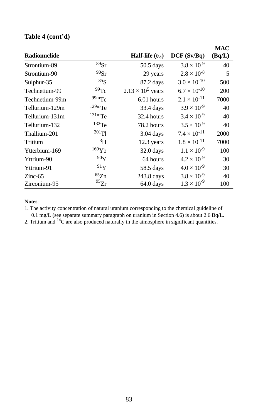## **Table 4 (cont'd)**

|                     |                   |                          |                       | <b>MAC</b> |
|---------------------|-------------------|--------------------------|-----------------------|------------|
| <b>Radionuclide</b> |                   | Half-life $(t_{1/2})$    | DCF(Sv/Bq)            | (Bq/L)     |
| Strontium-89        | ${}^{89}Sr$       | $50.5$ days              | $3.8 \times 10^{-9}$  | 40         |
| Strontium-90        | $90$ Sr           | 29 years                 | $2.8 \times 10^{-8}$  | 5          |
| Sulphur-35          | 35 <sub>S</sub>   | 87.2 days                | $3.0 \times 10^{-10}$ | 500        |
| Technetium-99       | 99Tc              | $2.13 \times 10^5$ years | $6.7 \times 10^{-10}$ | 200        |
| Technetium-99m      | 99mTc             | 6.01 hours               | $2.1 \times 10^{-11}$ | 7000       |
| Tellurium-129m      | $129m$ Te         | 33.4 days                | $3.9 \times 10^{-9}$  | 40         |
| Tellurium-131m      | $131 \text{m}$ Te | 32.4 hours               | $3.4 \times 10^{-9}$  | 40         |
| Tellurium-132       | $132$ Te          | 78.2 hours               | $3.5 \times 10^{-9}$  | 40         |
| Thallium-201        | $201$ Tl          | $3.04$ days              | $7.4 \times 10^{-11}$ | 2000       |
| Tritium             | ${}^{3}H$         | 12.3 years               | $1.8 \times 10^{-11}$ | 7000       |
| Ytterbium-169       | $169$ Yb          | $32.0$ days              | $1.1 \times 10^{-9}$  | 100        |
| Yttrium-90          | 90Y               | 64 hours                 | $4.2 \times 10^{-9}$  | 30         |
| Yttrium-91          | 91Y               | 58.5 days                | $4.0 \times 10^{-9}$  | 30         |
| $Zinc-65$           | 65Zn              | 243.8 days               | $3.8 \times 10^{-9}$  | 40         |
| Zirconium-95        | $^{95}Zr$         | 64.0 days                | $1.3 \times 10^{-9}$  | 100        |

#### **Notes**:

1. The activity concentration of natural uranium corresponding to the chemical guideline of

0.1 mg/L (see separate summary paragraph on uranium in Section 4.6) is about 2.6 Bq/L.<br>2. Tritium and <sup>14</sup>C are also produced naturally in the atmosphere in significant quantities.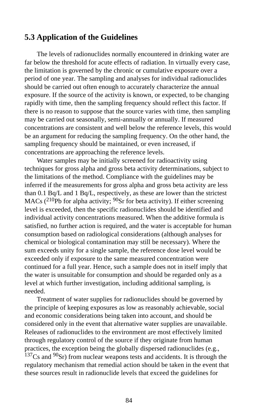## **5.3 Application of the Guidelines**

The levels of radionuclides normally encountered in drinking water are far below the threshold for acute effects of radiation. In virtually every case, the limitation is governed by the chronic or cumulative exposure over a period of one year. The sampling and analyses for individual radionuclides should be carried out often enough to accurately characterize the annual exposure. If the source of the activity is known, or expected, to be changing rapidly with time, then the sampling frequency should reflect this factor. If there is no reason to suppose that the source varies with time, then sampling may be carried out seasonally, semi-annually or annually. If measured concentrations are consistent and well below the reference levels, this would be an argument for reducing the sampling frequency. On the other hand, the sampling frequency should be maintained, or even increased, if concentrations are approaching the reference levels.

Water samples may be initially screened for radioactivity using techniques for gross alpha and gross beta activity determinations, subject to the limitations of the method. Compliance with the guidelines may be inferred if the measurements for gross alpha and gross beta activity are less than 0.1 Bq/L and 1 Bq/L, respectively, as these are lower than the strictest MACs ( $^{210}Pb$  for alpha activity;  $^{90}Sr$  for beta activity). If either screening level is exceeded, then the specific radionuclides should be identified and individual activity concentrations measured. When the additive formula is satisfied, no further action is required, and the water is acceptable for human consumption based on radiological considerations (although analyses for chemical or biological contamination may still be necessary). Where the sum exceeds unity for a single sample, the reference dose level would be exceeded only if exposure to the same measured concentration were continued for a full year. Hence, such a sample does not in itself imply that the water is unsuitable for consumption and should be regarded only as a level at which further investigation, including additional sampling, is needed.

Treatment of water supplies for radionuclides should be governed by the principle of keeping exposures as low as reasonably achievable, social and economic considerations being taken into account, and should be considered only in the event that alternative water supplies are unavailable. Releases of radionuclides to the environment are most effectively limited through regulatory control of the source if they originate from human practices, the exception being the globally dispersed radionuclides (e.g.,  $137Cs$  and  $90Sr$ ) from nuclear weapons tests and accidents. It is through the regulatory mechanism that remedial action should be taken in the event that these sources result in radionuclide levels that exceed the guidelines for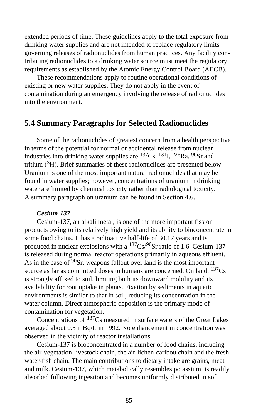extended periods of time. These guidelines apply to the total exposure from drinking water supplies and are not intended to replace regulatory limits governing releases of radionuclides from human practices. Any facility contributing radionuclides to a drinking water source must meet the regulatory requirements as established by the Atomic Energy Control Board (AECB).

These recommendations apply to routine operational conditions of existing or new water supplies. They do not apply in the event of contamination during an emergency involving the release of radionuclides into the environment.

## **5.4 Summary Paragraphs for Selected Radionuclides**

Some of the radionuclides of greatest concern from a health perspective in terms of the potential for normal or accidental release from nuclear industries into drinking water supplies are  $^{137}Cs$ ,  $^{131}I$ ,  $^{226}Ra$ ,  $^{90}Sr$  and tritium (3H). Brief summaries of these radionuclides are presented below. Uranium is one of the most important natural radionuclides that may be found in water supplies; however, concentrations of uranium in drinking water are limited by chemical toxicity rather than radiological toxicity. A summary paragraph on uranium can be found in Section 4.6.

#### *Cesium-137*

Cesium-137, an alkali metal, is one of the more important fission products owing to its relatively high yield and its ability to bioconcentrate in some food chains. It has a radioactive half-life of 30.17 years and is produced in nuclear explosions with a  $137Cs/90Sr$  ratio of 1.6. Cesium-137 is released during normal reactor operations primarily in aqueous effluent. As in the case of  $90Sr$ , weapons fallout over land is the most important source as far as committed doses to humans are concerned. On land,  $137Cs$ is strongly affixed to soil, limiting both its downward mobility and its availability for root uptake in plants. Fixation by sediments in aquatic environments is similar to that in soil, reducing its concentration in the water column. Direct atmospheric deposition is the primary mode of contamination for vegetation.

Concentrations of 137Cs measured in surface waters of the Great Lakes averaged about 0.5 mBq/L in 1992. No enhancement in concentration was observed in the vicinity of reactor installations.

Cesium-137 is bioconcentrated in a number of food chains, including the air-vegetation-livestock chain, the air-lichen-caribou chain and the fresh water-fish chain. The main contributions to dietary intake are grains, meat and milk. Cesium-137, which metabolically resembles potassium, is readily absorbed following ingestion and becomes uniformly distributed in soft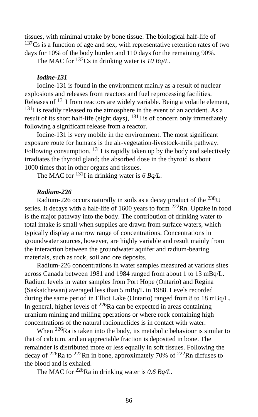tissues, with minimal uptake by bone tissue. The biological half-life of  $137Cs$  is a function of age and sex, with representative retention rates of two days for 10% of the body burden and 110 days for the remaining 90%.

The MAC for 137Cs in drinking water is *10 Bq/L*.

### *Iodine-131*

Iodine-131 is found in the environment mainly as a result of nuclear explosions and releases from reactors and fuel reprocessing facilities. Releases of 131I from reactors are widely variable. Being a volatile element,  $131$ I is readily released to the atmosphere in the event of an accident. As a result of its short half-life (eight days),  $^{131}$  I is of concern only immediately following a significant release from a reactor.

Iodine-131 is very mobile in the environment. The most significant exposure route for humans is the air-vegetation-livestock-milk pathway. Following consumption,  $^{131}$ I is rapidly taken up by the body and selectively irradiates the thyroid gland; the absorbed dose in the thyroid is about 1000 times that in other organs and tissues.

The MAC for <sup>131</sup>I in drinking water is 6 Bq/L.

## *Radium-226*

Radium-226 occurs naturally in soils as a decay product of the 238U series. It decays with a half-life of 1600 years to form <sup>222</sup>Rn. Uptake in food is the major pathway into the body. The contribution of drinking water to total intake is small when supplies are drawn from surface waters, which typically display a narrow range of concentrations. Concentrations in groundwater sources, however, are highly variable and result mainly from the interaction between the groundwater aquifer and radium-bearing materials, such as rock, soil and ore deposits.

Radium-226 concentrations in water samples measured at various sites across Canada between 1981 and 1984 ranged from about 1 to 13 mBq/L. Radium levels in water samples from Port Hope (Ontario) and Regina (Saskatchewan) averaged less than 5 mBq/L in 1988. Levels recorded during the same period in Elliot Lake (Ontario) ranged from 8 to 18 mBq/L. In general, higher levels of  $^{226}$ Ra can be expected in areas containing uranium mining and milling operations or where rock containing high concentrations of the natural radionuclides is in contact with water.

When <sup>226</sup>Ra is taken into the body, its metabolic behaviour is similar to that of calcium, and an appreciable fraction is deposited in bone. The remainder is distributed more or less equally in soft tissues. Following the decay of  $^{226}$ Ra to  $^{222}$ Rn in bone, approximately 70% of  $^{222}$ Rn diffuses to the blood and is exhaled.

The MAC for 226Ra in drinking water is *0.6 Bq/L*.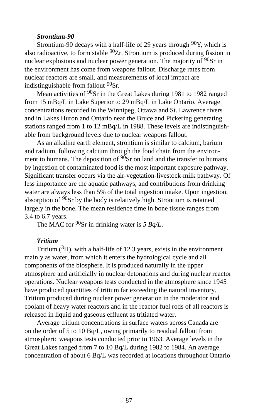#### *Strontium-90*

Strontium-90 decays with a half-life of 29 years through  $90Y$ , which is also radioactive, to form stable  $90Zr$ . Strontium is produced during fission in nuclear explosions and nuclear power generation. The majority of 90Sr in the environment has come from weapons fallout. Discharge rates from nuclear reactors are small, and measurements of local impact are indistinguishable from fallout <sup>90</sup>Sr.

Mean activities of <sup>90</sup>Sr in the Great Lakes during 1981 to 1982 ranged from 15 mBq/L in Lake Superior to 29 mBq/L in Lake Ontario. Average concentrations recorded in the Winnipeg, Ottawa and St. Lawrence rivers and in Lakes Huron and Ontario near the Bruce and Pickering generating stations ranged from 1 to 12 mBq/L in 1988. These levels are indistinguishable from background levels due to nuclear weapons fallout.

As an alkaline earth element, strontium is similar to calcium, barium and radium, following calcium through the food chain from the environment to humans. The deposition of  $90Sr$  on land and the transfer to humans by ingestion of contaminated food is the most important exposure pathway. Significant transfer occurs via the air-vegetation-livestock-milk pathway. Of less importance are the aquatic pathways, and contributions from drinking water are always less than 5% of the total ingestion intake. Upon ingestion, absorption of 90Sr by the body is relatively high. Strontium is retained largely in the bone. The mean residence time in bone tissue ranges from 3.4 to 6.7 years.

The MAC for <sup>90</sup>Sr in drinking water is 5 Bq/L.

#### *Tritium*

Tritium  $({}^{3}H)$ , with a half-life of 12.3 years, exists in the environment mainly as water, from which it enters the hydrological cycle and all components of the biosphere. It is produced naturally in the upper atmosphere and artificially in nuclear detonations and during nuclear reactor operations. Nuclear weapons tests conducted in the atmosphere since 1945 have produced quantities of tritium far exceeding the natural inventory. Tritium produced during nuclear power generation in the moderator and coolant of heavy water reactors and in the reactor fuel rods of all reactors is released in liquid and gaseous effluent as tritiated water.

Average tritium concentrations in surface waters across Canada are on the order of 5 to 10 Bq/L, owing primarily to residual fallout from atmospheric weapons tests conducted prior to 1963. Average levels in the Great Lakes ranged from 7 to 10 Bq/L during 1982 to 1984. An average concentration of about 6 Bq/L was recorded at locations throughout Ontario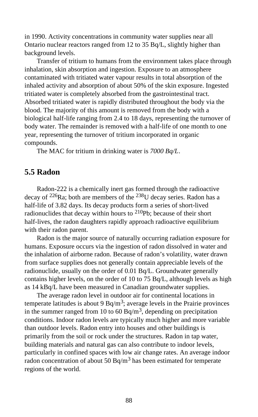in 1990. Activity concentrations in community water supplies near all Ontario nuclear reactors ranged from 12 to 35 Bq/L, slightly higher than background levels.

Transfer of tritium to humans from the environment takes place through inhalation, skin absorption and ingestion. Exposure to an atmosphere contaminated with tritiated water vapour results in total absorption of the inhaled activity and absorption of about 50% of the skin exposure. Ingested tritiated water is completely absorbed from the gastrointestinal tract. Absorbed tritiated water is rapidly distributed throughout the body via the blood. The majority of this amount is removed from the body with a biological half-life ranging from 2.4 to 18 days, representing the turnover of body water. The remainder is removed with a half-life of one month to one year, representing the turnover of tritium incorporated in organic compounds.

The MAC for tritium in drinking water is *7000 Bq/L*.

## **5.5 Radon**

Radon-222 is a chemically inert gas formed through the radioactive decay of <sup>226</sup>Ra; both are members of the <sup>238</sup>U decay series. Radon has a half-life of 3.82 days. Its decay products form a series of short-lived radionuclides that decay within hours to  $^{210}Pb$ ; because of their short half-lives, the radon daughters rapidly approach radioactive equilibrium with their radon parent.

Radon is the major source of naturally occurring radiation exposure for humans. Exposure occurs via the ingestion of radon dissolved in water and the inhalation of airborne radon. Because of radon's volatility, water drawn from surface supplies does not generally contain appreciable levels of the radionuclide, usually on the order of 0.01 Bq/L. Groundwater generally contains higher levels, on the order of 10 to 75 Bq/L, although levels as high as 14 kBq/L have been measured in Canadian groundwater supplies.

The average radon level in outdoor air for continental locations in temperate latitudes is about 9 Bq/m<sup>3</sup>; average levels in the Prairie provinces in the summer ranged from 10 to 60 Bq/m<sup>3</sup>, depending on precipitation conditions. Indoor radon levels are typically much higher and more variable than outdoor levels. Radon entry into houses and other buildings is primarily from the soil or rock under the structures. Radon in tap water, building materials and natural gas can also contribute to indoor levels, particularly in confined spaces with low air change rates. An average indoor radon concentration of about 50 Bq/m<sup>3</sup> has been estimated for temperate regions of the world.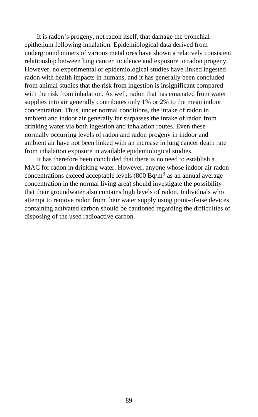It is radon's progeny, not radon itself, that damage the bronchial epithelium following inhalation. Epidemiological data derived from underground miners of various metal ores have shown a relatively consistent relationship between lung cancer incidence and exposure to radon progeny. However, no experimental or epidemiological studies have linked ingested radon with health impacts in humans, and it has generally been concluded from animal studies that the risk from ingestion is insignificant compared with the risk from inhalation. As well, radon that has emanated from water supplies into air generally contributes only 1% or 2% to the mean indoor concentration. Thus, under normal conditions, the intake of radon in ambient and indoor air generally far surpasses the intake of radon from drinking water via both ingestion and inhalation routes. Even these normally occurring levels of radon and radon progeny in indoor and ambient air have not been linked with an increase in lung cancer death rate from inhalation exposure in available epidemiological studies.

It has therefore been concluded that there is no need to establish a MAC for radon in drinking water. However, anyone whose indoor air radon concentrations exceed acceptable levels (800 Bq/m<sup>3</sup> as an annual average concentration in the normal living area) should investigate the possibility that their groundwater also contains high levels of radon. Individuals who attempt to remove radon from their water supply using point-of-use devices containing activated carbon should be cautioned regarding the difficulties of disposing of the used radioactive carbon.